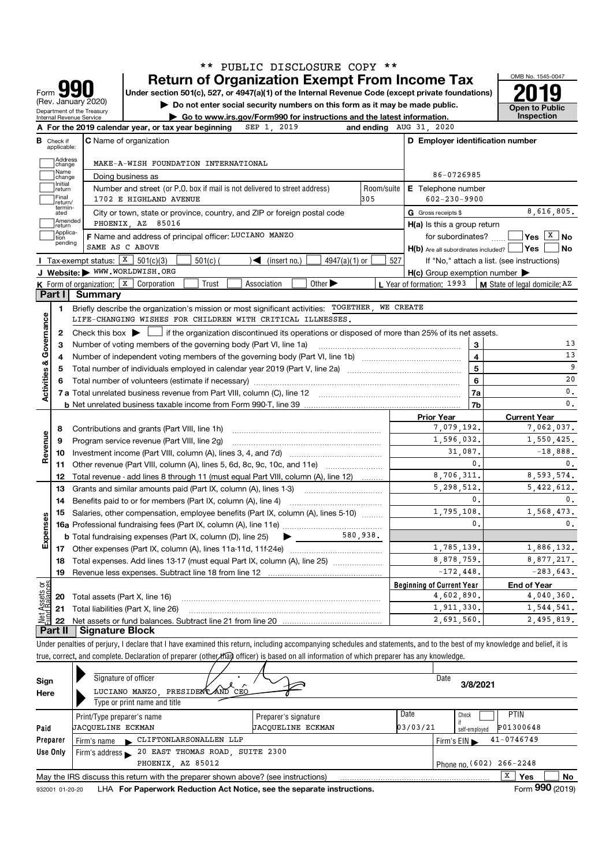|                           |                                       |                                                        | PUBLIC DISCLOSURE COPY **<br>* *                                                                                                                                                                                                                                                                                         |                   |                                                     | OMB No. 1545-0047                          |
|---------------------------|---------------------------------------|--------------------------------------------------------|--------------------------------------------------------------------------------------------------------------------------------------------------------------------------------------------------------------------------------------------------------------------------------------------------------------------------|-------------------|-----------------------------------------------------|--------------------------------------------|
|                           |                                       | Form <b>YYU</b><br>(Rev. January 2020)                 | <b>Return of Organization Exempt From Income Tax</b><br>Under section 501(c), 527, or 4947(a)(1) of the Internal Revenue Code (except private foundations)<br>Do not enter social security numbers on this form as it may be made public.                                                                                |                   |                                                     | <b>Open to Public</b>                      |
|                           |                                       | Department of the Treasury<br>Internal Revenue Service | ► Go to www.irs.gov/Form990 for instructions and the latest information.                                                                                                                                                                                                                                                 |                   |                                                     | Inspection                                 |
|                           |                                       |                                                        | SEP 1, 2019<br>A For the 2019 calendar year, or tax year beginning                                                                                                                                                                                                                                                       |                   | and ending AUG 31, 2020                             |                                            |
|                           | <b>B</b> Check if<br>applicable:      |                                                        | <b>C</b> Name of organization                                                                                                                                                                                                                                                                                            |                   | D Employer identification number                    |                                            |
|                           | Address<br>change                     |                                                        | MAKE-A-WISH FOUNDATION INTERNATIONAL                                                                                                                                                                                                                                                                                     |                   |                                                     |                                            |
|                           | Name<br>change                        |                                                        | Doing business as                                                                                                                                                                                                                                                                                                        |                   | 86-0726985                                          |                                            |
|                           | Initial<br>return<br>Final<br>return/ |                                                        | Number and street (or P.O. box if mail is not delivered to street address)<br>1702 E HIGHLAND AVENUE                                                                                                                                                                                                                     | Room/suite<br>305 | E Telephone number<br>$602 - 230 - 9900$            |                                            |
|                           | termin-<br>ated                       |                                                        | City or town, state or province, country, and ZIP or foreign postal code                                                                                                                                                                                                                                                 |                   | G Gross receipts \$                                 | 8,616,805.                                 |
|                           | Amended<br>return                     |                                                        | PHOENIX, AZ 85016                                                                                                                                                                                                                                                                                                        |                   | $H(a)$ is this a group return                       |                                            |
|                           | Applica-<br>tion                      |                                                        | F Name and address of principal officer: LUCIANO MANZO                                                                                                                                                                                                                                                                   |                   | for subordinates?                                   | Yes $X \mid N$ o                           |
|                           | pending                               |                                                        | SAME AS C ABOVE                                                                                                                                                                                                                                                                                                          |                   | $H(b)$ Are all subordinates included? $\Box$ Yes    | No                                         |
|                           |                                       | Tax-exempt status: $X \mid 501(c)(3)$                  | 4947(a)(1) or<br>$501(c)$ (<br>$\sqrt{\left( \text{insert no.} \right)}$                                                                                                                                                                                                                                                 | 527               |                                                     | If "No," attach a list. (see instructions) |
|                           |                                       |                                                        | J Website: WWW.WORLDWISH.ORG                                                                                                                                                                                                                                                                                             |                   | $H(c)$ Group exemption number $\blacktriangleright$ |                                            |
|                           |                                       |                                                        | Other $\blacktriangleright$<br><b>K</b> Form of organization: $\lfloor \overline{x} \rfloor$ Corporation<br>Trust<br>Association                                                                                                                                                                                         |                   | L Year of formation: 1993                           | <b>M</b> State of legal domicile; AZ       |
|                           | Part I                                | <b>Summary</b>                                         |                                                                                                                                                                                                                                                                                                                          |                   |                                                     |                                            |
|                           | 1                                     |                                                        | Briefly describe the organization's mission or most significant activities: TOGETHER, WE CREATE                                                                                                                                                                                                                          |                   |                                                     |                                            |
|                           |                                       |                                                        | LIFE-CHANGING WISHES FOR CHILDREN WITH CRITICAL ILLNESSES.                                                                                                                                                                                                                                                               |                   |                                                     |                                            |
| Governance                | 2                                     |                                                        | Check this box $\blacktriangleright$   if the organization discontinued its operations or disposed of more than 25% of its net assets.                                                                                                                                                                                   |                   |                                                     |                                            |
|                           | З                                     |                                                        | Number of voting members of the governing body (Part VI, line 1a)                                                                                                                                                                                                                                                        |                   | 3                                                   | 13                                         |
|                           | 4                                     |                                                        |                                                                                                                                                                                                                                                                                                                          |                   | $\overline{\mathbf{4}}$                             | 13                                         |
|                           | 5                                     |                                                        |                                                                                                                                                                                                                                                                                                                          |                   | 5                                                   | 9                                          |
| <b>Activities &amp;</b>   | 6                                     |                                                        | 20                                                                                                                                                                                                                                                                                                                       |                   |                                                     |                                            |
|                           |                                       |                                                        |                                                                                                                                                                                                                                                                                                                          |                   | <b>7a</b>                                           | 0.                                         |
|                           |                                       |                                                        |                                                                                                                                                                                                                                                                                                                          |                   | 7b                                                  | $\mathbf{0}$ .                             |
|                           |                                       |                                                        |                                                                                                                                                                                                                                                                                                                          |                   | <b>Prior Year</b>                                   | <b>Current Year</b>                        |
|                           | 8                                     |                                                        | Contributions and grants (Part VIII, line 1h)                                                                                                                                                                                                                                                                            |                   | 7,079,192.                                          | 7,062,037.                                 |
| Revenue                   | 9                                     |                                                        | Program service revenue (Part VIII, line 2g)                                                                                                                                                                                                                                                                             |                   | 1,596,032.                                          | 1,550,425.                                 |
|                           | 10                                    |                                                        |                                                                                                                                                                                                                                                                                                                          |                   | 31,087.                                             | $-18,888.$                                 |
|                           | 11                                    |                                                        |                                                                                                                                                                                                                                                                                                                          |                   | 0.                                                  | 0.                                         |
|                           | 12                                    |                                                        | Total revenue - add lines 8 through 11 (must equal Part VIII, column (A), line 12)                                                                                                                                                                                                                                       |                   | 8,706,311.                                          | 8,593,574.                                 |
|                           | 13                                    |                                                        | Grants and similar amounts paid (Part IX, column (A), lines 1-3)                                                                                                                                                                                                                                                         |                   | 5, 298, 512.                                        | 5,422,612.                                 |
|                           | 14                                    |                                                        |                                                                                                                                                                                                                                                                                                                          |                   | 0.                                                  | 0.                                         |
|                           |                                       |                                                        | 15 Salaries, other compensation, employee benefits (Part IX, column (A), lines 5-10)                                                                                                                                                                                                                                     |                   | 1,795,108                                           | 1,568,473                                  |
| Expenses                  |                                       |                                                        |                                                                                                                                                                                                                                                                                                                          |                   | 0.                                                  | 0.                                         |
|                           |                                       |                                                        | <b>b</b> Total fundraising expenses (Part IX, column (D), line 25)                                                                                                                                                                                                                                                       | 580,938.          |                                                     |                                            |
|                           | 17                                    |                                                        | Other expenses (Part IX, column (A), lines 11a-11d, 11f-24e)                                                                                                                                                                                                                                                             |                   | 1,785,139.                                          | 1,886,132.                                 |
|                           | 18                                    |                                                        | Total expenses. Add lines 13-17 (must equal Part IX, column (A), line 25)                                                                                                                                                                                                                                                |                   | 8,878,759.                                          | 8,877,217.                                 |
|                           | 19                                    |                                                        |                                                                                                                                                                                                                                                                                                                          |                   | $-172, 448.$                                        | $-283,643.$                                |
| ិនិ                       |                                       |                                                        |                                                                                                                                                                                                                                                                                                                          |                   | <b>Beginning of Current Year</b>                    | End of Year                                |
| Net Assets<br>Fund Balanc | 20                                    | Total assets (Part X, line 16)                         |                                                                                                                                                                                                                                                                                                                          |                   | 4,602,890.                                          | 4,040,360.                                 |
|                           | 21                                    |                                                        | Total liabilities (Part X, line 26)                                                                                                                                                                                                                                                                                      |                   | 1,911,330.                                          | 1,544,541.                                 |
|                           | 22                                    |                                                        |                                                                                                                                                                                                                                                                                                                          |                   | 2,691,560.                                          | 2,495,819.                                 |
|                           | Part II                               | <b>Signature Block</b>                                 |                                                                                                                                                                                                                                                                                                                          |                   |                                                     |                                            |
|                           |                                       |                                                        | Under penalties of perjury, I declare that I have examined this return, including accompanying schedules and statements, and to the best of my knowledge and belief, it is<br>true, correct, and complete. Declaration of preparer (other than officer) is based on all information of which preparer has any knowledge. |                   |                                                     |                                            |
|                           |                                       |                                                        |                                                                                                                                                                                                                                                                                                                          |                   |                                                     |                                            |
| Sign                      |                                       |                                                        | Signature of officer                                                                                                                                                                                                                                                                                                     |                   | Date<br>2/0/2021                                    |                                            |

| Sign     | Signature of officer                                                                                         |                          | vate<br>3/8/2021 |                            |  |  |  |  |  |  |  |
|----------|--------------------------------------------------------------------------------------------------------------|--------------------------|------------------|----------------------------|--|--|--|--|--|--|--|
| Here     | LUCIANO MANZO, PRESIDENCAND CEO                                                                              |                          |                  |                            |  |  |  |  |  |  |  |
|          | Type or print name and title                                                                                 |                          |                  |                            |  |  |  |  |  |  |  |
|          | Print/Type preparer's name                                                                                   | Preparer's signature     | Date             | <b>PTIN</b><br>Check       |  |  |  |  |  |  |  |
| Paid     | <b>JACOUELINE ECKMAN</b>                                                                                     | <b>JACOUELINE ECKMAN</b> | 03/03/21         | P01300648<br>self-emploved |  |  |  |  |  |  |  |
| Preparer | CLIFTONLARSONALLEN LLP<br>Firm's name                                                                        |                          |                  | 41-0746749<br>Firm's $EIN$ |  |  |  |  |  |  |  |
| Use Only | 20 EAST THOMAS ROAD, SUITE 2300<br>Firm's address $\blacktriangleright$                                      |                          |                  |                            |  |  |  |  |  |  |  |
|          | PHOENIX AZ 85012                                                                                             |                          |                  | Phone no. (602) 266-2248   |  |  |  |  |  |  |  |
|          | May the IRS discuss this return with the preparer shown above? (see instructions)                            |                          |                  | X<br>No.<br>Yes            |  |  |  |  |  |  |  |
|          | Form 990 (2019)<br>LHA For Paperwork Reduction Act Notice, see the separate instructions.<br>932001 01-20-20 |                          |                  |                            |  |  |  |  |  |  |  |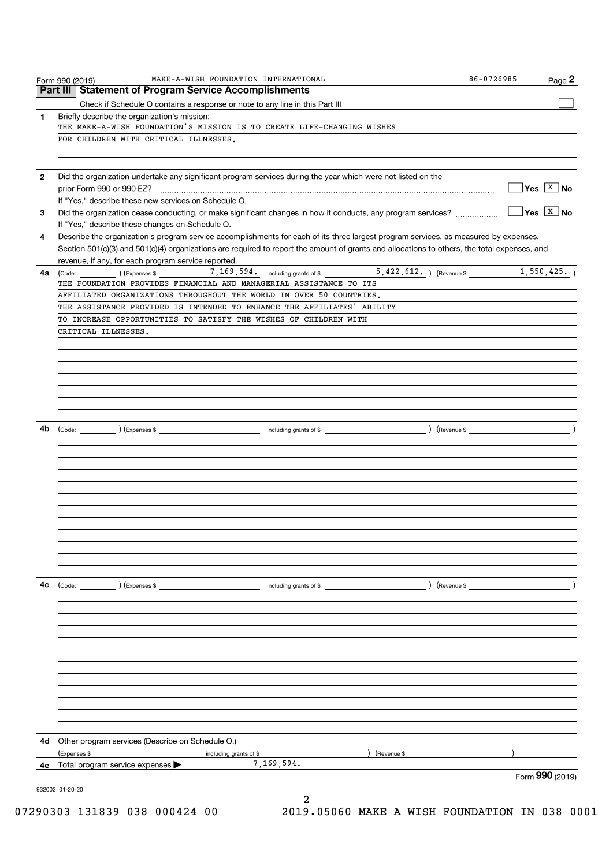| 1  | Briefly describe the organization's mission:                                                                                                                                                                                                                                         |                        |
|----|--------------------------------------------------------------------------------------------------------------------------------------------------------------------------------------------------------------------------------------------------------------------------------------|------------------------|
|    | THE MAKE-A-WISH FOUNDATION'S MISSION IS TO CREATE LIFE-CHANGING WISHES                                                                                                                                                                                                               |                        |
|    | FOR CHILDREN WITH CRITICAL ILLNESSES.                                                                                                                                                                                                                                                |                        |
|    |                                                                                                                                                                                                                                                                                      |                        |
| 2  | Did the organization undertake any significant program services during the year which were not listed on the                                                                                                                                                                         |                        |
|    |                                                                                                                                                                                                                                                                                      | $Yes \quad X \quad No$ |
|    | If "Yes," describe these new services on Schedule O.                                                                                                                                                                                                                                 |                        |
| 3  |                                                                                                                                                                                                                                                                                      | Yes $X$ No             |
|    | If "Yes," describe these changes on Schedule O.                                                                                                                                                                                                                                      |                        |
| 4  | Describe the organization's program service accomplishments for each of its three largest program services, as measured by expenses.<br>Section 501(c)(3) and 501(c)(4) organizations are required to report the amount of grants and allocations to others, the total expenses, and |                        |
|    | revenue, if any, for each program service reported.                                                                                                                                                                                                                                  |                        |
| 4a | $\overline{5, 422, 612.}$ (Revenue \$<br>$\left(\text{Code:}\right)$ $\left(\text{Expenses $}\right)$ $7,169,594.$ including grants of \$                                                                                                                                            | 1,550,425.             |
|    | THE FOUNDATION PROVIDES FINANCIAL AND MANAGERIAL ASSISTANCE TO ITS                                                                                                                                                                                                                   |                        |
|    | AFFILIATED ORGANIZATIONS THROUGHOUT THE WORLD IN OVER 50 COUNTRIES.                                                                                                                                                                                                                  |                        |
|    | THE ASSISTANCE PROVIDED IS INTENDED TO ENHANCE THE AFFILIATES' ABILITY                                                                                                                                                                                                               |                        |
|    | TO INCREASE OPPORTUNITIES TO SATISFY THE WISHES OF CHILDREN WITH                                                                                                                                                                                                                     |                        |
|    | CRITICAL ILLNESSES.                                                                                                                                                                                                                                                                  |                        |
|    |                                                                                                                                                                                                                                                                                      |                        |
|    |                                                                                                                                                                                                                                                                                      |                        |
|    |                                                                                                                                                                                                                                                                                      |                        |
|    |                                                                                                                                                                                                                                                                                      |                        |
|    |                                                                                                                                                                                                                                                                                      |                        |
|    |                                                                                                                                                                                                                                                                                      |                        |
|    |                                                                                                                                                                                                                                                                                      |                        |
| 4b |                                                                                                                                                                                                                                                                                      |                        |
|    |                                                                                                                                                                                                                                                                                      |                        |
|    |                                                                                                                                                                                                                                                                                      |                        |
|    |                                                                                                                                                                                                                                                                                      |                        |
|    |                                                                                                                                                                                                                                                                                      |                        |
|    |                                                                                                                                                                                                                                                                                      |                        |
|    |                                                                                                                                                                                                                                                                                      |                        |
|    |                                                                                                                                                                                                                                                                                      |                        |
|    |                                                                                                                                                                                                                                                                                      |                        |
|    |                                                                                                                                                                                                                                                                                      |                        |
|    |                                                                                                                                                                                                                                                                                      |                        |
| 4с | $\left(\text{Code:} \right)$ $\left(\text{Expenses $}\right)$<br>) (Revenue \$<br>including grants of \$                                                                                                                                                                             |                        |
|    |                                                                                                                                                                                                                                                                                      |                        |
|    |                                                                                                                                                                                                                                                                                      |                        |
|    |                                                                                                                                                                                                                                                                                      |                        |
|    |                                                                                                                                                                                                                                                                                      |                        |
|    |                                                                                                                                                                                                                                                                                      |                        |
|    |                                                                                                                                                                                                                                                                                      |                        |
|    |                                                                                                                                                                                                                                                                                      |                        |
|    |                                                                                                                                                                                                                                                                                      |                        |
|    |                                                                                                                                                                                                                                                                                      |                        |
|    |                                                                                                                                                                                                                                                                                      |                        |
|    |                                                                                                                                                                                                                                                                                      |                        |
| 4d | Other program services (Describe on Schedule O.)                                                                                                                                                                                                                                     |                        |
|    | (Expenses \$<br>(Revenue \$<br>including grants of \$                                                                                                                                                                                                                                |                        |
| 4e | 7,169,594.<br>Total program service expenses                                                                                                                                                                                                                                         | Form 990 (2019)        |
|    |                                                                                                                                                                                                                                                                                      |                        |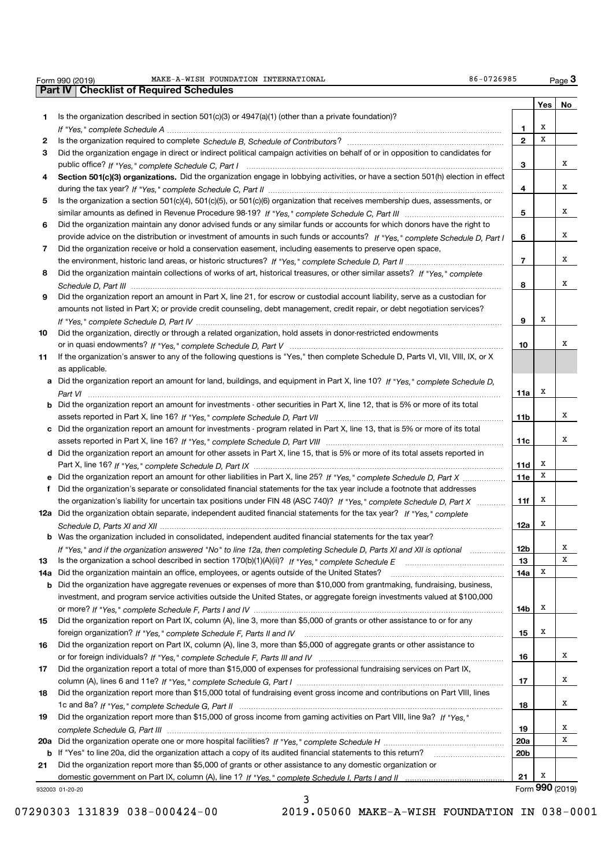| Form 990 (2019) | FOUNDATION<br>INTERNATIONAL<br><b>MAKE-A-WISH</b> | 0726985<br>$86 - 0$<br>Paqe |
|-----------------|---------------------------------------------------|-----------------------------|
|                 |                                                   |                             |

 $Page 3$ 

|     | Part IV   Checklist of Required Schedules                                                                                             |                 |     |                 |
|-----|---------------------------------------------------------------------------------------------------------------------------------------|-----------------|-----|-----------------|
|     |                                                                                                                                       |                 | Yes | No              |
| 1   | Is the organization described in section $501(c)(3)$ or $4947(a)(1)$ (other than a private foundation)?                               |                 |     |                 |
|     |                                                                                                                                       | 1               | х   |                 |
| 2   |                                                                                                                                       | $\mathbf{2}$    | х   |                 |
| 3   | Did the organization engage in direct or indirect political campaign activities on behalf of or in opposition to candidates for       |                 |     |                 |
|     |                                                                                                                                       | 3               |     | х               |
|     |                                                                                                                                       |                 |     |                 |
| 4   | Section 501(c)(3) organizations. Did the organization engage in lobbying activities, or have a section 501(h) election in effect      |                 |     | х               |
|     |                                                                                                                                       | 4               |     |                 |
| 5   | Is the organization a section 501(c)(4), 501(c)(5), or 501(c)(6) organization that receives membership dues, assessments, or          |                 |     |                 |
|     |                                                                                                                                       | 5               |     | х               |
| 6   | Did the organization maintain any donor advised funds or any similar funds or accounts for which donors have the right to             |                 |     |                 |
|     | provide advice on the distribution or investment of amounts in such funds or accounts? If "Yes," complete Schedule D, Part I          | 6               |     | х               |
| 7   | Did the organization receive or hold a conservation easement, including easements to preserve open space,                             |                 |     |                 |
|     |                                                                                                                                       | $\overline{7}$  |     | х               |
| 8   | Did the organization maintain collections of works of art, historical treasures, or other similar assets? If "Yes," complete          |                 |     |                 |
|     |                                                                                                                                       | 8               |     | х               |
| 9   | Did the organization report an amount in Part X, line 21, for escrow or custodial account liability, serve as a custodian for         |                 |     |                 |
|     | amounts not listed in Part X; or provide credit counseling, debt management, credit repair, or debt negotiation services?             |                 |     |                 |
|     |                                                                                                                                       | 9               | х   |                 |
| 10  | Did the organization, directly or through a related organization, hold assets in donor-restricted endowments                          |                 |     |                 |
|     |                                                                                                                                       | 10              |     | х               |
| 11  | If the organization's answer to any of the following questions is "Yes," then complete Schedule D, Parts VI, VIII, VIII, IX, or X     |                 |     |                 |
|     | as applicable.                                                                                                                        |                 |     |                 |
|     | a Did the organization report an amount for land, buildings, and equipment in Part X, line 10? If "Yes," complete Schedule D,         |                 |     |                 |
|     |                                                                                                                                       | 11a             | х   |                 |
|     | <b>b</b> Did the organization report an amount for investments - other securities in Part X, line 12, that is 5% or more of its total |                 |     |                 |
|     |                                                                                                                                       | 11 <sub>b</sub> |     | х               |
|     | c Did the organization report an amount for investments - program related in Part X, line 13, that is 5% or more of its total         |                 |     |                 |
|     |                                                                                                                                       | 11c             |     | х               |
|     | d Did the organization report an amount for other assets in Part X, line 15, that is 5% or more of its total assets reported in       |                 |     |                 |
|     |                                                                                                                                       | 11d             | х   |                 |
|     | e Did the organization report an amount for other liabilities in Part X, line 25? If "Yes," complete Schedule D, Part X               | 11e             | х   |                 |
|     |                                                                                                                                       |                 |     |                 |
| f   | Did the organization's separate or consolidated financial statements for the tax year include a footnote that addresses               |                 | х   |                 |
|     | the organization's liability for uncertain tax positions under FIN 48 (ASC 740)? If "Yes," complete Schedule D, Part X                | 11f             |     |                 |
|     | 12a Did the organization obtain separate, independent audited financial statements for the tax year? If "Yes," complete               |                 | х   |                 |
|     |                                                                                                                                       | 12a             |     |                 |
|     | b Was the organization included in consolidated, independent audited financial statements for the tax year?                           |                 |     |                 |
|     | If "Yes," and if the organization answered "No" to line 12a, then completing Schedule D, Parts XI and XII is optional                 | 12b             |     | х               |
| 13  |                                                                                                                                       | 13              |     | X               |
| 14a | Did the organization maintain an office, employees, or agents outside of the United States?                                           | 14a             | X   |                 |
| b   | Did the organization have aggregate revenues or expenses of more than \$10,000 from grantmaking, fundraising, business,               |                 |     |                 |
|     | investment, and program service activities outside the United States, or aggregate foreign investments valued at \$100,000            |                 |     |                 |
|     |                                                                                                                                       | 14b             | х   |                 |
| 15  | Did the organization report on Part IX, column (A), line 3, more than \$5,000 of grants or other assistance to or for any             |                 |     |                 |
|     |                                                                                                                                       | 15              | х   |                 |
| 16  | Did the organization report on Part IX, column (A), line 3, more than \$5,000 of aggregate grants or other assistance to              |                 |     |                 |
|     |                                                                                                                                       | 16              |     | х               |
| 17  | Did the organization report a total of more than \$15,000 of expenses for professional fundraising services on Part IX,               |                 |     |                 |
|     |                                                                                                                                       | 17              |     | х               |
| 18  | Did the organization report more than \$15,000 total of fundraising event gross income and contributions on Part VIII, lines          |                 |     |                 |
|     |                                                                                                                                       | 18              |     | х               |
| 19  | Did the organization report more than \$15,000 of gross income from gaming activities on Part VIII, line 9a? If "Yes."                |                 |     |                 |
|     |                                                                                                                                       | 19              |     | x               |
| 20a |                                                                                                                                       | 20a             |     | X               |
| b   | If "Yes" to line 20a, did the organization attach a copy of its audited financial statements to this return?                          | 20 <sub>b</sub> |     |                 |
| 21  | Did the organization report more than \$5,000 of grants or other assistance to any domestic organization or                           |                 |     |                 |
|     |                                                                                                                                       | 21              | X   |                 |
|     | 932003 01-20-20                                                                                                                       |                 |     | Form 990 (2019) |
|     |                                                                                                                                       |                 |     |                 |

Form 990 (2019)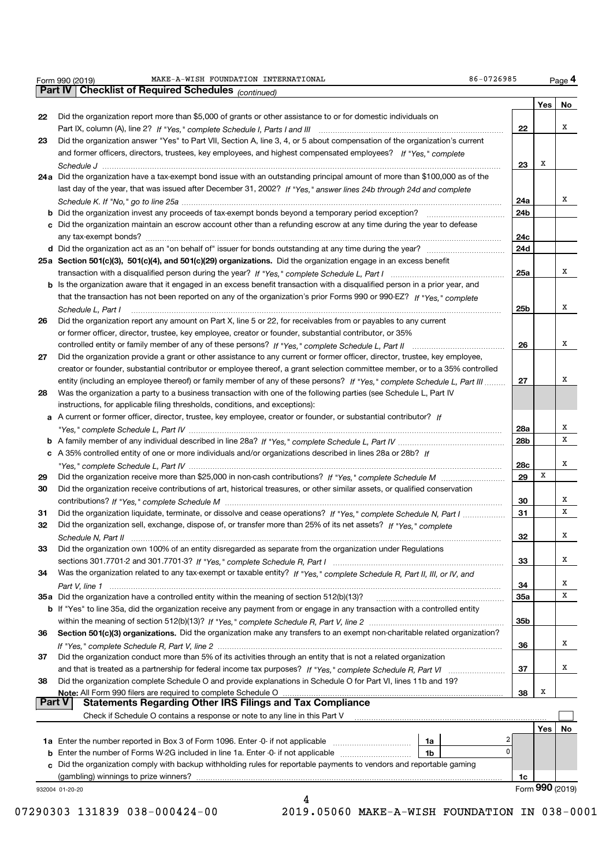|    | Did the organization report more than \$5,000 of grants or other assistance to or for domestic individuals on                                      |                 | Yes | No     |
|----|----------------------------------------------------------------------------------------------------------------------------------------------------|-----------------|-----|--------|
| 22 |                                                                                                                                                    | 22              |     | х      |
| 23 | Did the organization answer "Yes" to Part VII, Section A, line 3, 4, or 5 about compensation of the organization's current                         |                 |     |        |
|    | and former officers, directors, trustees, key employees, and highest compensated employees? If "Yes," complete                                     |                 |     |        |
|    |                                                                                                                                                    | 23              | х   |        |
|    |                                                                                                                                                    |                 |     |        |
|    | 24a Did the organization have a tax-exempt bond issue with an outstanding principal amount of more than \$100,000 as of the                        |                 |     |        |
|    | last day of the year, that was issued after December 31, 2002? If "Yes," answer lines 24b through 24d and complete                                 |                 |     | х      |
|    |                                                                                                                                                    | 24a             |     |        |
|    | <b>b</b> Did the organization invest any proceeds of tax-exempt bonds beyond a temporary period exception? <i>mmmmmmmmmmm</i>                      | 24 <sub>b</sub> |     |        |
|    | c Did the organization maintain an escrow account other than a refunding escrow at any time during the year to defease                             |                 |     |        |
|    |                                                                                                                                                    | 24c             |     |        |
|    |                                                                                                                                                    | 24d             |     |        |
|    | 25a Section 501(c)(3), 501(c)(4), and 501(c)(29) organizations. Did the organization engage in an excess benefit                                   |                 |     | х      |
|    |                                                                                                                                                    | 25a             |     |        |
|    | <b>b</b> Is the organization aware that it engaged in an excess benefit transaction with a disqualified person in a prior year, and                |                 |     |        |
|    | that the transaction has not been reported on any of the organization's prior Forms 990 or 990-EZ? If "Yes," complete                              |                 |     | х      |
|    | Schedule L, Part I                                                                                                                                 | 25b             |     |        |
| 26 | Did the organization report any amount on Part X, line 5 or 22, for receivables from or payables to any current                                    |                 |     |        |
|    | or former officer, director, trustee, key employee, creator or founder, substantial contributor, or 35%                                            |                 |     | x      |
|    |                                                                                                                                                    | 26              |     |        |
| 27 | Did the organization provide a grant or other assistance to any current or former officer, director, trustee, key employee,                        |                 |     |        |
|    | creator or founder, substantial contributor or employee thereof, a grant selection committee member, or to a 35% controlled                        |                 |     | х      |
|    | entity (including an employee thereof) or family member of any of these persons? If "Yes," complete Schedule L, Part III                           | 27              |     |        |
| 28 | Was the organization a party to a business transaction with one of the following parties (see Schedule L, Part IV                                  |                 |     |        |
|    | instructions, for applicable filing thresholds, conditions, and exceptions):                                                                       |                 |     |        |
|    | a A current or former officer, director, trustee, key employee, creator or founder, or substantial contributor? If                                 |                 |     |        |
|    |                                                                                                                                                    | 28a             |     | х<br>x |
|    |                                                                                                                                                    | 28b             |     |        |
|    | c A 35% controlled entity of one or more individuals and/or organizations described in lines 28a or 28b? If                                        |                 |     | x      |
|    |                                                                                                                                                    | 28c             | X   |        |
| 29 |                                                                                                                                                    | 29              |     |        |
| 30 | Did the organization receive contributions of art, historical treasures, or other similar assets, or qualified conservation                        |                 |     | х      |
|    |                                                                                                                                                    | 30              |     | X      |
| 31 | Did the organization liquidate, terminate, or dissolve and cease operations? If "Yes," complete Schedule N, Part I                                 | 31              |     |        |
| 32 | Did the organization sell, exchange, dispose of, or transfer more than 25% of its net assets? If "Yes," complete                                   |                 |     | х      |
|    |                                                                                                                                                    | 32              |     |        |
|    | Did the organization own 100% of an entity disregarded as separate from the organization under Regulations                                         |                 |     | х      |
|    |                                                                                                                                                    | 33              |     |        |
| 34 | Was the organization related to any tax-exempt or taxable entity? If "Yes," complete Schedule R, Part II, III, or IV, and                          |                 |     | х      |
|    |                                                                                                                                                    | 34              |     | x      |
|    | 35a Did the organization have a controlled entity within the meaning of section 512(b)(13)?                                                        | <b>35a</b>      |     |        |
|    | b If "Yes" to line 35a, did the organization receive any payment from or engage in any transaction with a controlled entity                        |                 |     |        |
|    |                                                                                                                                                    | 35b             |     |        |
| 36 | Section 501(c)(3) organizations. Did the organization make any transfers to an exempt non-charitable related organization?                         |                 |     | x      |
|    |                                                                                                                                                    | 36              |     |        |
| 37 | Did the organization conduct more than 5% of its activities through an entity that is not a related organization                                   |                 |     |        |
|    |                                                                                                                                                    | 37              |     | x      |
| 38 | Did the organization complete Schedule O and provide explanations in Schedule O for Part VI, lines 11b and 19?                                     |                 | х   |        |
|    | Note: All Form 990 filers are required to complete Schedule O<br><b>Statements Regarding Other IRS Filings and Tax Compliance</b><br><b>Part V</b> | 38              |     |        |
|    | Check if Schedule O contains a response or note to any line in this Part V                                                                         |                 |     |        |
|    |                                                                                                                                                    |                 |     |        |
|    | <b>1a</b> Enter the number reported in Box 3 of Form 1096. Enter -0- if not applicable<br>1a                                                       |                 | Yes | No     |
|    | $\Omega$<br><b>b</b> Enter the number of Forms W-2G included in line 1a. Enter -0- if not applicable<br>1b                                         |                 |     |        |
|    | c Did the organization comply with backup withholding rules for reportable payments to vendors and reportable gaming                               |                 |     |        |
|    | (gambling) winnings to prize winners?                                                                                                              | 1c              |     |        |
|    |                                                                                                                                                    |                 |     |        |

Form 990 (2019) MAKE-A-WISH FOUNDATION INTERNATIONAL RESERVE TO A SECTED 36-0726985

Page 4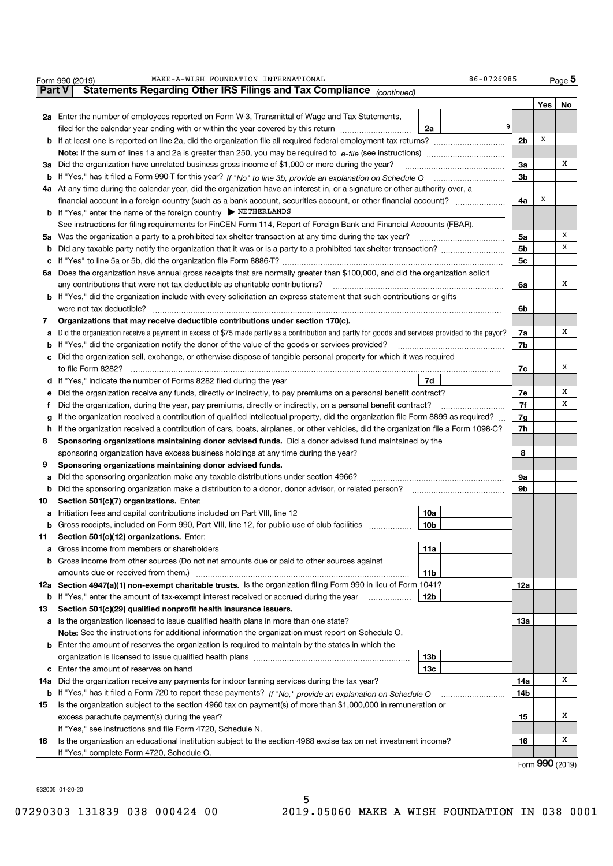|     | MAKE-A-WISH FOUNDATION INTERNATIONAL<br>86-0726985<br>Form 990 (2019)                                                                           |            |     | $Page$ <sup>5</sup> |  |  |  |  |
|-----|-------------------------------------------------------------------------------------------------------------------------------------------------|------------|-----|---------------------|--|--|--|--|
|     | Statements Regarding Other IRS Filings and Tax Compliance (continued)<br><b>Part V</b>                                                          |            |     |                     |  |  |  |  |
|     |                                                                                                                                                 |            | Yes | No                  |  |  |  |  |
|     | 2a Enter the number of employees reported on Form W-3, Transmittal of Wage and Tax Statements,                                                  |            |     |                     |  |  |  |  |
|     | 9<br>filed for the calendar year ending with or within the year covered by this return<br>2a                                                    |            |     |                     |  |  |  |  |
|     | <b>b</b> If at least one is reported on line 2a, did the organization file all required federal employment tax returns?<br>2 <sub>b</sub>       |            |     |                     |  |  |  |  |
|     |                                                                                                                                                 |            |     |                     |  |  |  |  |
|     | 3a Did the organization have unrelated business gross income of \$1,000 or more during the year?                                                | 3a         |     | х                   |  |  |  |  |
| b   |                                                                                                                                                 | 3b         |     |                     |  |  |  |  |
|     | 4a At any time during the calendar year, did the organization have an interest in, or a signature or other authority over, a                    |            |     |                     |  |  |  |  |
|     | financial account in a foreign country (such as a bank account, securities account, or other financial account)?                                | 4a         | х   |                     |  |  |  |  |
|     | <b>b</b> If "Yes," enter the name of the foreign country FETHERLANDS                                                                            |            |     |                     |  |  |  |  |
|     | See instructions for filing requirements for FinCEN Form 114, Report of Foreign Bank and Financial Accounts (FBAR).                             |            |     |                     |  |  |  |  |
|     |                                                                                                                                                 | 5a         |     | х                   |  |  |  |  |
| b   | Did any taxable party notify the organization that it was or is a party to a prohibited tax shelter transaction?                                | 5b         |     | х                   |  |  |  |  |
| с   |                                                                                                                                                 | 5c         |     |                     |  |  |  |  |
|     | 6a Does the organization have annual gross receipts that are normally greater than \$100,000, and did the organization solicit                  |            |     |                     |  |  |  |  |
|     | any contributions that were not tax deductible as charitable contributions?                                                                     | 6a         |     | х                   |  |  |  |  |
|     | b If "Yes," did the organization include with every solicitation an express statement that such contributions or gifts                          |            |     |                     |  |  |  |  |
|     | were not tax deductible?                                                                                                                        | 6b         |     |                     |  |  |  |  |
| 7   | Organizations that may receive deductible contributions under section 170(c).                                                                   |            |     |                     |  |  |  |  |
| a   | Did the organization receive a payment in excess of \$75 made partly as a contribution and partly for goods and services provided to the payor? | 7a         |     | х                   |  |  |  |  |
| b   | If "Yes," did the organization notify the donor of the value of the goods or services provided?                                                 | 7b         |     |                     |  |  |  |  |
| C   | Did the organization sell, exchange, or otherwise dispose of tangible personal property for which it was required                               |            |     |                     |  |  |  |  |
|     | to file Form 8282?                                                                                                                              |            |     |                     |  |  |  |  |
| d   | If "Yes," indicate the number of Forms 8282 filed during the year<br>  7d                                                                       |            |     |                     |  |  |  |  |
| е   | Did the organization receive any funds, directly or indirectly, to pay premiums on a personal benefit contract?                                 |            |     |                     |  |  |  |  |
| f   | Did the organization, during the year, pay premiums, directly or indirectly, on a personal benefit contract?                                    |            |     |                     |  |  |  |  |
| g   | If the organization received a contribution of qualified intellectual property, did the organization file Form 8899 as required?                |            |     |                     |  |  |  |  |
| h   | If the organization received a contribution of cars, boats, airplanes, or other vehicles, did the organization file a Form 1098-C?              |            |     |                     |  |  |  |  |
| 8   | Sponsoring organizations maintaining donor advised funds. Did a donor advised fund maintained by the                                            |            |     |                     |  |  |  |  |
|     | sponsoring organization have excess business holdings at any time during the year?                                                              | 8          |     |                     |  |  |  |  |
| 9   | Sponsoring organizations maintaining donor advised funds.                                                                                       |            |     |                     |  |  |  |  |
| а   | Did the sponsoring organization make any taxable distributions under section 4966?                                                              | 9а         |     |                     |  |  |  |  |
| b   | Did the sponsoring organization make a distribution to a donor, donor advisor, or related person?                                               | 9b         |     |                     |  |  |  |  |
| 10  | Section 501(c)(7) organizations. Enter:                                                                                                         |            |     |                     |  |  |  |  |
| а   | 10a                                                                                                                                             |            |     |                     |  |  |  |  |
|     | 10 <sub>b</sub><br>Gross receipts, included on Form 990, Part VIII, line 12, for public use of club facilities                                  |            |     |                     |  |  |  |  |
| 11  | Section 501(c)(12) organizations. Enter:                                                                                                        |            |     |                     |  |  |  |  |
| а   | Gross income from members or shareholders<br>11a                                                                                                |            |     |                     |  |  |  |  |
| b   | Gross income from other sources (Do not net amounts due or paid to other sources against                                                        |            |     |                     |  |  |  |  |
|     | 11b                                                                                                                                             |            |     |                     |  |  |  |  |
|     | 12a Section 4947(a)(1) non-exempt charitable trusts. Is the organization filing Form 990 in lieu of Form 1041?                                  | 12a        |     |                     |  |  |  |  |
| b   | If "Yes," enter the amount of tax-exempt interest received or accrued during the year<br>12b                                                    |            |     |                     |  |  |  |  |
| 13  | Section 501(c)(29) qualified nonprofit health insurance issuers.                                                                                |            |     |                     |  |  |  |  |
| a   | Is the organization licensed to issue qualified health plans in more than one state?                                                            | <b>13a</b> |     |                     |  |  |  |  |
|     | Note: See the instructions for additional information the organization must report on Schedule O.                                               |            |     |                     |  |  |  |  |
| b   | Enter the amount of reserves the organization is required to maintain by the states in which the                                                |            |     |                     |  |  |  |  |
|     | 13b                                                                                                                                             |            |     |                     |  |  |  |  |
|     | 13с                                                                                                                                             |            |     |                     |  |  |  |  |
| 14a |                                                                                                                                                 | 14a        |     | х                   |  |  |  |  |
| b   |                                                                                                                                                 | 14b        |     |                     |  |  |  |  |
| 15  | Is the organization subject to the section 4960 tax on payment(s) of more than \$1,000,000 in remuneration or                                   |            |     |                     |  |  |  |  |
|     |                                                                                                                                                 | 15         |     | х                   |  |  |  |  |
|     | If "Yes," see instructions and file Form 4720, Schedule N.                                                                                      |            |     |                     |  |  |  |  |
| 16  | Is the organization an educational institution subject to the section 4968 excise tax on net investment income?                                 | 16         |     | х                   |  |  |  |  |
|     | If "Yes," complete Form 4720, Schedule O.                                                                                                       |            |     |                     |  |  |  |  |

932005 01-20-20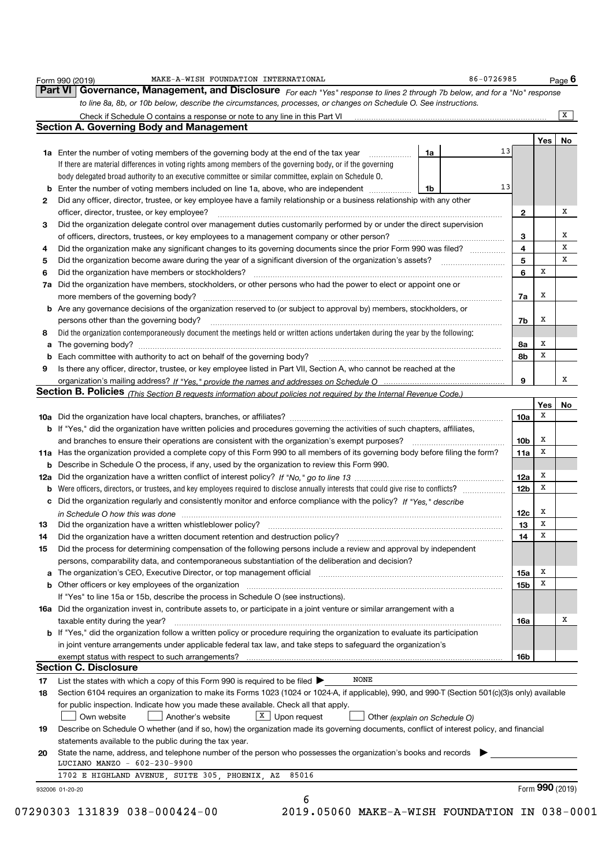|    | Governance, Management, and Disclosure For each "Yes" response to lines 2 through 7b below, and for a "No" response<br>to line 8a, 8b, or 10b below, describe the circumstances, processes, or changes on Schedule O. See instructions. |                 |             |                         |
|----|-----------------------------------------------------------------------------------------------------------------------------------------------------------------------------------------------------------------------------------------|-----------------|-------------|-------------------------|
|    |                                                                                                                                                                                                                                         |                 |             | $\overline{\mathbf{x}}$ |
|    | <b>Section A. Governing Body and Management</b>                                                                                                                                                                                         |                 |             |                         |
|    |                                                                                                                                                                                                                                         |                 | Yes         | No                      |
|    | 13<br>1a Enter the number of voting members of the governing body at the end of the tax year <i>manumum</i><br>1a                                                                                                                       |                 |             |                         |
|    | If there are material differences in voting rights among members of the governing body, or if the governing                                                                                                                             |                 |             |                         |
|    | body delegated broad authority to an executive committee or similar committee, explain on Schedule O.                                                                                                                                   |                 |             |                         |
| b  | 13<br>Enter the number of voting members included on line 1a, above, who are independent<br>1b                                                                                                                                          |                 |             |                         |
| 2  | Did any officer, director, trustee, or key employee have a family relationship or a business relationship with any other                                                                                                                |                 |             |                         |
|    | officer, director, trustee, or key employee?                                                                                                                                                                                            | 2               |             | х                       |
| 3  | Did the organization delegate control over management duties customarily performed by or under the direct supervision                                                                                                                   |                 |             |                         |
|    | of officers, directors, trustees, or key employees to a management company or other person? [111] or other person?                                                                                                                      | 3               |             | х                       |
| 4  | Did the organization make any significant changes to its governing documents since the prior Form 990 was filed?                                                                                                                        | 4               |             | X                       |
| 5  |                                                                                                                                                                                                                                         | 5               |             | x                       |
| 6  | Did the organization have members or stockholders?                                                                                                                                                                                      | 6               | х           |                         |
| 7a | Did the organization have members, stockholders, or other persons who had the power to elect or appoint one or                                                                                                                          |                 |             |                         |
|    | more members of the governing body?                                                                                                                                                                                                     | 7a              | х           |                         |
|    | <b>b</b> Are any governance decisions of the organization reserved to (or subject to approval by) members, stockholders, or                                                                                                             |                 |             |                         |
|    | persons other than the governing body?                                                                                                                                                                                                  | 7b              | х           |                         |
| 8  | Did the organization contemporaneously document the meetings held or written actions undertaken during the year by the following:                                                                                                       |                 |             |                         |
| а  |                                                                                                                                                                                                                                         | 8a              | х           |                         |
| b  | Each committee with authority to act on behalf of the governing body?                                                                                                                                                                   | 8b              | X           |                         |
| 9  | Is there any officer, director, trustee, or key employee listed in Part VII, Section A, who cannot be reached at the                                                                                                                    |                 |             |                         |
|    |                                                                                                                                                                                                                                         | 9               |             | x                       |
|    | Section B. Policies (This Section B requests information about policies not required by the Internal Revenue Code.)                                                                                                                     |                 |             |                         |
|    |                                                                                                                                                                                                                                         |                 | Yes         | No                      |
|    |                                                                                                                                                                                                                                         | 10a             | х           |                         |
|    | b If "Yes," did the organization have written policies and procedures governing the activities of such chapters, affiliates,                                                                                                            |                 |             |                         |
|    | and branches to ensure their operations are consistent with the organization's exempt purposes?                                                                                                                                         | 10b             | x           |                         |
|    | 11a Has the organization provided a complete copy of this Form 990 to all members of its governing body before filing the form?                                                                                                         | 11a             | X           |                         |
|    | <b>b</b> Describe in Schedule O the process, if any, used by the organization to review this Form 990.                                                                                                                                  |                 |             |                         |
|    |                                                                                                                                                                                                                                         | 12a             | x           |                         |
| b  | Were officers, directors, or trustees, and key employees required to disclose annually interests that could give rise to conflicts?                                                                                                     | 12 <sub>b</sub> | X           |                         |
|    | c Did the organization regularly and consistently monitor and enforce compliance with the policy? If "Yes," describe                                                                                                                    |                 |             |                         |
|    | in Schedule O how this was done manufactured and contained a state of the state of the state of how this was done                                                                                                                       | 12c             | x           |                         |
| 13 | Did the organization have a written whistleblower policy?                                                                                                                                                                               | 13              | х           |                         |
| 14 | Did the organization have a written document retention and destruction policy?                                                                                                                                                          | 14              | $\mathbf X$ |                         |
| 15 | Did the process for determining compensation of the following persons include a review and approval by independent                                                                                                                      |                 |             |                         |
|    | persons, comparability data, and contemporaneous substantiation of the deliberation and decision?                                                                                                                                       |                 |             |                         |
|    | a The organization's CEO, Executive Director, or top management official manufactured content content content of the United States and The Organization's CEO, Executive Director, or top management official manufactured con          | 15a             | х           |                         |
|    |                                                                                                                                                                                                                                         | 15b             | х           |                         |
|    | If "Yes" to line 15a or 15b, describe the process in Schedule O (see instructions).                                                                                                                                                     |                 |             |                         |
|    | 16a Did the organization invest in, contribute assets to, or participate in a joint venture or similar arrangement with a                                                                                                               |                 |             |                         |
|    | taxable entity during the year?                                                                                                                                                                                                         | 16a             |             | х                       |
|    | b If "Yes," did the organization follow a written policy or procedure requiring the organization to evaluate its participation                                                                                                          |                 |             |                         |
|    | in joint venture arrangements under applicable federal tax law, and take steps to safeguard the organization's                                                                                                                          |                 |             |                         |
|    | exempt status with respect to such arrangements?                                                                                                                                                                                        | 16b             |             |                         |
|    | <b>Section C. Disclosure</b>                                                                                                                                                                                                            |                 |             |                         |
| 17 | <b>NONE</b><br>List the states with which a copy of this Form 990 is required to be filed $\blacktriangleright$                                                                                                                         |                 |             |                         |
|    | Section 6104 requires an organization to make its Forms 1023 (1024 or 1024-A, if applicable), 990, and 990-T (Section 501(c)(3)s only) available                                                                                        |                 |             |                         |
|    | for public inspection. Indicate how you made these available. Check all that apply.                                                                                                                                                     |                 |             |                         |
| 18 | $X$ Upon request<br>Own website<br>Another's website<br>Other (explain on Schedule O)                                                                                                                                                   |                 |             |                         |
|    |                                                                                                                                                                                                                                         |                 |             |                         |
|    |                                                                                                                                                                                                                                         |                 |             |                         |
| 19 | Describe on Schedule O whether (and if so, how) the organization made its governing documents, conflict of interest policy, and financial                                                                                               |                 |             |                         |
|    | statements available to the public during the tax year.                                                                                                                                                                                 |                 |             |                         |
| 20 | State the name, address, and telephone number of the person who possesses the organization's books and records                                                                                                                          |                 |             |                         |
|    | LUCIANO MANZO - 602-230-9900<br>1702 E HIGHLAND AVENUE, SUITE 305, PHOENIX, AZ 85016                                                                                                                                                    |                 |             |                         |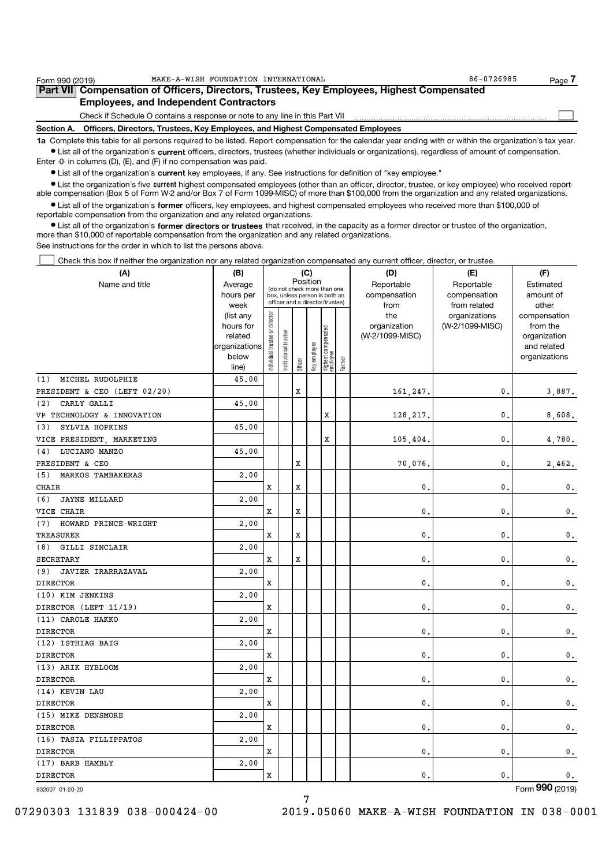| Form 990 (2019)                               | MAKE-A-WISH FOUNDATION INTERNATIONAL                                                                                                                                                                                             | 86-0726985 | Page. |  |  |  |  |
|-----------------------------------------------|----------------------------------------------------------------------------------------------------------------------------------------------------------------------------------------------------------------------------------|------------|-------|--|--|--|--|
|                                               | Part VII Compensation of Officers, Directors, Trustees, Key Employees, Highest Compensated                                                                                                                                       |            |       |  |  |  |  |
| <b>Employees, and Independent Contractors</b> |                                                                                                                                                                                                                                  |            |       |  |  |  |  |
|                                               | Check if Schedule O contains a response or note to any line in this Part VII                                                                                                                                                     |            |       |  |  |  |  |
| Section A.                                    | Officers, Directors, Trustees, Key Employees, and Highest Compensated Employees                                                                                                                                                  |            |       |  |  |  |  |
|                                               | $\mathbf{r}$ , and the set of the set of the set of the set of the set of the set of the set of the set of the set of the set of the set of the set of the set of the set of the set of the set of the set of the set of the set |            |       |  |  |  |  |

1a Complete this table for all persons required to be listed. Report compensation for the calendar year ending with or within the organization's tax year. Ist all of the organization's current officers, directors, trustees (whether individuals or organizations), regardless of amount of compensation. Enter -0- in columns (D), (E), and (F) if no compensation was paid.

• List all of the organization's current key employees, if any. See instructions for definition of "key employee."

• List the organization's five current highest compensated employees (other than an officer, director, trustee, or key employee) who received reportable compensation (Box 5 of Form W-2 and/or Box 7 of Form 1099-MISC) of more than \$100,000 from the organization and any related organizations.

List all of the organization's former officers, key employees, and highest compensated employees who received more than \$100,000 of reportable compensation from the organization and any related organizations.

 $\bullet$  List all of the organization's former directors or trustees that received, in the capacity as a former director or trustee of the organization, more than \$10,000 of reportable compensation from the organization and any related organizations. See instructions for the order in which to list the persons above.

Check this box if neither the organization nor any related organization compensated any current officer, director, or trustee.  $\Box$ 

| (A)                          | (B)                  |                               |                       | (C)         |              |                                  | (D)    | (E)                             | (F)             |                             |
|------------------------------|----------------------|-------------------------------|-----------------------|-------------|--------------|----------------------------------|--------|---------------------------------|-----------------|-----------------------------|
| Name and title               | Average              |                               |                       |             | Position     | (do not check more than one      |        | Reportable                      | Reportable      | Estimated                   |
|                              | hours per            |                               |                       |             |              | box, unless person is both an    |        | compensation                    | compensation    | amount of                   |
|                              | week                 |                               |                       |             |              | officer and a director/trustee)  |        | from                            | from related    | other                       |
|                              | (list any            |                               |                       |             |              |                                  |        | the                             | organizations   | compensation                |
|                              | hours for<br>related |                               |                       |             |              |                                  |        | organization<br>(W-2/1099-MISC) | (W-2/1099-MISC) | from the                    |
|                              | organizations        |                               |                       |             |              |                                  |        |                                 |                 | organization<br>and related |
|                              | below                | ndividual trustee or director | Institutional trustee |             |              |                                  |        |                                 |                 | organizations               |
|                              | line)                |                               |                       | Officer     | Key employee | Highest compensated<br> employee | Former |                                 |                 |                             |
| MICHEL RUDOLPHIE<br>(1)      | 45.00                |                               |                       |             |              |                                  |        |                                 |                 |                             |
| PRESIDENT & CEO (LEFT 02/20) |                      |                               |                       | $\mathbf x$ |              |                                  |        | 161,247.                        | 0.              | 3,887.                      |
| (2)<br>CARLY GALLI           | 45.00                |                               |                       |             |              |                                  |        |                                 |                 |                             |
| VP TECHNOLOGY & INNOVATION   |                      |                               |                       |             |              | X                                |        | 128,217.                        | 0.              | 8,608.                      |
| SYLVIA HOPKINS<br>(3)        | 45.00                |                               |                       |             |              |                                  |        |                                 |                 |                             |
| VICE PRESIDENT, MARKETING    |                      |                               |                       |             |              | X                                |        | 105, 404.                       | 0.              | 4,780.                      |
| LUCIANO MANZO<br>(4)         | 45.00                |                               |                       |             |              |                                  |        |                                 |                 |                             |
| PRESIDENT & CEO              |                      |                               |                       | $\mathbf x$ |              |                                  |        | 70,076.                         | $\mathbf{0}$ .  | 2,462.                      |
| (5)<br>MARKOS TAMBAKERAS     | 2.00                 |                               |                       |             |              |                                  |        |                                 |                 |                             |
| <b>CHAIR</b>                 |                      | X                             |                       | $\mathbf x$ |              |                                  |        | 0.                              | 0.              | $\mathbf 0$ .               |
| (6)<br><b>JAYNE MILLARD</b>  | 2.00                 |                               |                       |             |              |                                  |        |                                 |                 |                             |
| VICE CHAIR                   |                      | x                             |                       | X           |              |                                  |        | $\mathbf{0}$ .                  | 0.              | $\mathbf 0$ .               |
| (7)<br>HOWARD PRINCE-WRIGHT  | 2,00                 |                               |                       |             |              |                                  |        |                                 |                 |                             |
| <b>TREASURER</b>             |                      | x                             |                       | X           |              |                                  |        | $\mathbf{0}$                    | 0.              | $\mathfrak o$ .             |
| (8)<br>GILLI SINCLAIR        | 2,00                 |                               |                       |             |              |                                  |        |                                 |                 |                             |
| <b>SECRETARY</b>             |                      | X                             |                       | X           |              |                                  |        | $\mathbf{0}$ .                  | 0.              | $\mathbf 0$ .               |
| (9)<br>JAVIER IRARRAZAVAL    | 2.00                 |                               |                       |             |              |                                  |        |                                 |                 |                             |
| <b>DIRECTOR</b>              |                      | x                             |                       |             |              |                                  |        | $\mathbf{0}$ .                  | $\mathbf{0}$ .  | 0.                          |
| (10) KIM JENKINS             | 2.00                 |                               |                       |             |              |                                  |        |                                 |                 |                             |
| DIRECTOR (LEFT 11/19)        |                      | x                             |                       |             |              |                                  |        | $\mathbf{0}$ .                  | 0.              | $\mathbf{0}$ .              |
| (11) CAROLE HAKKO            | 2.00                 |                               |                       |             |              |                                  |        |                                 |                 |                             |
| <b>DIRECTOR</b>              |                      | x                             |                       |             |              |                                  |        | 0.                              | 0.              | $\mathbf 0$ .               |
| (12) ISTHIAG BAIG            | 2,00                 |                               |                       |             |              |                                  |        |                                 |                 |                             |
| <b>DIRECTOR</b>              |                      | Χ                             |                       |             |              |                                  |        | $\mathbf{0}$                    | 0.              | $\mathfrak o$ .             |
| (13) ARIK HYBLOOM            | 2,00                 |                               |                       |             |              |                                  |        |                                 |                 |                             |
| <b>DIRECTOR</b>              |                      | X                             |                       |             |              |                                  |        | $\mathbf{0}$ .                  | 0.              | $\mathbf 0$ .               |
| (14) KEVIN LAU               | 2.00                 |                               |                       |             |              |                                  |        |                                 |                 |                             |
| <b>DIRECTOR</b>              |                      | x                             |                       |             |              |                                  |        | $\mathbf{0}$ .                  | 0.              | 0.                          |
| (15) MIKE DENSMORE           | 2,00                 |                               |                       |             |              |                                  |        |                                 |                 |                             |
| <b>DIRECTOR</b>              |                      | x                             |                       |             |              |                                  |        | 0.                              | 0.              | 0.                          |
| (16) TASIA FILLIPPATOS       | 2,00                 |                               |                       |             |              |                                  |        |                                 |                 |                             |
| <b>DIRECTOR</b>              |                      | x                             |                       |             |              |                                  |        | $\mathbf{0}$ .                  | 0.              | $\mathbf 0$ .               |
| (17) BARB HAMBLY             | 2,00                 |                               |                       |             |              |                                  |        |                                 |                 |                             |
| <b>DIRECTOR</b>              |                      | Χ                             |                       |             |              |                                  |        | $\mathbf{0}$                    | $\mathbf{0}$    | 0.                          |
| 932007 01-20-20              |                      |                               |                       |             |              |                                  |        |                                 |                 | Form 990 (2019)             |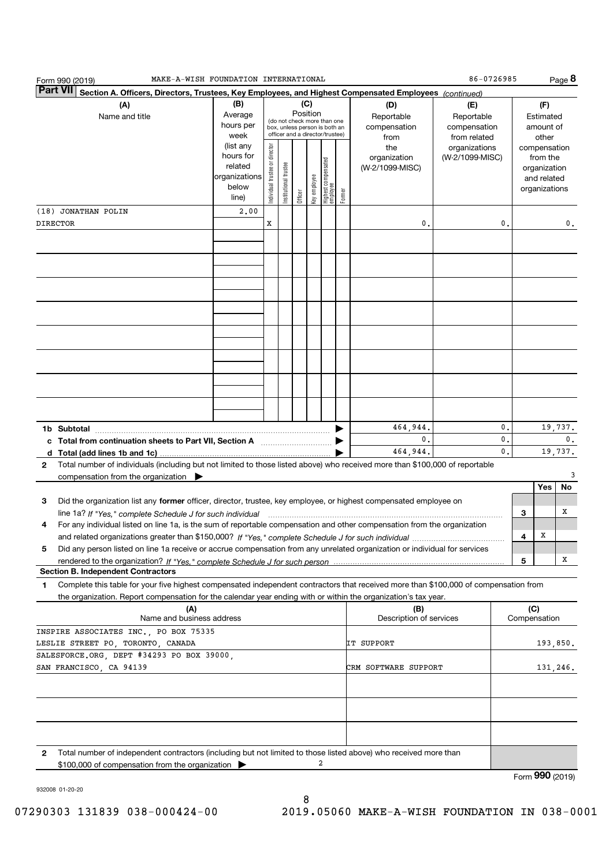| MAKE-A-WISH FOUNDATION INTERNATIONAL<br>Form 990 (2019)                                                                                      |                                                                      |                               |                      |          |              |                                                                                                 |        |                                           | 86-0726985                                        |    |              |                                                                          | Page 8          |
|----------------------------------------------------------------------------------------------------------------------------------------------|----------------------------------------------------------------------|-------------------------------|----------------------|----------|--------------|-------------------------------------------------------------------------------------------------|--------|-------------------------------------------|---------------------------------------------------|----|--------------|--------------------------------------------------------------------------|-----------------|
| <b>Part VII</b><br>Section A. Officers, Directors, Trustees, Key Employees, and Highest Compensated Employees (continued)                    |                                                                      |                               |                      |          |              |                                                                                                 |        |                                           |                                                   |    |              |                                                                          |                 |
| (A)<br>Name and title                                                                                                                        | (B)<br>Average<br>hours per<br>week                                  |                               |                      | Position | (C)          | (do not check more than one<br>box, unless person is both an<br>officer and a director/trustee) |        | (D)<br>Reportable<br>compensation<br>from | (E)<br>Reportable<br>compensation<br>from related |    |              | (F)<br>Estimated<br>amount of<br>other                                   |                 |
|                                                                                                                                              | (list any<br>hours for<br>related<br>organizations<br>below<br>line) | ndividual trustee or director | nstitutional trustee | Officer  | Key employee | Highest compensated<br> employee                                                                | Former | the<br>organization<br>(W-2/1099-MISC)    | organizations<br>(W-2/1099-MISC)                  |    |              | compensation<br>from the<br>organization<br>and related<br>organizations |                 |
| (18) JONATHAN POLIN                                                                                                                          | 2,00                                                                 |                               |                      |          |              |                                                                                                 |        |                                           |                                                   |    |              |                                                                          |                 |
| <b>DIRECTOR</b>                                                                                                                              |                                                                      | X                             |                      |          |              |                                                                                                 |        | 0                                         |                                                   | 0. |              |                                                                          | 0.              |
|                                                                                                                                              |                                                                      |                               |                      |          |              |                                                                                                 |        |                                           |                                                   |    |              |                                                                          |                 |
|                                                                                                                                              |                                                                      |                               |                      |          |              |                                                                                                 |        |                                           |                                                   |    |              |                                                                          |                 |
|                                                                                                                                              |                                                                      |                               |                      |          |              |                                                                                                 |        |                                           |                                                   |    |              |                                                                          |                 |
|                                                                                                                                              |                                                                      |                               |                      |          |              |                                                                                                 |        |                                           |                                                   |    |              |                                                                          |                 |
|                                                                                                                                              |                                                                      |                               |                      |          |              |                                                                                                 |        |                                           |                                                   |    |              |                                                                          |                 |
|                                                                                                                                              |                                                                      |                               |                      |          |              |                                                                                                 |        |                                           |                                                   |    |              |                                                                          |                 |
|                                                                                                                                              |                                                                      |                               |                      |          |              |                                                                                                 |        |                                           |                                                   |    |              |                                                                          |                 |
|                                                                                                                                              |                                                                      |                               |                      |          |              |                                                                                                 |        |                                           |                                                   |    |              |                                                                          |                 |
|                                                                                                                                              |                                                                      |                               |                      |          |              |                                                                                                 |        |                                           |                                                   |    |              |                                                                          |                 |
|                                                                                                                                              |                                                                      |                               |                      |          |              |                                                                                                 |        |                                           |                                                   |    |              |                                                                          |                 |
|                                                                                                                                              |                                                                      |                               |                      |          |              |                                                                                                 |        |                                           |                                                   |    |              |                                                                          |                 |
|                                                                                                                                              |                                                                      |                               |                      |          |              |                                                                                                 |        |                                           |                                                   |    |              |                                                                          |                 |
|                                                                                                                                              |                                                                      |                               |                      |          |              |                                                                                                 |        |                                           |                                                   |    |              |                                                                          |                 |
|                                                                                                                                              |                                                                      |                               |                      |          |              |                                                                                                 |        | 464,944.                                  |                                                   | 0. |              |                                                                          | 19,737.         |
|                                                                                                                                              |                                                                      |                               |                      |          |              |                                                                                                 |        | 0.                                        |                                                   | 0. |              |                                                                          | 0.              |
|                                                                                                                                              |                                                                      |                               |                      |          |              |                                                                                                 |        | 464,944.                                  |                                                   | 0. |              |                                                                          | 19,737.         |
| Total number of individuals (including but not limited to those listed above) who received more than \$100,000 of reportable<br>$\mathbf{2}$ |                                                                      |                               |                      |          |              |                                                                                                 |        |                                           |                                                   |    |              |                                                                          |                 |
| compensation from the organization $\blacktriangleright$                                                                                     |                                                                      |                               |                      |          |              |                                                                                                 |        |                                           |                                                   |    |              | Yes                                                                      | 3<br>No         |
| З<br>Did the organization list any former officer, director, trustee, key employee, or highest compensated employee on                       |                                                                      |                               |                      |          |              |                                                                                                 |        |                                           |                                                   |    |              |                                                                          |                 |
|                                                                                                                                              |                                                                      |                               |                      |          |              |                                                                                                 |        |                                           |                                                   |    | 3            |                                                                          | х               |
| For any individual listed on line 1a, is the sum of reportable compensation and other compensation from the organization<br>4                |                                                                      |                               |                      |          |              |                                                                                                 |        |                                           |                                                   |    |              |                                                                          |                 |
|                                                                                                                                              |                                                                      |                               |                      |          |              |                                                                                                 |        |                                           |                                                   |    | 4            | x                                                                        |                 |
| 5<br>Did any person listed on line 1a receive or accrue compensation from any unrelated organization or individual for services              |                                                                      |                               |                      |          |              |                                                                                                 |        |                                           |                                                   |    |              |                                                                          |                 |
| rendered to the organization? If "Yes." complete Schedule J for such person<br><b>Section B. Independent Contractors</b>                     |                                                                      |                               |                      |          |              |                                                                                                 |        |                                           |                                                   |    | 5            |                                                                          | х               |
| Complete this table for your five highest compensated independent contractors that received more than \$100,000 of compensation from<br>1    |                                                                      |                               |                      |          |              |                                                                                                 |        |                                           |                                                   |    |              |                                                                          |                 |
| the organization. Report compensation for the calendar year ending with or within the organization's tax year.                               |                                                                      |                               |                      |          |              |                                                                                                 |        |                                           |                                                   |    |              |                                                                          |                 |
| (A)                                                                                                                                          |                                                                      |                               |                      |          |              |                                                                                                 |        | (B)                                       |                                                   |    | (C)          |                                                                          |                 |
| Name and business address                                                                                                                    |                                                                      |                               |                      |          |              |                                                                                                 |        | Description of services                   |                                                   |    | Compensation |                                                                          |                 |
| INSPIRE ASSOCIATES INC. PO BOX 75335<br>LESLIE STREET PO, TORONTO, CANADA                                                                    |                                                                      |                               |                      |          |              |                                                                                                 |        | IT SUPPORT                                |                                                   |    |              |                                                                          | 193,850.        |
| SALESFORCE.ORG, DEPT #34293 PO BOX 39000,                                                                                                    |                                                                      |                               |                      |          |              |                                                                                                 |        |                                           |                                                   |    |              |                                                                          |                 |
| SAN FRANCISCO, CA 94139                                                                                                                      |                                                                      |                               |                      |          |              |                                                                                                 |        | CRM SOFTWARE SUPPORT                      |                                                   |    |              |                                                                          | 131,246.        |
|                                                                                                                                              |                                                                      |                               |                      |          |              |                                                                                                 |        |                                           |                                                   |    |              |                                                                          |                 |
|                                                                                                                                              |                                                                      |                               |                      |          |              |                                                                                                 |        |                                           |                                                   |    |              |                                                                          |                 |
|                                                                                                                                              |                                                                      |                               |                      |          |              |                                                                                                 |        |                                           |                                                   |    |              |                                                                          |                 |
|                                                                                                                                              |                                                                      |                               |                      |          |              |                                                                                                 |        |                                           |                                                   |    |              |                                                                          |                 |
|                                                                                                                                              |                                                                      |                               |                      |          |              |                                                                                                 |        |                                           |                                                   |    |              |                                                                          |                 |
| Total number of independent contractors (including but not limited to those listed above) who received more than<br>2                        |                                                                      |                               |                      |          |              |                                                                                                 |        |                                           |                                                   |    |              |                                                                          |                 |
| \$100,000 of compensation from the organization                                                                                              |                                                                      |                               |                      |          |              | 2                                                                                               |        |                                           |                                                   |    |              |                                                                          |                 |
|                                                                                                                                              |                                                                      |                               |                      |          |              |                                                                                                 |        |                                           |                                                   |    |              |                                                                          | Form 990 (2019) |

932008 01-20-20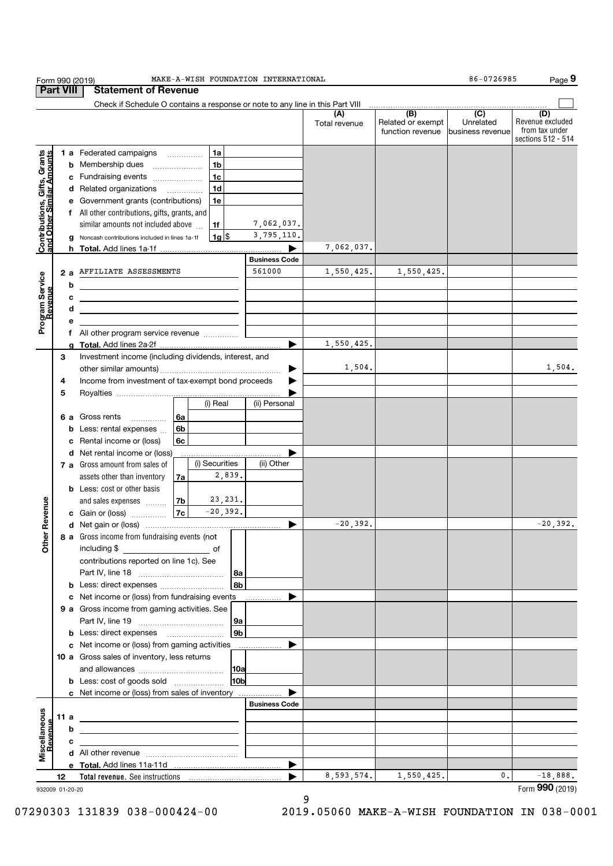| Form 990 (2019)                                           |      |   | MAKE-A-WISH FOUNDATION INTERNATIONAL                                                                                                                                                                                                 |                      |                      |                                       | 86-0726985                                          | Page 9                                                          |  |  |
|-----------------------------------------------------------|------|---|--------------------------------------------------------------------------------------------------------------------------------------------------------------------------------------------------------------------------------------|----------------------|----------------------|---------------------------------------|-----------------------------------------------------|-----------------------------------------------------------------|--|--|
| <b>Part VIII</b><br><b>Statement of Revenue</b>           |      |   |                                                                                                                                                                                                                                      |                      |                      |                                       |                                                     |                                                                 |  |  |
|                                                           |      |   | Check if Schedule O contains a response or note to any line in this Part VIII                                                                                                                                                        |                      |                      |                                       | $\overline{(\mathsf{B})}$ $\overline{(\mathsf{C})}$ |                                                                 |  |  |
|                                                           |      |   |                                                                                                                                                                                                                                      |                      | (A)<br>Total revenue | Related or exempt<br>function revenue | Unrelated<br>business revenue                       | (D)<br>Revenue excluded<br>from tax under<br>sections 512 - 514 |  |  |
|                                                           |      |   | 1a<br><b>1 a</b> Federated campaigns                                                                                                                                                                                                 |                      |                      |                                       |                                                     |                                                                 |  |  |
| Contributions, Gifts, Grants<br>and Other Similar Amounts |      |   | 1 <sub>b</sub><br><b>b</b> Membership dues                                                                                                                                                                                           |                      |                      |                                       |                                                     |                                                                 |  |  |
|                                                           |      |   | 1 <sub>c</sub><br>c Fundraising events                                                                                                                                                                                               |                      |                      |                                       |                                                     |                                                                 |  |  |
|                                                           |      |   | 1 <sub>d</sub><br>d Related organizations                                                                                                                                                                                            |                      |                      |                                       |                                                     |                                                                 |  |  |
|                                                           |      |   | e Government grants (contributions)<br>1e                                                                                                                                                                                            |                      |                      |                                       |                                                     |                                                                 |  |  |
|                                                           |      |   | f All other contributions, gifts, grants, and                                                                                                                                                                                        |                      |                      |                                       |                                                     |                                                                 |  |  |
|                                                           |      |   | similar amounts not included above<br>1f                                                                                                                                                                                             | 7,062,037.           |                      |                                       |                                                     |                                                                 |  |  |
|                                                           |      |   | $1g$ \$<br>g Noncash contributions included in lines 1a-1f                                                                                                                                                                           | 3,795,110.           |                      |                                       |                                                     |                                                                 |  |  |
|                                                           |      |   |                                                                                                                                                                                                                                      |                      | 7,062,037.           |                                       |                                                     |                                                                 |  |  |
|                                                           |      |   |                                                                                                                                                                                                                                      | <b>Business Code</b> |                      |                                       |                                                     |                                                                 |  |  |
|                                                           |      |   | 2 a AFFILIATE ASSESSMENTS                                                                                                                                                                                                            | 561000               | 1,550,425.           | 1,550,425.                            |                                                     |                                                                 |  |  |
| Program Service                                           |      | b |                                                                                                                                                                                                                                      |                      |                      |                                       |                                                     |                                                                 |  |  |
|                                                           |      | c |                                                                                                                                                                                                                                      |                      |                      |                                       |                                                     |                                                                 |  |  |
|                                                           |      | d | <u>and the state of the state of the state of the state of the state of the state of the state of the state of the state of the state of the state of the state of the state of the state of the state of the state of the state</u> |                      |                      |                                       |                                                     |                                                                 |  |  |
|                                                           |      |   | <u> 1989 - Johann Barn, amerikansk politiker (d. 1989)</u>                                                                                                                                                                           |                      |                      |                                       |                                                     |                                                                 |  |  |
|                                                           |      | е | f All other program service revenue                                                                                                                                                                                                  |                      |                      |                                       |                                                     |                                                                 |  |  |
|                                                           |      |   |                                                                                                                                                                                                                                      |                      | 1,550,425.           |                                       |                                                     |                                                                 |  |  |
|                                                           | 3    |   | Investment income (including dividends, interest, and                                                                                                                                                                                |                      |                      |                                       |                                                     |                                                                 |  |  |
|                                                           |      |   |                                                                                                                                                                                                                                      | ▶                    | 1,504.               |                                       |                                                     | 1,504.                                                          |  |  |
|                                                           | 4    |   | Income from investment of tax-exempt bond proceeds                                                                                                                                                                                   |                      |                      |                                       |                                                     |                                                                 |  |  |
|                                                           | 5    |   |                                                                                                                                                                                                                                      |                      |                      |                                       |                                                     |                                                                 |  |  |
|                                                           |      |   | (i) Real                                                                                                                                                                                                                             | (ii) Personal        |                      |                                       |                                                     |                                                                 |  |  |
|                                                           |      |   | 6a                                                                                                                                                                                                                                   |                      |                      |                                       |                                                     |                                                                 |  |  |
|                                                           |      |   | 6 a Gross rents                                                                                                                                                                                                                      |                      |                      |                                       |                                                     |                                                                 |  |  |
|                                                           |      |   | 6b<br><b>b</b> Less: rental expenses<br>6c                                                                                                                                                                                           |                      |                      |                                       |                                                     |                                                                 |  |  |
|                                                           |      |   | c Rental income or (loss)                                                                                                                                                                                                            |                      |                      |                                       |                                                     |                                                                 |  |  |
|                                                           |      |   | d Net rental income or (loss)<br>(i) Securities                                                                                                                                                                                      | (ii) Other           |                      |                                       |                                                     |                                                                 |  |  |
|                                                           |      |   | 7 a Gross amount from sales of<br>2,839.                                                                                                                                                                                             |                      |                      |                                       |                                                     |                                                                 |  |  |
|                                                           |      |   | assets other than inventory<br>7a                                                                                                                                                                                                    |                      |                      |                                       |                                                     |                                                                 |  |  |
|                                                           |      |   | <b>b</b> Less: cost or other basis<br>23, 231.                                                                                                                                                                                       |                      |                      |                                       |                                                     |                                                                 |  |  |
|                                                           |      |   | and sales expenses<br>7b<br>$-20,392.$<br> 7c                                                                                                                                                                                        |                      |                      |                                       |                                                     |                                                                 |  |  |
| Revenue                                                   |      |   | c Gain or (loss)                                                                                                                                                                                                                     |                      | $-20,392.$           |                                       |                                                     | $-20,392.$                                                      |  |  |
|                                                           |      |   | 8 a Gross income from fundraising events (not                                                                                                                                                                                        | ▶                    |                      |                                       |                                                     |                                                                 |  |  |
| Other                                                     |      |   |                                                                                                                                                                                                                                      |                      |                      |                                       |                                                     |                                                                 |  |  |
|                                                           |      |   | including \$<br>contributions reported on line 1c). See                                                                                                                                                                              |                      |                      |                                       |                                                     |                                                                 |  |  |
|                                                           |      |   |                                                                                                                                                                                                                                      |                      |                      |                                       |                                                     |                                                                 |  |  |
|                                                           |      |   | 8a<br>8b                                                                                                                                                                                                                             |                      |                      |                                       |                                                     |                                                                 |  |  |
|                                                           |      |   |                                                                                                                                                                                                                                      |                      |                      |                                       |                                                     |                                                                 |  |  |
|                                                           |      |   | c Net income or (loss) from fundraising events                                                                                                                                                                                       |                      |                      |                                       |                                                     |                                                                 |  |  |
|                                                           |      |   | 9 a Gross income from gaming activities. See                                                                                                                                                                                         |                      |                      |                                       |                                                     |                                                                 |  |  |
|                                                           |      |   | 9a<br>9 <sub>b</sub>                                                                                                                                                                                                                 |                      |                      |                                       |                                                     |                                                                 |  |  |
|                                                           |      |   |                                                                                                                                                                                                                                      |                      |                      |                                       |                                                     |                                                                 |  |  |
|                                                           |      |   | c Net income or (loss) from gaming activities                                                                                                                                                                                        | .                    |                      |                                       |                                                     |                                                                 |  |  |
|                                                           |      |   | 10 a Gross sales of inventory, less returns                                                                                                                                                                                          |                      |                      |                                       |                                                     |                                                                 |  |  |
|                                                           |      |   | 10a                                                                                                                                                                                                                                  |                      |                      |                                       |                                                     |                                                                 |  |  |
|                                                           |      |   | <b>b</b> Less: cost of goods sold<br>10 <sub>b</sub>                                                                                                                                                                                 |                      |                      |                                       |                                                     |                                                                 |  |  |
|                                                           |      |   | c Net income or (loss) from sales of inventory                                                                                                                                                                                       | <b>Business Code</b> |                      |                                       |                                                     |                                                                 |  |  |
|                                                           |      |   |                                                                                                                                                                                                                                      |                      |                      |                                       |                                                     |                                                                 |  |  |
|                                                           | 11 a |   |                                                                                                                                                                                                                                      |                      |                      |                                       |                                                     |                                                                 |  |  |
| Miscellaneous<br>Revenue                                  |      | b | the control of the control of the control of the control of the control of                                                                                                                                                           |                      |                      |                                       |                                                     |                                                                 |  |  |
|                                                           |      | с | the control of the control of the control of the control of the control of                                                                                                                                                           |                      |                      |                                       |                                                     |                                                                 |  |  |
|                                                           |      |   |                                                                                                                                                                                                                                      |                      |                      |                                       |                                                     |                                                                 |  |  |
|                                                           |      |   |                                                                                                                                                                                                                                      | ▶                    |                      |                                       |                                                     |                                                                 |  |  |
|                                                           | 12   |   |                                                                                                                                                                                                                                      |                      | 8,593,574.           | 1,550,425.                            | $\mathbf{0}$ .                                      | $-18,888.$                                                      |  |  |
| 932009 01-20-20                                           |      |   |                                                                                                                                                                                                                                      |                      |                      |                                       |                                                     | Form 990 (2019)                                                 |  |  |

9 07290303 131839 038-000424-00 2019.05060 MAKE-A-WISH FOUNDATION IN 038-0001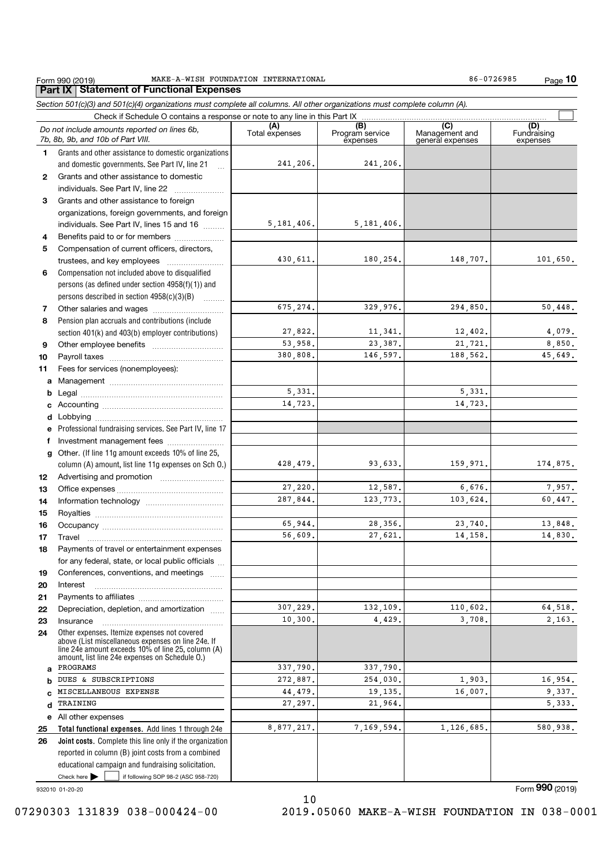### Form 990 (2019) MAKE-A-WISH\_FOUNDATION\_INTERNATIONAL 86-0726985 Page<br>| **Part IX | Statement of Functional Expenses** MAKE-A-WISH FOUNDATION INTERNATIONAL 86-0726985

|              | Section 501(c)(3) and 501(c)(4) organizations must complete all columns. All other organizations must complete column (A).<br>Check if Schedule O contains a response or note to any line in this Part IX |                |                        |                                    |                    |
|--------------|-----------------------------------------------------------------------------------------------------------------------------------------------------------------------------------------------------------|----------------|------------------------|------------------------------------|--------------------|
|              | Do not include amounts reported on lines 6b,                                                                                                                                                              | (A)            | (B)<br>Program service | (C)                                | (D)<br>Fundraising |
|              | 7b, 8b, 9b, and 10b of Part VIII.                                                                                                                                                                         | Total expenses | expenses               | Management and<br>general expenses | expenses           |
| $\mathbf{1}$ | Grants and other assistance to domestic organizations                                                                                                                                                     |                |                        |                                    |                    |
|              | and domestic governments. See Part IV, line 21<br>$\ddotsc$                                                                                                                                               | 241,206.       | 241,206.               |                                    |                    |
| 2            | Grants and other assistance to domestic                                                                                                                                                                   |                |                        |                                    |                    |
|              | individuals. See Part IV, line 22                                                                                                                                                                         |                |                        |                                    |                    |
| З            | Grants and other assistance to foreign                                                                                                                                                                    |                |                        |                                    |                    |
|              | organizations, foreign governments, and foreign                                                                                                                                                           |                |                        |                                    |                    |
|              | individuals. See Part IV, lines 15 and 16                                                                                                                                                                 | 5, 181, 406.   | 5, 181, 406.           |                                    |                    |
| 4            | Benefits paid to or for members                                                                                                                                                                           |                |                        |                                    |                    |
| 5            | Compensation of current officers, directors,                                                                                                                                                              |                |                        |                                    |                    |
|              |                                                                                                                                                                                                           | 430,611.       | 180,254.               | 148,707.                           | 101,650.           |
| 6            | Compensation not included above to disqualified                                                                                                                                                           |                |                        |                                    |                    |
|              | persons (as defined under section 4958(f)(1)) and                                                                                                                                                         |                |                        |                                    |                    |
|              | persons described in section 4958(c)(3)(B)                                                                                                                                                                |                |                        |                                    |                    |
| 7            |                                                                                                                                                                                                           | 675,274.       | 329,976.               | 294,850.                           | 50,448.            |
| 8            | Pension plan accruals and contributions (include                                                                                                                                                          |                |                        |                                    |                    |
|              | section 401(k) and 403(b) employer contributions)                                                                                                                                                         | 27,822.        | 11,341.                | 12,402.                            | 4,079.             |
| 9            |                                                                                                                                                                                                           | 53,958.        | 23,387.                | 21,721.                            | 8,850.             |
| 10           |                                                                                                                                                                                                           | 380,808.       | 146,597.               | 188,562.                           | 45,649.            |
| 11           | Fees for services (nonemployees):                                                                                                                                                                         |                |                        |                                    |                    |
| a            |                                                                                                                                                                                                           |                |                        |                                    |                    |
| b            |                                                                                                                                                                                                           | 5,331.         |                        | 5,331.                             |                    |
| c            |                                                                                                                                                                                                           | 14,723.        |                        | 14,723.                            |                    |
|              |                                                                                                                                                                                                           |                |                        |                                    |                    |
|              | e Professional fundraising services. See Part IV, line 17                                                                                                                                                 |                |                        |                                    |                    |
| f.           | Investment management fees                                                                                                                                                                                |                |                        |                                    |                    |
| $\mathbf{q}$ | Other. (If line 11g amount exceeds 10% of line 25,                                                                                                                                                        |                |                        |                                    |                    |
|              | column (A) amount, list line 11g expenses on Sch O.)                                                                                                                                                      | 428,479.       | 93,633.                | 159,971.                           | 174,875.           |
| 12           |                                                                                                                                                                                                           |                |                        |                                    |                    |
| 13           |                                                                                                                                                                                                           | 27,220.        | 12,587.                | 6,676.                             | 7,957.             |
| 14           |                                                                                                                                                                                                           | 287,844.       | 123,773.               | 103,624.                           | 60,447.            |
| 15           |                                                                                                                                                                                                           |                |                        |                                    |                    |
| 16           |                                                                                                                                                                                                           | 65,944.        | 28,356.                | 23,740.                            | 13,848.            |
| 17           |                                                                                                                                                                                                           | 56,609.        | 27,621.                | 14,158.                            | 14,830.            |
| 18           | Payments of travel or entertainment expenses                                                                                                                                                              |                |                        |                                    |                    |
|              | for any federal, state, or local public officials                                                                                                                                                         |                |                        |                                    |                    |
| 19           | Conferences, conventions, and meetings                                                                                                                                                                    |                |                        |                                    |                    |
| 20           | Interest                                                                                                                                                                                                  |                |                        |                                    |                    |
| 21           | Depreciation, depletion, and amortization                                                                                                                                                                 | 307,229.       | 132,109.               | 110,602.                           | 64,518.            |
| 22           |                                                                                                                                                                                                           | 10,300.        | 4,429.                 | 3,708.                             | 2,163.             |
| 23           | Insurance<br>Other expenses. Itemize expenses not covered                                                                                                                                                 |                |                        |                                    |                    |
| 24           | above (List miscellaneous expenses on line 24e. If<br>line 24e amount exceeds 10% of line 25, column (A)<br>amount, list line 24e expenses on Schedule O.)                                                |                |                        |                                    |                    |
| a            | PROGRAMS                                                                                                                                                                                                  | 337,790.       | 337,790.               |                                    |                    |
| b            | DUES & SUBSCRIPTIONS                                                                                                                                                                                      | 272,887.       | 254,030.               | 1,903.                             | 16,954.            |
| C            | MISCELLANEOUS EXPENSE                                                                                                                                                                                     | 44,479.        | 19,135.                | 16,007.                            | 9,337.             |
| d            | TRAINING                                                                                                                                                                                                  | 27,297.        | 21,964.                |                                    | 5,333.             |
| е            | All other expenses                                                                                                                                                                                        |                |                        |                                    |                    |
| 25           | Total functional expenses. Add lines 1 through 24e                                                                                                                                                        | 8,877,217.     | 7,169,594.             | 1,126,685.                         | 580,938.           |
| 26           | Joint costs. Complete this line only if the organization                                                                                                                                                  |                |                        |                                    |                    |
|              | reported in column (B) joint costs from a combined                                                                                                                                                        |                |                        |                                    |                    |
|              | educational campaign and fundraising solicitation.                                                                                                                                                        |                |                        |                                    |                    |
|              | Check here $\blacktriangleright$<br>if following SOP 98-2 (ASC 958-720)                                                                                                                                   |                |                        |                                    |                    |
|              | 932010 01-20-20                                                                                                                                                                                           |                |                        |                                    | Form 990 (2019     |

Page 10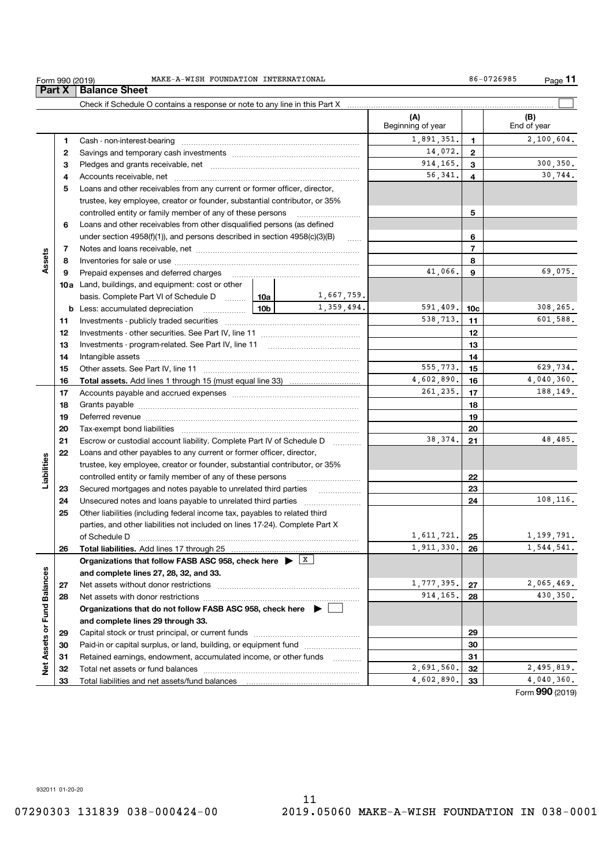|                             | Form 990 (2019) | MAKE-A-WISH FOUNDATION INTERNATIONAL                                                                                                                                                                                           |            |                          |                                                                                                                                                                                                                                         |                 | Page 11    |
|-----------------------------|-----------------|--------------------------------------------------------------------------------------------------------------------------------------------------------------------------------------------------------------------------------|------------|--------------------------|-----------------------------------------------------------------------------------------------------------------------------------------------------------------------------------------------------------------------------------------|-----------------|------------|
|                             | <b>Part X</b>   | <b>Balance Sheet</b>                                                                                                                                                                                                           |            |                          |                                                                                                                                                                                                                                         |                 |            |
|                             |                 |                                                                                                                                                                                                                                |            |                          | 86-0726985<br>(B)<br>1<br>$\mathbf{2}$<br>3<br>4<br>5<br>6<br>$\overline{7}$<br>8<br>9<br>10c<br>11<br>12<br>13<br>14<br>15<br>16<br>17<br>18<br>19<br>20<br>21<br>22<br>23<br>24<br>25<br>26<br>27<br>28<br>29<br>30<br>31<br>32<br>33 |                 |            |
|                             |                 |                                                                                                                                                                                                                                |            | (A)<br>Beginning of year |                                                                                                                                                                                                                                         | End of year     |            |
|                             | 1               |                                                                                                                                                                                                                                |            | 1,891,351.               |                                                                                                                                                                                                                                         |                 | 2,100,604. |
|                             | 2               |                                                                                                                                                                                                                                |            | 14,072.                  |                                                                                                                                                                                                                                         |                 |            |
|                             | 3               |                                                                                                                                                                                                                                |            | 914, 165.                |                                                                                                                                                                                                                                         |                 | 300, 350.  |
|                             | 4               |                                                                                                                                                                                                                                |            | 56,341.                  |                                                                                                                                                                                                                                         |                 | 30,744.    |
|                             | 5               | Loans and other receivables from any current or former officer, director,                                                                                                                                                      |            |                          |                                                                                                                                                                                                                                         |                 |            |
|                             |                 | trustee, key employee, creator or founder, substantial contributor, or 35%                                                                                                                                                     |            |                          |                                                                                                                                                                                                                                         |                 |            |
|                             |                 | controlled entity or family member of any of these persons                                                                                                                                                                     |            |                          |                                                                                                                                                                                                                                         |                 |            |
|                             | 6               | Loans and other receivables from other disqualified persons (as defined                                                                                                                                                        |            |                          |                                                                                                                                                                                                                                         |                 |            |
|                             |                 | under section $4958(f)(1)$ , and persons described in section $4958(c)(3)(B)$                                                                                                                                                  | $\ldots$   |                          |                                                                                                                                                                                                                                         |                 |            |
|                             | 7               |                                                                                                                                                                                                                                |            |                          |                                                                                                                                                                                                                                         |                 |            |
| Assets                      | 8               |                                                                                                                                                                                                                                |            |                          |                                                                                                                                                                                                                                         |                 |            |
|                             | 9               | Prepaid expenses and deferred charges                                                                                                                                                                                          |            | 41,066.                  |                                                                                                                                                                                                                                         |                 | 69,075.    |
|                             |                 | 10a Land, buildings, and equipment: cost or other                                                                                                                                                                              |            |                          |                                                                                                                                                                                                                                         |                 |            |
|                             |                 | basis. Complete Part VI of Schedule D  10a   10a   1,667, 759.                                                                                                                                                                 |            |                          |                                                                                                                                                                                                                                         |                 |            |
|                             |                 | <b>10b</b><br><b>b</b> Less: accumulated depreciation                                                                                                                                                                          | 1,359,494. | 591,409.                 |                                                                                                                                                                                                                                         |                 | 308,265.   |
|                             | 11              |                                                                                                                                                                                                                                |            | 538,713.                 |                                                                                                                                                                                                                                         |                 | 601,588.   |
|                             | 12              | Investments - other securities. See Part IV, line 11                                                                                                                                                                           |            |                          |                                                                                                                                                                                                                                         |                 |            |
|                             | 13              |                                                                                                                                                                                                                                |            |                          |                                                                                                                                                                                                                                         |                 |            |
|                             | 14              | Intangible assets                                                                                                                                                                                                              |            |                          |                                                                                                                                                                                                                                         |                 |            |
|                             | 15              |                                                                                                                                                                                                                                |            | 555.773.                 |                                                                                                                                                                                                                                         |                 | 629,734.   |
|                             | 16              |                                                                                                                                                                                                                                |            | 4,602,890.               |                                                                                                                                                                                                                                         |                 | 4,040,360. |
|                             | 17              |                                                                                                                                                                                                                                |            | 261,235.                 |                                                                                                                                                                                                                                         |                 | 188,149.   |
|                             | 18              |                                                                                                                                                                                                                                |            |                          |                                                                                                                                                                                                                                         |                 |            |
|                             | 19              | Deferred revenue manual contracts and contracts are all the contracts and contracts are contracted and contracts are contracted and contract are contracted and contract are contracted and contract are contracted and contra |            |                          |                                                                                                                                                                                                                                         |                 |            |
|                             | 20              |                                                                                                                                                                                                                                |            | 38,374.                  |                                                                                                                                                                                                                                         |                 | 48,485.    |
|                             | 21              | Escrow or custodial account liability. Complete Part IV of Schedule D                                                                                                                                                          |            |                          |                                                                                                                                                                                                                                         |                 |            |
|                             | 22              | Loans and other payables to any current or former officer, director,                                                                                                                                                           |            |                          |                                                                                                                                                                                                                                         |                 |            |
|                             |                 | trustee, key employee, creator or founder, substantial contributor, or 35%                                                                                                                                                     |            |                          |                                                                                                                                                                                                                                         |                 |            |
| Liabilities                 |                 | controlled entity or family member of any of these persons<br>Secured mortgages and notes payable to unrelated third parties                                                                                                   |            |                          |                                                                                                                                                                                                                                         |                 |            |
|                             | 23<br>24        |                                                                                                                                                                                                                                |            |                          |                                                                                                                                                                                                                                         |                 | 108, 116.  |
|                             | 25              | Other liabilities (including federal income tax, payables to related third                                                                                                                                                     |            |                          |                                                                                                                                                                                                                                         |                 |            |
|                             |                 | parties, and other liabilities not included on lines 17-24). Complete Part X                                                                                                                                                   |            |                          |                                                                                                                                                                                                                                         |                 |            |
|                             |                 | of Schedule D                                                                                                                                                                                                                  |            | 1,611,721.               |                                                                                                                                                                                                                                         |                 | 1,199,791. |
|                             | 26              | Total liabilities. Add lines 17 through 25                                                                                                                                                                                     |            | 1,911,330.               |                                                                                                                                                                                                                                         |                 | 1,544,541. |
|                             |                 | Organizations that follow FASB ASC 958, check here $\blacktriangleright$ $\boxed{\text{X}}$                                                                                                                                    |            |                          |                                                                                                                                                                                                                                         |                 |            |
|                             |                 | and complete lines 27, 28, 32, and 33.                                                                                                                                                                                         |            |                          |                                                                                                                                                                                                                                         |                 |            |
|                             | 27              | Net assets without donor restrictions                                                                                                                                                                                          |            | 1,777,395.               |                                                                                                                                                                                                                                         |                 | 2,065,469. |
|                             | 28              |                                                                                                                                                                                                                                |            | 914, 165.                |                                                                                                                                                                                                                                         |                 | 430,350.   |
|                             |                 | Organizations that do not follow FASB ASC 958, check here $\blacktriangleright$                                                                                                                                                |            |                          |                                                                                                                                                                                                                                         |                 |            |
|                             |                 | and complete lines 29 through 33.                                                                                                                                                                                              |            |                          |                                                                                                                                                                                                                                         |                 |            |
|                             | 29              |                                                                                                                                                                                                                                |            |                          |                                                                                                                                                                                                                                         |                 |            |
|                             | 30              | Paid-in or capital surplus, or land, building, or equipment fund                                                                                                                                                               |            |                          |                                                                                                                                                                                                                                         |                 |            |
| Net Assets or Fund Balances | 31              | Retained earnings, endowment, accumulated income, or other funds                                                                                                                                                               |            |                          |                                                                                                                                                                                                                                         |                 |            |
|                             | 32              |                                                                                                                                                                                                                                |            | 2,691,560.               |                                                                                                                                                                                                                                         |                 | 2,495,819. |
|                             | 33              |                                                                                                                                                                                                                                |            | 4,602,890.               |                                                                                                                                                                                                                                         |                 | 4,040,360. |
|                             |                 |                                                                                                                                                                                                                                |            |                          |                                                                                                                                                                                                                                         | Form 990 (2019) |            |

932011 01-20-20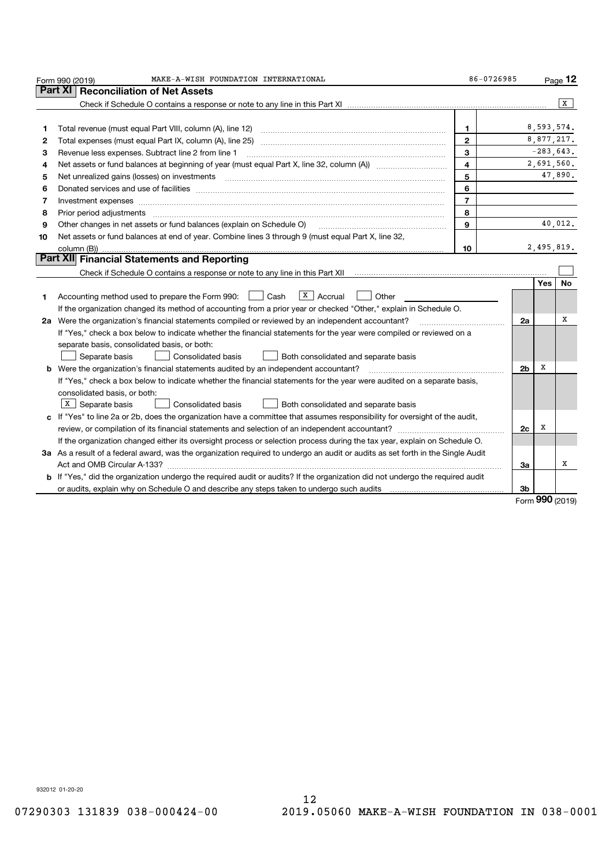|    | MAKE-A-WISH FOUNDATION INTERNATIONAL<br>Form 990 (2019)                                                                                                                                                                        | 86-0726985              |                |            | Page 12         |
|----|--------------------------------------------------------------------------------------------------------------------------------------------------------------------------------------------------------------------------------|-------------------------|----------------|------------|-----------------|
|    | Part XI I<br><b>Reconciliation of Net Assets</b>                                                                                                                                                                               |                         |                |            |                 |
|    |                                                                                                                                                                                                                                |                         |                |            | X               |
|    |                                                                                                                                                                                                                                |                         |                |            |                 |
| 1  |                                                                                                                                                                                                                                | 1                       |                | 8,593,574. |                 |
| 2  |                                                                                                                                                                                                                                | $\overline{2}$          |                | 8,877,217. |                 |
| З  | Revenue less expenses. Subtract line 2 from line 1                                                                                                                                                                             | 3                       |                |            | $-283,643.$     |
| 4  |                                                                                                                                                                                                                                | $\overline{\mathbf{4}}$ |                |            | 2,691,560.      |
| 5  | Net unrealized gains (losses) on investments [11] matter contracts and the state of the state of the state of the state of the state of the state of the state of the state of the state of the state of the state of the stat | 5                       |                |            | 47,890.         |
| 6  |                                                                                                                                                                                                                                | 6                       |                |            |                 |
| 7  |                                                                                                                                                                                                                                | $\overline{7}$          |                |            |                 |
| 8  |                                                                                                                                                                                                                                | 8                       |                |            |                 |
| 9  | Other changes in net assets or fund balances (explain on Schedule O)                                                                                                                                                           | 9                       |                |            | 40,012.         |
| 10 | Net assets or fund balances at end of year. Combine lines 3 through 9 (must equal Part X, line 32,                                                                                                                             |                         |                |            |                 |
|    |                                                                                                                                                                                                                                | 10                      |                | 2,495,819. |                 |
|    | <b>Part XII</b> Financial Statements and Reporting                                                                                                                                                                             |                         |                |            |                 |
|    |                                                                                                                                                                                                                                |                         |                |            |                 |
|    |                                                                                                                                                                                                                                |                         |                | <b>Yes</b> | No              |
| 1  | $X$ Accrual<br>Accounting method used to prepare the Form 990:     Cash<br>Other                                                                                                                                               |                         |                |            |                 |
|    | If the organization changed its method of accounting from a prior year or checked "Other," explain in Schedule O.                                                                                                              |                         |                |            |                 |
|    | 2a Were the organization's financial statements compiled or reviewed by an independent accountant?                                                                                                                             |                         | 2a             |            | X               |
|    | If "Yes," check a box below to indicate whether the financial statements for the year were compiled or reviewed on a                                                                                                           |                         |                |            |                 |
|    | separate basis, consolidated basis, or both:                                                                                                                                                                                   |                         |                |            |                 |
|    | Separate basis<br>Consolidated basis<br>Both consolidated and separate basis                                                                                                                                                   |                         |                |            |                 |
| b  | Were the organization's financial statements audited by an independent accountant?                                                                                                                                             |                         | 2 <sub>b</sub> | х          |                 |
|    | If "Yes," check a box below to indicate whether the financial statements for the year were audited on a separate basis,                                                                                                        |                         |                |            |                 |
|    | consolidated basis, or both:                                                                                                                                                                                                   |                         |                |            |                 |
|    | $\vert$ X $\vert$ Separate basis<br>Consolidated basis<br>Both consolidated and separate basis                                                                                                                                 |                         |                |            |                 |
|    | c If "Yes" to line 2a or 2b, does the organization have a committee that assumes responsibility for oversight of the audit,                                                                                                    |                         |                |            |                 |
|    |                                                                                                                                                                                                                                |                         | 2c             | X          |                 |
|    | If the organization changed either its oversight process or selection process during the tax year, explain on Schedule O.                                                                                                      |                         |                |            |                 |
|    | 3a As a result of a federal award, was the organization required to undergo an audit or audits as set forth in the Single Audit                                                                                                |                         |                |            |                 |
|    |                                                                                                                                                                                                                                |                         | За             |            | х               |
|    | b If "Yes," did the organization undergo the required audit or audits? If the organization did not undergo the required audit                                                                                                  |                         |                |            |                 |
|    |                                                                                                                                                                                                                                |                         | 3 <sub>b</sub> |            |                 |
|    |                                                                                                                                                                                                                                |                         |                |            | Form 990 (2019) |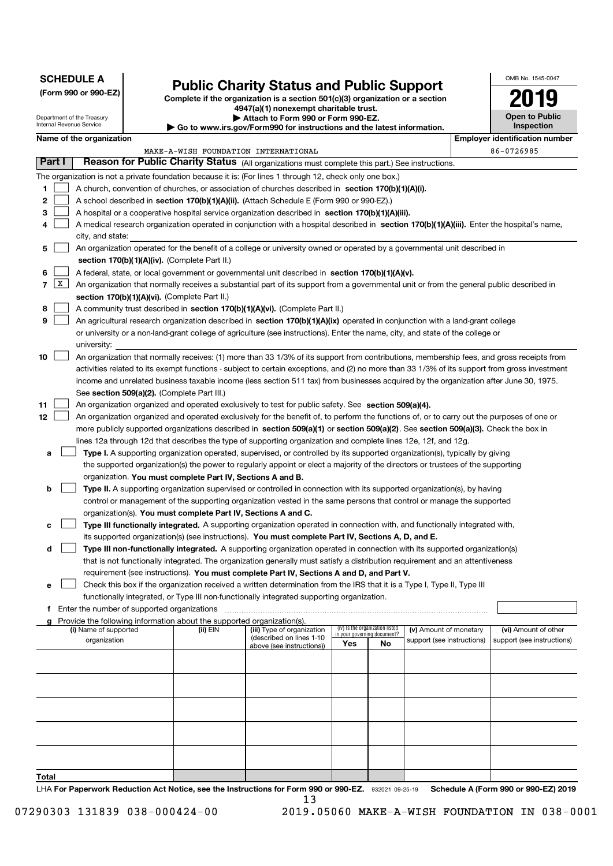| <b>SCHEDULE A</b><br>(Form 990 or 990-EZ)<br>Department of the Treasury                                                                                                                                                                                      | <b>Public Charity Status and Public Support</b><br>Complete if the organization is a section 501(c)(3) organization or a section<br>4947(a)(1) nonexempt charitable trust.<br>Attach to Form 990 or Form 990-EZ. |                            |                                            |  |  |
|--------------------------------------------------------------------------------------------------------------------------------------------------------------------------------------------------------------------------------------------------------------|------------------------------------------------------------------------------------------------------------------------------------------------------------------------------------------------------------------|----------------------------|--------------------------------------------|--|--|
| Internal Revenue Service<br>$\blacktriangleright$ Go to www.irs.gov/Form990 for instructions and the latest information.                                                                                                                                     |                                                                                                                                                                                                                  |                            | <b>Open to Public</b><br><b>Inspection</b> |  |  |
| Name of the organization                                                                                                                                                                                                                                     |                                                                                                                                                                                                                  |                            | <b>Employer identification number</b>      |  |  |
| MAKE-A-WISH FOUNDATION INTERNATIONAL<br>Part I                                                                                                                                                                                                               |                                                                                                                                                                                                                  |                            | 86-0726985                                 |  |  |
| Reason for Public Charity Status (All organizations must complete this part.) See instructions.                                                                                                                                                              |                                                                                                                                                                                                                  |                            |                                            |  |  |
| The organization is not a private foundation because it is: (For lines 1 through 12, check only one box.)<br>1<br>A church, convention of churches, or association of churches described in section 170(b)(1)(A)(i).                                         |                                                                                                                                                                                                                  |                            |                                            |  |  |
| 2<br>A school described in section 170(b)(1)(A)(ii). (Attach Schedule E (Form 990 or 990-EZ).)                                                                                                                                                               |                                                                                                                                                                                                                  |                            |                                            |  |  |
| 3<br>A hospital or a cooperative hospital service organization described in section 170(b)(1)(A)(iii).                                                                                                                                                       |                                                                                                                                                                                                                  |                            |                                            |  |  |
| A medical research organization operated in conjunction with a hospital described in section 170(b)(1)(A)(iii). Enter the hospital's name,<br>4                                                                                                              |                                                                                                                                                                                                                  |                            |                                            |  |  |
| city, and state:                                                                                                                                                                                                                                             |                                                                                                                                                                                                                  |                            |                                            |  |  |
| An organization operated for the benefit of a college or university owned or operated by a governmental unit described in<br>5                                                                                                                               |                                                                                                                                                                                                                  |                            |                                            |  |  |
| section 170(b)(1)(A)(iv). (Complete Part II.)                                                                                                                                                                                                                |                                                                                                                                                                                                                  |                            |                                            |  |  |
| 6<br>A federal, state, or local government or governmental unit described in section 170(b)(1)(A)(v).<br>X<br>7<br>An organization that normally receives a substantial part of its support from a governmental unit or from the general public described in |                                                                                                                                                                                                                  |                            |                                            |  |  |
| section 170(b)(1)(A)(vi). (Complete Part II.)                                                                                                                                                                                                                |                                                                                                                                                                                                                  |                            |                                            |  |  |
| A community trust described in section 170(b)(1)(A)(vi). (Complete Part II.)<br>8                                                                                                                                                                            |                                                                                                                                                                                                                  |                            |                                            |  |  |
| 9<br>An agricultural research organization described in section 170(b)(1)(A)(ix) operated in conjunction with a land-grant college                                                                                                                           |                                                                                                                                                                                                                  |                            |                                            |  |  |
| or university or a non-land-grant college of agriculture (see instructions). Enter the name, city, and state of the college or                                                                                                                               |                                                                                                                                                                                                                  |                            |                                            |  |  |
| university:<br>An organization that normally receives: (1) more than 33 1/3% of its support from contributions, membership fees, and gross receipts from<br>10                                                                                               |                                                                                                                                                                                                                  |                            |                                            |  |  |
| activities related to its exempt functions - subject to certain exceptions, and (2) no more than 33 1/3% of its support from gross investment                                                                                                                |                                                                                                                                                                                                                  |                            |                                            |  |  |
| income and unrelated business taxable income (less section 511 tax) from businesses acquired by the organization after June 30, 1975.                                                                                                                        |                                                                                                                                                                                                                  |                            |                                            |  |  |
| See section 509(a)(2). (Complete Part III.)                                                                                                                                                                                                                  |                                                                                                                                                                                                                  |                            |                                            |  |  |
| 11<br>An organization organized and operated exclusively to test for public safety. See section 509(a)(4).                                                                                                                                                   |                                                                                                                                                                                                                  |                            |                                            |  |  |
| 12<br>An organization organized and operated exclusively for the benefit of, to perform the functions of, or to carry out the purposes of one or                                                                                                             |                                                                                                                                                                                                                  |                            |                                            |  |  |
| more publicly supported organizations described in section 509(a)(1) or section 509(a)(2). See section 509(a)(3). Check the box in                                                                                                                           |                                                                                                                                                                                                                  |                            |                                            |  |  |
| lines 12a through 12d that describes the type of supporting organization and complete lines 12e, 12f, and 12g.<br>Type I. A supporting organization operated, supervised, or controlled by its supported organization(s), typically by giving<br>a           |                                                                                                                                                                                                                  |                            |                                            |  |  |
| the supported organization(s) the power to regularly appoint or elect a majority of the directors or trustees of the supporting                                                                                                                              |                                                                                                                                                                                                                  |                            |                                            |  |  |
| organization. You must complete Part IV, Sections A and B.                                                                                                                                                                                                   |                                                                                                                                                                                                                  |                            |                                            |  |  |
| Type II. A supporting organization supervised or controlled in connection with its supported organization(s), by having<br>b                                                                                                                                 |                                                                                                                                                                                                                  |                            |                                            |  |  |
| control or management of the supporting organization vested in the same persons that control or manage the supported                                                                                                                                         |                                                                                                                                                                                                                  |                            |                                            |  |  |
| organization(s). You must complete Part IV, Sections A and C.                                                                                                                                                                                                |                                                                                                                                                                                                                  |                            |                                            |  |  |
| Type III functionally integrated. A supporting organization operated in connection with, and functionally integrated with,<br>с<br>its supported organization(s) (see instructions). You must complete Part IV, Sections A, D, and E.                        |                                                                                                                                                                                                                  |                            |                                            |  |  |
| Type III non-functionally integrated. A supporting organization operated in connection with its supported organization(s)<br>d                                                                                                                               |                                                                                                                                                                                                                  |                            |                                            |  |  |
| that is not functionally integrated. The organization generally must satisfy a distribution requirement and an attentiveness                                                                                                                                 |                                                                                                                                                                                                                  |                            |                                            |  |  |
| requirement (see instructions). You must complete Part IV, Sections A and D, and Part V.                                                                                                                                                                     |                                                                                                                                                                                                                  |                            |                                            |  |  |
| Check this box if the organization received a written determination from the IRS that it is a Type I, Type II, Type III<br>е                                                                                                                                 |                                                                                                                                                                                                                  |                            |                                            |  |  |
| functionally integrated, or Type III non-functionally integrated supporting organization.<br>f Enter the number of supported organizations                                                                                                                   |                                                                                                                                                                                                                  |                            |                                            |  |  |
| Provide the following information about the supported organization(s).                                                                                                                                                                                       |                                                                                                                                                                                                                  |                            |                                            |  |  |
| (i) Name of supported<br>(ii) EIN<br>(iii) Type of organization<br>(described on lines 1-10                                                                                                                                                                  | (iv) Is the organization listed<br>in your governing document?                                                                                                                                                   | (v) Amount of monetary     | (vi) Amount of other                       |  |  |
| organization<br>above (see instructions))                                                                                                                                                                                                                    | Yes<br>No                                                                                                                                                                                                        | support (see instructions) | support (see instructions)                 |  |  |
|                                                                                                                                                                                                                                                              |                                                                                                                                                                                                                  |                            |                                            |  |  |
|                                                                                                                                                                                                                                                              |                                                                                                                                                                                                                  |                            |                                            |  |  |
|                                                                                                                                                                                                                                                              |                                                                                                                                                                                                                  |                            |                                            |  |  |
|                                                                                                                                                                                                                                                              |                                                                                                                                                                                                                  |                            |                                            |  |  |
|                                                                                                                                                                                                                                                              |                                                                                                                                                                                                                  |                            |                                            |  |  |
|                                                                                                                                                                                                                                                              |                                                                                                                                                                                                                  |                            |                                            |  |  |
|                                                                                                                                                                                                                                                              |                                                                                                                                                                                                                  |                            |                                            |  |  |
|                                                                                                                                                                                                                                                              |                                                                                                                                                                                                                  |                            |                                            |  |  |
| Total                                                                                                                                                                                                                                                        |                                                                                                                                                                                                                  |                            |                                            |  |  |
| LHA For Paperwork Reduction Act Notice, see the Instructions for Form 990 or 990-EZ. 932021 09-25-19<br>13                                                                                                                                                   |                                                                                                                                                                                                                  |                            | Schedule A (Form 990 or 990-EZ) 2019       |  |  |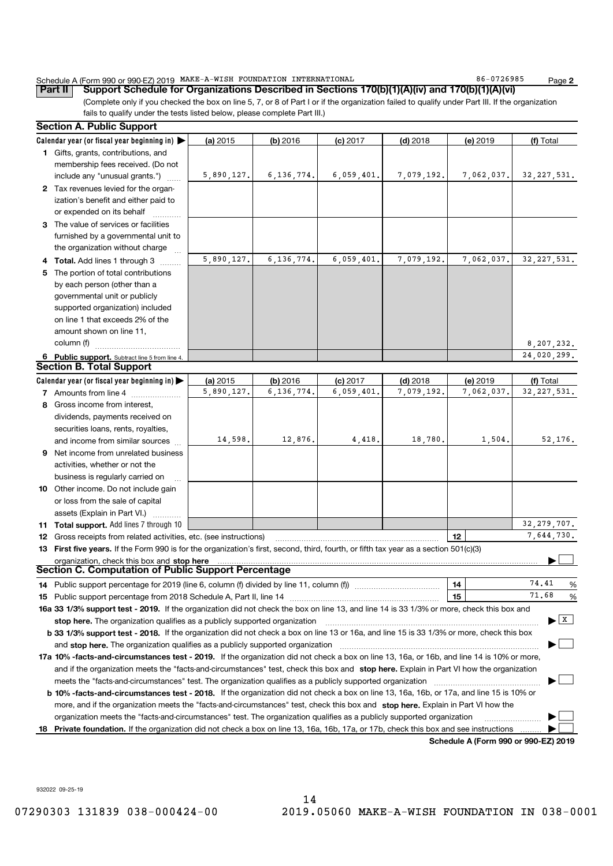#### MAKE-A-WISH FOUNDATION INTERNATIONAL **Example 186-0726985**

Schedule A (Form 990 or 990-EZ) 2019 MAKE-A-WISH FOUNDATION INTERNATIONAL<br>| **Part II** | **Support Schedule for Organizations Described in Sections 170(b)(1)(A)(iv) and 170(b)(1)(A)(vi)** 

Page 2

(Complete only if you checked the box on line 5, 7, or 8 of Part I or if the organization failed to qualify under Part III. If the organization fails to qualify under the tests listed below, please complete Part III.)

|     | <b>Section A. Public Support</b>                                                                                                                                                                                                                        |            |              |            |            |            |                                |
|-----|---------------------------------------------------------------------------------------------------------------------------------------------------------------------------------------------------------------------------------------------------------|------------|--------------|------------|------------|------------|--------------------------------|
|     | Calendar year (or fiscal year beginning in) $\blacktriangleright$                                                                                                                                                                                       | (a) $2015$ | $(b)$ 2016   | $(c)$ 2017 | $(d)$ 2018 | (e) 2019   | (f) Total                      |
|     | 1 Gifts, grants, contributions, and                                                                                                                                                                                                                     |            |              |            |            |            |                                |
|     | membership fees received. (Do not                                                                                                                                                                                                                       |            |              |            |            |            |                                |
|     | include any "unusual grants.")                                                                                                                                                                                                                          | 5,890,127. | 6, 136, 774. | 6,059,401. | 7,079,192. | 7,062,037. | 32, 227, 531.                  |
|     | 2 Tax revenues levied for the organ-                                                                                                                                                                                                                    |            |              |            |            |            |                                |
|     | ization's benefit and either paid to                                                                                                                                                                                                                    |            |              |            |            |            |                                |
|     | or expended on its behalf                                                                                                                                                                                                                               |            |              |            |            |            |                                |
|     | 3 The value of services or facilities                                                                                                                                                                                                                   |            |              |            |            |            |                                |
|     | furnished by a governmental unit to                                                                                                                                                                                                                     |            |              |            |            |            |                                |
|     | the organization without charge                                                                                                                                                                                                                         |            |              |            |            |            |                                |
|     | 4 Total. Add lines 1 through 3                                                                                                                                                                                                                          | 5,890,127. | 6,136,774.   | 6,059,401. | 7,079,192. | 7,062,037. | 32, 227, 531.                  |
| 5   | The portion of total contributions                                                                                                                                                                                                                      |            |              |            |            |            |                                |
|     | by each person (other than a                                                                                                                                                                                                                            |            |              |            |            |            |                                |
|     | governmental unit or publicly                                                                                                                                                                                                                           |            |              |            |            |            |                                |
|     | supported organization) included                                                                                                                                                                                                                        |            |              |            |            |            |                                |
|     | on line 1 that exceeds 2% of the                                                                                                                                                                                                                        |            |              |            |            |            |                                |
|     | amount shown on line 11,                                                                                                                                                                                                                                |            |              |            |            |            |                                |
|     | column (f)                                                                                                                                                                                                                                              |            |              |            |            |            | 8,207,232.                     |
|     | 6 Public support. Subtract line 5 from line 4.                                                                                                                                                                                                          |            |              |            |            |            | 24,020,299.                    |
|     | <b>Section B. Total Support</b>                                                                                                                                                                                                                         |            |              |            |            |            |                                |
|     | Calendar year (or fiscal year beginning in) $\blacktriangleright$                                                                                                                                                                                       | (a) $2015$ | $(b)$ 2016   | $(c)$ 2017 | $(d)$ 2018 | (e) 2019   | (f) Total                      |
|     | 7 Amounts from line 4<br>and a complete the complete state of the state of the state of the state of the state of the state of the state of the state of the state of the state of the state of the state of the state of the state of the state of the | 5,890,127. | 6, 136, 774, | 6,059,401  | 7,079,192. | 7,062,037. | 32, 227, 531.                  |
|     | 8 Gross income from interest,                                                                                                                                                                                                                           |            |              |            |            |            |                                |
|     | dividends, payments received on                                                                                                                                                                                                                         |            |              |            |            |            |                                |
|     | securities loans, rents, royalties,                                                                                                                                                                                                                     |            |              |            |            |            |                                |
|     | and income from similar sources                                                                                                                                                                                                                         | 14,598.    | 12,876.      | 4,418.     | 18,780.    | 1,504.     | 52,176.                        |
| 9   | Net income from unrelated business                                                                                                                                                                                                                      |            |              |            |            |            |                                |
|     | activities, whether or not the                                                                                                                                                                                                                          |            |              |            |            |            |                                |
|     | business is regularly carried on                                                                                                                                                                                                                        |            |              |            |            |            |                                |
|     | 10 Other income. Do not include gain                                                                                                                                                                                                                    |            |              |            |            |            |                                |
|     | or loss from the sale of capital                                                                                                                                                                                                                        |            |              |            |            |            |                                |
|     | assets (Explain in Part VI.)                                                                                                                                                                                                                            |            |              |            |            |            |                                |
|     | 11 Total support. Add lines 7 through 10                                                                                                                                                                                                                |            |              |            |            |            | 32, 279, 707.                  |
|     | <b>12</b> Gross receipts from related activities, etc. (see instructions)                                                                                                                                                                               |            |              |            |            | 12         | 7,644,730.                     |
|     | 13 First five years. If the Form 990 is for the organization's first, second, third, fourth, or fifth tax year as a section 501(c)(3)                                                                                                                   |            |              |            |            |            |                                |
|     | organization, check this box and stop here                                                                                                                                                                                                              |            |              |            |            |            |                                |
|     | Section C. Computation of Public Support Percentage                                                                                                                                                                                                     |            |              |            |            |            |                                |
|     |                                                                                                                                                                                                                                                         |            |              |            |            | 14         | 74.41<br>%                     |
|     | 15 Public support percentage from 2018 Schedule A, Part II, line 14                                                                                                                                                                                     |            |              |            |            | 15         | 71.68<br>%                     |
|     | 16a 33 1/3% support test - 2019. If the organization did not check the box on line 13, and line 14 is 33 1/3% or more, check this box and                                                                                                               |            |              |            |            |            |                                |
|     | stop here. The organization qualifies as a publicly supported organization                                                                                                                                                                              |            |              |            |            |            | $\blacktriangleright$ $\mid$ X |
|     | b 33 1/3% support test - 2018. If the organization did not check a box on line 13 or 16a, and line 15 is 33 1/3% or more, check this box                                                                                                                |            |              |            |            |            |                                |
|     | and stop here. The organization qualifies as a publicly supported organization                                                                                                                                                                          |            |              |            |            |            |                                |
|     | 17a 10% -facts-and-circumstances test - 2019. If the organization did not check a box on line 13, 16a, or 16b, and line 14 is 10% or more,                                                                                                              |            |              |            |            |            |                                |
|     | and if the organization meets the "facts-and-circumstances" test, check this box and stop here. Explain in Part VI how the organization                                                                                                                 |            |              |            |            |            |                                |
|     | meets the "facts-and-circumstances" test. The organization qualifies as a publicly supported organization                                                                                                                                               |            |              |            |            |            |                                |
|     | b 10% -facts-and-circumstances test - 2018. If the organization did not check a box on line 13, 16a, 16b, or 17a, and line 15 is 10% or                                                                                                                 |            |              |            |            |            |                                |
|     | more, and if the organization meets the "facts-and-circumstances" test, check this box and stop here. Explain in Part VI how the                                                                                                                        |            |              |            |            |            |                                |
|     | organization meets the "facts-and-circumstances" test. The organization qualifies as a publicly supported organization                                                                                                                                  |            |              |            |            |            |                                |
|     | Private foundation. If the organization did not check a box on line 13, 16a, 16b, 17a, or 17b, check this box and see instructions                                                                                                                      |            |              |            |            |            |                                |
| 18. |                                                                                                                                                                                                                                                         |            |              |            |            |            |                                |

Schedule A (Form 990 or 990-EZ) 2019

932022 09-25-19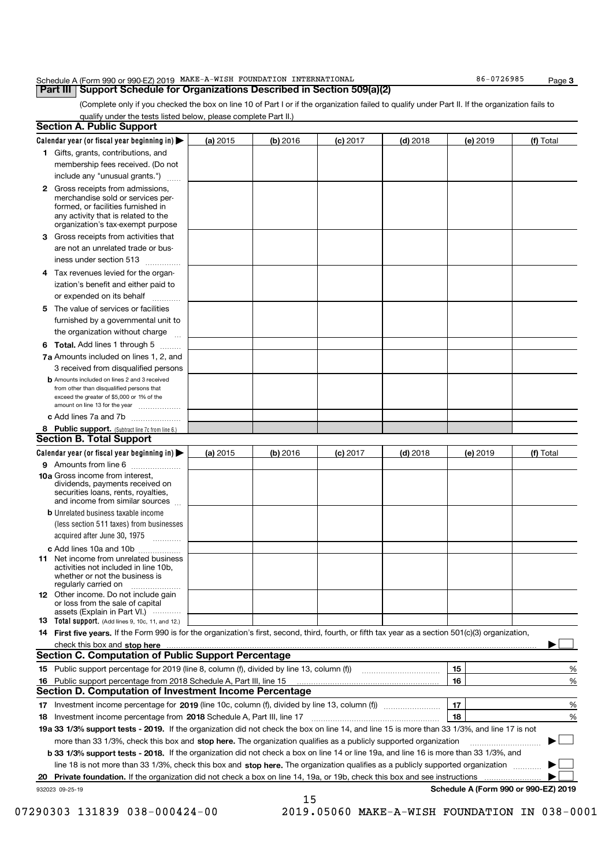| Schedule A (Form 990 or 990-EZ) 2019  MAKE-A-WISH  FOUNDATION  INTERNATIONAL        |  | 86-0726985 | Page |
|-------------------------------------------------------------------------------------|--|------------|------|
| <b>Part III   Support Schedule for Organizations Described in Section 509(a)(2)</b> |  |            |      |

(Complete only if you checked the box on line 10 of Part I or if the organization failed to qualify under Part II. If the organization fails to qualify under the tests listed below, please complete Part II.)

|   | <b>Section A. Public Support</b>                                                                                                                    |            |            |            |            |                                      |           |
|---|-----------------------------------------------------------------------------------------------------------------------------------------------------|------------|------------|------------|------------|--------------------------------------|-----------|
|   | Calendar year (or fiscal year beginning in) >                                                                                                       | (a) 2015   | $(b)$ 2016 | $(c)$ 2017 | $(d)$ 2018 | (e) 2019                             | (f) Total |
|   | 1 Gifts, grants, contributions, and                                                                                                                 |            |            |            |            |                                      |           |
|   | membership fees received. (Do not                                                                                                                   |            |            |            |            |                                      |           |
|   | include any "unusual grants.")                                                                                                                      |            |            |            |            |                                      |           |
|   | 2 Gross receipts from admissions,                                                                                                                   |            |            |            |            |                                      |           |
|   | merchandise sold or services per-                                                                                                                   |            |            |            |            |                                      |           |
|   | formed, or facilities furnished in<br>any activity that is related to the                                                                           |            |            |            |            |                                      |           |
|   | organization's tax-exempt purpose                                                                                                                   |            |            |            |            |                                      |           |
| З | Gross receipts from activities that                                                                                                                 |            |            |            |            |                                      |           |
|   | are not an unrelated trade or bus-                                                                                                                  |            |            |            |            |                                      |           |
|   | iness under section 513                                                                                                                             |            |            |            |            |                                      |           |
|   | 4 Tax revenues levied for the organ-                                                                                                                |            |            |            |            |                                      |           |
|   | ization's benefit and either paid to                                                                                                                |            |            |            |            |                                      |           |
|   | or expended on its behalf                                                                                                                           |            |            |            |            |                                      |           |
|   | 5 The value of services or facilities                                                                                                               |            |            |            |            |                                      |           |
|   | furnished by a governmental unit to                                                                                                                 |            |            |            |            |                                      |           |
|   | the organization without charge                                                                                                                     |            |            |            |            |                                      |           |
|   | <b>6 Total.</b> Add lines 1 through 5                                                                                                               |            |            |            |            |                                      |           |
|   | 7a Amounts included on lines 1, 2, and                                                                                                              |            |            |            |            |                                      |           |
|   | 3 received from disqualified persons                                                                                                                |            |            |            |            |                                      |           |
|   | <b>b</b> Amounts included on lines 2 and 3 received                                                                                                 |            |            |            |            |                                      |           |
|   | from other than disqualified persons that<br>exceed the greater of \$5,000 or 1% of the                                                             |            |            |            |            |                                      |           |
|   | amount on line 13 for the year                                                                                                                      |            |            |            |            |                                      |           |
|   | c Add lines 7a and 7b                                                                                                                               |            |            |            |            |                                      |           |
|   | 8 Public support. (Subtract line 7c from line 6.)                                                                                                   |            |            |            |            |                                      |           |
|   | <b>Section B. Total Support</b>                                                                                                                     |            |            |            |            |                                      |           |
|   | Calendar year (or fiscal year beginning in)                                                                                                         | (a) $2015$ | $(b)$ 2016 | $(c)$ 2017 | $(d)$ 2018 | (e) 2019                             | (f) Total |
|   | 9 Amounts from line 6                                                                                                                               |            |            |            |            |                                      |           |
|   | <b>10a</b> Gross income from interest,                                                                                                              |            |            |            |            |                                      |           |
|   | dividends, payments received on<br>securities loans, rents, royalties,                                                                              |            |            |            |            |                                      |           |
|   | and income from similar sources                                                                                                                     |            |            |            |            |                                      |           |
|   | <b>b</b> Unrelated business taxable income                                                                                                          |            |            |            |            |                                      |           |
|   | (less section 511 taxes) from businesses                                                                                                            |            |            |            |            |                                      |           |
|   | acquired after June 30, 1975                                                                                                                        |            |            |            |            |                                      |           |
|   | c Add lines 10a and 10b                                                                                                                             |            |            |            |            |                                      |           |
|   | <b>11</b> Net income from unrelated business                                                                                                        |            |            |            |            |                                      |           |
|   | activities not included in line 10b.<br>whether or not the business is                                                                              |            |            |            |            |                                      |           |
|   | regularly carried on                                                                                                                                |            |            |            |            |                                      |           |
|   | <b>12</b> Other income. Do not include gain                                                                                                         |            |            |            |            |                                      |           |
|   | or loss from the sale of capital<br>assets (Explain in Part VI.)                                                                                    |            |            |            |            |                                      |           |
|   | <b>13</b> Total support. (Add lines 9, 10c, 11, and 12.)                                                                                            |            |            |            |            |                                      |           |
|   | 14 First five years. If the Form 990 is for the organization's first, second, third, fourth, or fifth tax year as a section 501(c)(3) organization, |            |            |            |            |                                      |           |
|   | check this box and stop here                                                                                                                        |            |            |            |            |                                      |           |
|   | <b>Section C. Computation of Public Support Percentage</b>                                                                                          |            |            |            |            |                                      |           |
|   | 15 Public support percentage for 2019 (line 8, column (f), divided by line 13, column (f))                                                          |            |            |            |            | 15                                   | %         |
|   | 16 Public support percentage from 2018 Schedule A, Part III, line 15                                                                                |            |            |            |            | 16                                   | %         |
|   | Section D. Computation of Investment Income Percentage                                                                                              |            |            |            |            |                                      |           |
|   | 17 Investment income percentage for 2019 (line 10c, column (f), divided by line 13, column (f) <i>manuminiminim</i>                                 |            |            |            |            | 17                                   | %         |
|   | 18 Investment income percentage from 2018 Schedule A, Part III, line 17                                                                             |            |            |            |            | 18                                   | %         |
|   | 19a 33 1/3% support tests - 2019. If the organization did not check the box on line 14, and line 15 is more than 33 1/3%, and line 17 is not        |            |            |            |            |                                      |           |
|   | more than 33 1/3%, check this box and stop here. The organization qualifies as a publicly supported organization                                    |            |            |            |            |                                      | ▶         |
|   | b 33 1/3% support tests - 2018. If the organization did not check a box on line 14 or line 19a, and line 16 is more than 33 1/3%, and               |            |            |            |            |                                      |           |
|   | line 18 is not more than 33 1/3%, check this box and stop here. The organization qualifies as a publicly supported organization                     |            |            |            |            |                                      |           |
|   | 20 Private foundation. If the organization did not check a box on line 14, 19a, or 19b, check this box and see instructions                         |            |            |            |            |                                      |           |
|   | 932023 09-25-19                                                                                                                                     |            |            |            |            | Schedule A (Form 990 or 990-EZ) 2019 |           |

<sup>15</sup> 07290303 131839 038-000424-00 2019.05060 MAKE-A-WISH FOUNDATION IN 038-0001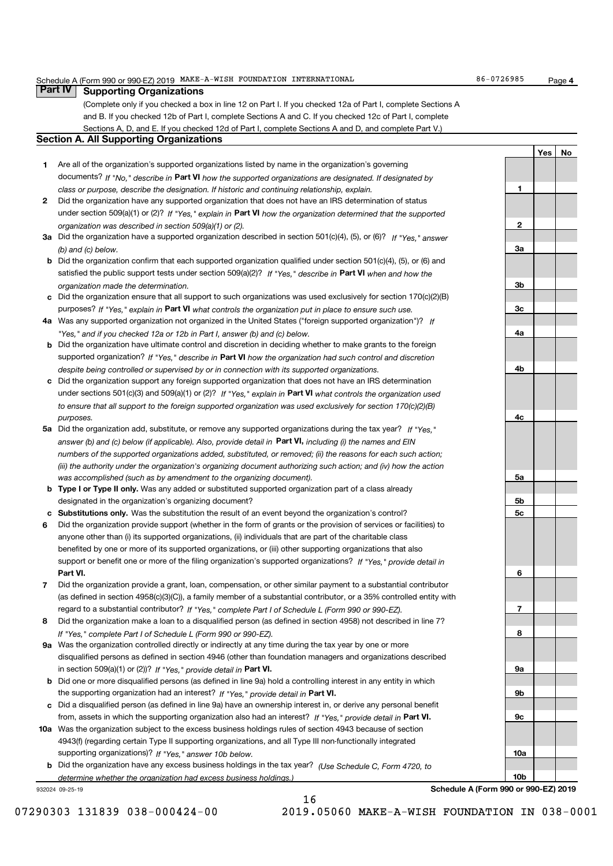#### Schedule A (Form 990 or 990-EZ) 2019 MAKE-A-WISH FOUNDATION INTERNATIONAL 86-0726985 Page

Page 4

| <b>Part IV</b> | <b>Supporting Organizations</b>                                                                                                                                                       |     |    |
|----------------|---------------------------------------------------------------------------------------------------------------------------------------------------------------------------------------|-----|----|
|                | (Complete only if you checked a box in line 12 on Part I. If you checked 12a of Part I, complete Sections A                                                                           |     |    |
|                | and B. If you checked 12b of Part I, complete Sections A and C. If you checked 12c of Part I, complete                                                                                |     |    |
|                | Sections A, D, and E. If you checked 12d of Part I, complete Sections A and D, and complete Part V.)                                                                                  |     |    |
|                | <b>Section A. All Supporting Organizations</b>                                                                                                                                        |     |    |
|                |                                                                                                                                                                                       | Yes | No |
| 1.             | Are all of the organization's supported organizations listed by name in the organization's governing                                                                                  |     |    |
|                | documents? If "No," describe in Part VI how the supported organizations are designated. If designated by                                                                              |     |    |
|                | 1<br>class or purpose, describe the designation. If historic and continuing relationship, explain.                                                                                    |     |    |
| 2              | Did the organization have any supported organization that does not have an IRS determination of status                                                                                |     |    |
|                | under section 509(a)(1) or (2)? If "Yes," explain in Part VI how the organization determined that the supported<br>2                                                                  |     |    |
|                | organization was described in section 509(a)(1) or (2).<br>3a Did the organization have a supported organization described in section 501(c)(4), (5), or (6)? If "Yes," answer        |     |    |
|                | За<br>(b) and (c) below.                                                                                                                                                              |     |    |
|                | <b>b</b> Did the organization confirm that each supported organization qualified under section 501(c)(4), (5), or (6) and                                                             |     |    |
|                | satisfied the public support tests under section $509(a)(2)$ ? If "Yes," describe in Part VI when and how the                                                                         |     |    |
|                | Зb<br>organization made the determination.                                                                                                                                            |     |    |
|                | c Did the organization ensure that all support to such organizations was used exclusively for section $170(c)(2)(B)$                                                                  |     |    |
|                | purposes? If "Yes," explain in Part VI what controls the organization put in place to ensure such use.<br>Зc                                                                          |     |    |
|                | 4a Was any supported organization not organized in the United States ("foreign supported organization")? If                                                                           |     |    |
|                | 4a<br>"Yes," and if you checked 12a or 12b in Part I, answer (b) and (c) below.                                                                                                       |     |    |
|                | <b>b</b> Did the organization have ultimate control and discretion in deciding whether to make grants to the foreign                                                                  |     |    |
|                | supported organization? If "Yes," describe in Part VI how the organization had such control and discretion                                                                            |     |    |
|                | 4b<br>despite being controlled or supervised by or in connection with its supported organizations.                                                                                    |     |    |
|                | c Did the organization support any foreign supported organization that does not have an IRS determination                                                                             |     |    |
|                | under sections 501(c)(3) and 509(a)(1) or (2)? If "Yes," explain in Part VI what controls the organization used                                                                       |     |    |
|                | to ensure that all support to the foreign supported organization was used exclusively for section $170(c)(2)(B)$                                                                      |     |    |
|                | 4с<br>purposes.<br>5a Did the organization add, substitute, or remove any supported organizations during the tax year? If "Yes."                                                      |     |    |
|                | answer (b) and (c) below (if applicable). Also, provide detail in Part VI, including (i) the names and EIN                                                                            |     |    |
|                | numbers of the supported organizations added, substituted, or removed; (ii) the reasons for each such action;                                                                         |     |    |
|                | (iii) the authority under the organization's organizing document authorizing such action; and (iv) how the action                                                                     |     |    |
|                | 5a<br>was accomplished (such as by amendment to the organizing document).                                                                                                             |     |    |
|                | <b>b</b> Type I or Type II only. Was any added or substituted supported organization part of a class already                                                                          |     |    |
|                | designated in the organization's organizing document?<br>5b                                                                                                                           |     |    |
|                | c Substitutions only. Was the substitution the result of an event beyond the organization's control?<br>5c                                                                            |     |    |
| 6              | Did the organization provide support (whether in the form of grants or the provision of services or facilities) to                                                                    |     |    |
|                | anyone other than (i) its supported organizations, (ii) individuals that are part of the charitable class                                                                             |     |    |
|                | benefited by one or more of its supported organizations, or (iii) other supporting organizations that also                                                                            |     |    |
|                | support or benefit one or more of the filing organization's supported organizations? If "Yes," provide detail in                                                                      |     |    |
|                | Part VI.<br>6                                                                                                                                                                         |     |    |
| 7              | Did the organization provide a grant, loan, compensation, or other similar payment to a substantial contributor                                                                       |     |    |
|                | (as defined in section 4958(c)(3)(C)), a family member of a substantial contributor, or a 35% controlled entity with<br>7                                                             |     |    |
| 8              | regard to a substantial contributor? If "Yes," complete Part I of Schedule L (Form 990 or 990-EZ).                                                                                    |     |    |
|                | Did the organization make a loan to a disqualified person (as defined in section 4958) not described in line 7?<br>8<br>If "Yes," complete Part I of Schedule L (Form 990 or 990-EZ). |     |    |
|                | 9a Was the organization controlled directly or indirectly at any time during the tax year by one or more                                                                              |     |    |
|                | disqualified persons as defined in section 4946 (other than foundation managers and organizations described                                                                           |     |    |
|                | in section 509(a)(1) or (2))? If "Yes," provide detail in Part VI.<br>9a                                                                                                              |     |    |
| b              | Did one or more disqualified persons (as defined in line 9a) hold a controlling interest in any entity in which                                                                       |     |    |
|                | 9b<br>the supporting organization had an interest? If "Yes," provide detail in Part VI.                                                                                               |     |    |
|                | c Did a disqualified person (as defined in line 9a) have an ownership interest in, or derive any personal benefit                                                                     |     |    |
|                | from, assets in which the supporting organization also had an interest? If "Yes," provide detail in Part VI.<br>9c                                                                    |     |    |
|                | 10a Was the organization subject to the excess business holdings rules of section 4943 because of section                                                                             |     |    |
|                | 4943(f) (regarding certain Type II supporting organizations, and all Type III non-functionally integrated                                                                             |     |    |
|                | supporting organizations)? If "Yes," answer 10b below.<br>10a                                                                                                                         |     |    |
|                | <b>b</b> Did the organization have any excess business holdings in the tax year? (Use Schedule C, Form 4720, to                                                                       |     |    |
|                | 10b<br>determine whether the organization had excess business holdings.)                                                                                                              |     |    |

932024 09-25-19

Schedule A (Form 990 or 990-EZ) 2019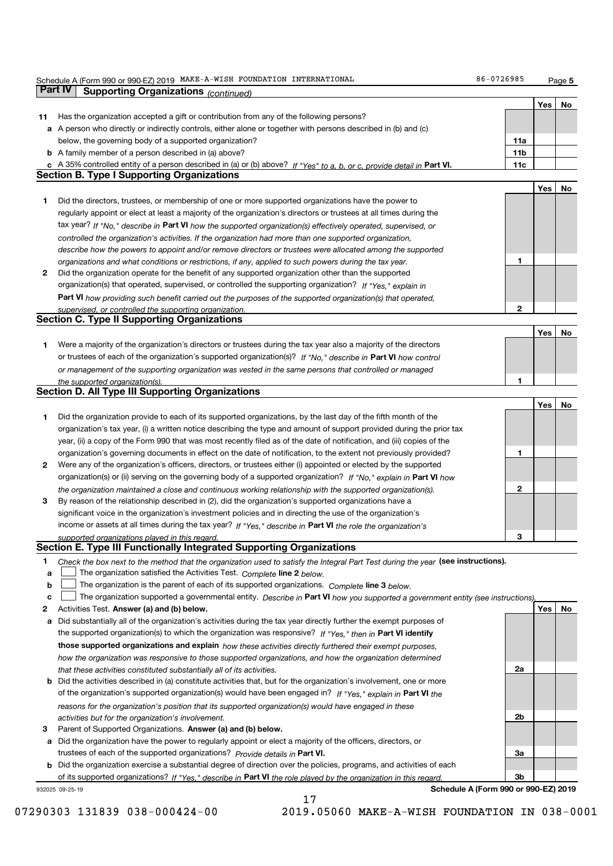|    | Schedule A (Form 990 or 990-EZ) 2019 MAKE-A-WISH FOUNDATION INTERNATIONAL                                                         | 86-0726985                           |     | Page 5 |
|----|-----------------------------------------------------------------------------------------------------------------------------------|--------------------------------------|-----|--------|
|    | Part IV<br><b>Supporting Organizations (continued)</b>                                                                            |                                      |     |        |
|    |                                                                                                                                   |                                      | Yes | No     |
| 11 | Has the organization accepted a gift or contribution from any of the following persons?                                           |                                      |     |        |
|    | a A person who directly or indirectly controls, either alone or together with persons described in (b) and (c)                    |                                      |     |        |
|    | below, the governing body of a supported organization?                                                                            | 11a                                  |     |        |
|    | <b>b</b> A family member of a person described in (a) above?                                                                      | 11b                                  |     |        |
|    |                                                                                                                                   |                                      |     |        |
|    | c A 35% controlled entity of a person described in (a) or (b) above? If "Yes" to a, b, or c, provide detail in Part VI.           | 11c                                  |     |        |
|    | <b>Section B. Type I Supporting Organizations</b>                                                                                 |                                      |     |        |
|    |                                                                                                                                   |                                      | Yes | No     |
| 1  | Did the directors, trustees, or membership of one or more supported organizations have the power to                               |                                      |     |        |
|    | regularly appoint or elect at least a majority of the organization's directors or trustees at all times during the                |                                      |     |        |
|    | tax year? If "No," describe in Part VI how the supported organization(s) effectively operated, supervised, or                     |                                      |     |        |
|    | controlled the organization's activities. If the organization had more than one supported organization,                           |                                      |     |        |
|    | describe how the powers to appoint and/or remove directors or trustees were allocated among the supported                         |                                      |     |        |
|    | organizations and what conditions or restrictions, if any, applied to such powers during the tax year.                            | 1                                    |     |        |
| 2  | Did the organization operate for the benefit of any supported organization other than the supported                               |                                      |     |        |
|    | organization(s) that operated, supervised, or controlled the supporting organization? If "Yes," explain in                        |                                      |     |        |
|    | Part VI how providing such benefit carried out the purposes of the supported organization(s) that operated,                       |                                      |     |        |
|    |                                                                                                                                   | 2                                    |     |        |
|    | supervised, or controlled the supporting organization.<br><b>Section C. Type II Supporting Organizations</b>                      |                                      |     |        |
|    |                                                                                                                                   |                                      |     |        |
|    |                                                                                                                                   |                                      | Yes | No     |
| 1  | Were a majority of the organization's directors or trustees during the tax year also a majority of the directors                  |                                      |     |        |
|    | or trustees of each of the organization's supported organization(s)? If "No," describe in Part VI how control                     |                                      |     |        |
|    | or management of the supporting organization was vested in the same persons that controlled or managed                            |                                      |     |        |
|    | the supported organization(s).                                                                                                    | 1                                    |     |        |
|    | <b>Section D. All Type III Supporting Organizations</b>                                                                           |                                      |     |        |
|    |                                                                                                                                   |                                      | Yes | No     |
| 1  | Did the organization provide to each of its supported organizations, by the last day of the fifth month of the                    |                                      |     |        |
|    | organization's tax year, (i) a written notice describing the type and amount of support provided during the prior tax             |                                      |     |        |
|    | year, (ii) a copy of the Form 990 that was most recently filed as of the date of notification, and (iii) copies of the            |                                      |     |        |
|    | organization's governing documents in effect on the date of notification, to the extent not previously provided?                  | 1                                    |     |        |
| 2  | Were any of the organization's officers, directors, or trustees either (i) appointed or elected by the supported                  |                                      |     |        |
|    | organization(s) or (ii) serving on the governing body of a supported organization? If "No," explain in Part VI how                |                                      |     |        |
|    | the organization maintained a close and continuous working relationship with the supported organization(s).                       | 2                                    |     |        |
| 3  | By reason of the relationship described in (2), did the organization's supported organizations have a                             |                                      |     |        |
|    |                                                                                                                                   |                                      |     |        |
|    | significant voice in the organization's investment policies and in directing the use of the organization's                        |                                      |     |        |
|    | income or assets at all times during the tax year? If "Yes," describe in Part VI the role the organization's                      |                                      |     |        |
|    | supported organizations played in this regard                                                                                     | 3                                    |     |        |
|    | Section E. Type III Functionally Integrated Supporting Organizations                                                              |                                      |     |        |
| 1  | Check the box next to the method that the organization used to satisfy the Integral Part Test during the year (see instructions). |                                      |     |        |
| a  | The organization satisfied the Activities Test. Complete line 2 below.                                                            |                                      |     |        |
| b  | The organization is the parent of each of its supported organizations. Complete line 3 below.                                     |                                      |     |        |
| c  | The organization supported a governmental entity. Describe in Part VI how you supported a government entity (see instructions),   |                                      |     |        |
| 2  | Activities Test. Answer (a) and (b) below.                                                                                        |                                      | Yes | No     |
| a  | Did substantially all of the organization's activities during the tax year directly further the exempt purposes of                |                                      |     |        |
|    | the supported organization(s) to which the organization was responsive? If "Yes," then in Part VI identify                        |                                      |     |        |
|    | those supported organizations and explain how these activities directly furthered their exempt purposes.                          |                                      |     |        |
|    | how the organization was responsive to those supported organizations, and how the organization determined                         |                                      |     |        |
|    | that these activities constituted substantially all of its activities.                                                            | 2a                                   |     |        |
| b  | Did the activities described in (a) constitute activities that, but for the organization's involvement, one or more               |                                      |     |        |
|    |                                                                                                                                   |                                      |     |        |
|    | of the organization's supported organization(s) would have been engaged in? If "Yes," explain in Part VI the                      |                                      |     |        |
|    | reasons for the organization's position that its supported organization(s) would have engaged in these                            |                                      |     |        |
|    | activities but for the organization's involvement.                                                                                | 2b                                   |     |        |
| З  | Parent of Supported Organizations. Answer (a) and (b) below.                                                                      |                                      |     |        |
| а  | Did the organization have the power to regularly appoint or elect a majority of the officers, directors, or                       |                                      |     |        |
|    | trustees of each of the supported organizations? Provide details in Part VI.                                                      | За                                   |     |        |
|    | <b>b</b> Did the organization exercise a substantial degree of direction over the policies, programs, and activities of each      |                                      |     |        |
|    | of its supported organizations? If "Yes," describe in Part VI the role played by the organization in this regard.                 | 3b                                   |     |        |
|    | 932025 09-25-19                                                                                                                   | Schedule A (Form 990 or 990-EZ) 2019 |     |        |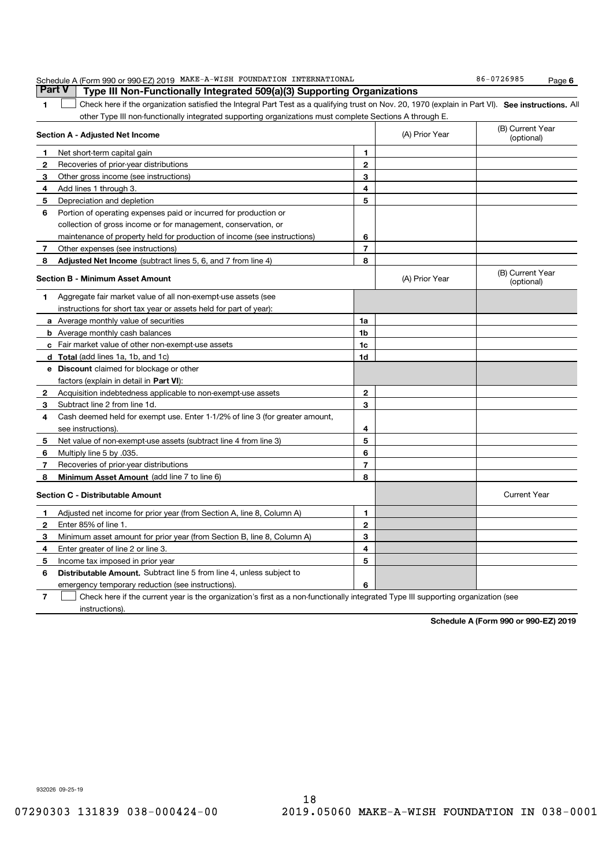|              | Schedule A (Form 990 or 990-EZ) 2019 MAKE-A-WISH FOUNDATION INTERNATIONAL                                                                          |                |                | 86-0726985<br>Page 6           |
|--------------|----------------------------------------------------------------------------------------------------------------------------------------------------|----------------|----------------|--------------------------------|
|              | Part V<br>Type III Non-Functionally Integrated 509(a)(3) Supporting Organizations                                                                  |                |                |                                |
| 1            | Check here if the organization satisfied the Integral Part Test as a qualifying trust on Nov. 20, 1970 (explain in Part VI). See instructions. All |                |                |                                |
|              | other Type III non-functionally integrated supporting organizations must complete Sections A through E.                                            |                |                |                                |
|              | Section A - Adjusted Net Income                                                                                                                    |                | (A) Prior Year | (B) Current Year<br>(optional) |
| 1            | Net short-term capital gain                                                                                                                        | 1              |                |                                |
| 2            | Recoveries of prior-year distributions                                                                                                             | $\mathbf{2}$   |                |                                |
| 3            | Other gross income (see instructions)                                                                                                              | 3              |                |                                |
| 4            | Add lines 1 through 3.                                                                                                                             | 4              |                |                                |
| 5            | Depreciation and depletion                                                                                                                         | 5              |                |                                |
| 6            | Portion of operating expenses paid or incurred for production or                                                                                   |                |                |                                |
|              | collection of gross income or for management, conservation, or                                                                                     |                |                |                                |
|              | maintenance of property held for production of income (see instructions)                                                                           | 6              |                |                                |
| 7            | Other expenses (see instructions)                                                                                                                  | $\overline{7}$ |                |                                |
| 8            | Adjusted Net Income (subtract lines 5, 6, and 7 from line 4)                                                                                       | 8              |                |                                |
|              | <b>Section B - Minimum Asset Amount</b>                                                                                                            |                | (A) Prior Year | (B) Current Year<br>(optional) |
| 1            | Aggregate fair market value of all non-exempt-use assets (see                                                                                      |                |                |                                |
|              | instructions for short tax year or assets held for part of year):                                                                                  |                |                |                                |
|              | <b>a</b> Average monthly value of securities                                                                                                       | 1a             |                |                                |
|              | <b>b</b> Average monthly cash balances                                                                                                             | 1b             |                |                                |
|              | c Fair market value of other non-exempt-use assets                                                                                                 | 1c             |                |                                |
|              | d Total (add lines 1a, 1b, and 1c)                                                                                                                 | 1d             |                |                                |
|              | <b>e</b> Discount claimed for blockage or other                                                                                                    |                |                |                                |
|              | factors (explain in detail in Part VI):                                                                                                            |                |                |                                |
| $\mathbf{2}$ | Acquisition indebtedness applicable to non-exempt-use assets                                                                                       | $\mathbf{2}$   |                |                                |
| 3            | Subtract line 2 from line 1d.                                                                                                                      | З              |                |                                |
| 4            | Cash deemed held for exempt use. Enter 1-1/2% of line 3 (for greater amount,                                                                       |                |                |                                |
|              | see instructions)                                                                                                                                  | 4              |                |                                |
| 5            | Net value of non-exempt-use assets (subtract line 4 from line 3)                                                                                   | 5              |                |                                |
| 6            | Multiply line 5 by .035.                                                                                                                           | 6              |                |                                |
| 7            | Recoveries of prior-year distributions                                                                                                             | $\overline{7}$ |                |                                |
| 8            | <b>Minimum Asset Amount</b> (add line 7 to line 6)                                                                                                 | 8              |                |                                |
|              | <b>Section C - Distributable Amount</b>                                                                                                            |                |                | <b>Current Year</b>            |
| 1            | Adjusted net income for prior year (from Section A, line 8, Column A)                                                                              | 1              |                |                                |
| 2            | Enter 85% of line 1.                                                                                                                               | $\mathbf{2}$   |                |                                |
| з            | Minimum asset amount for prior year (from Section B, line 8, Column A)                                                                             | 3              |                |                                |
| 4            | Enter greater of line 2 or line 3.                                                                                                                 | 4              |                |                                |
| 5            | Income tax imposed in prior year                                                                                                                   | 5              |                |                                |
| 6            | Distributable Amount. Subtract line 5 from line 4, unless subject to                                                                               |                |                |                                |
|              | emergency temporary reduction (see instructions).                                                                                                  | 6              |                |                                |
| 7            | Check here if the current year is the organization's first as a non-functionally integrated Type III supporting organization (see                  |                |                |                                |
|              | instructions).                                                                                                                                     |                |                |                                |

Schedule A (Form 990 or 990-EZ) 2019

932026 09-25-19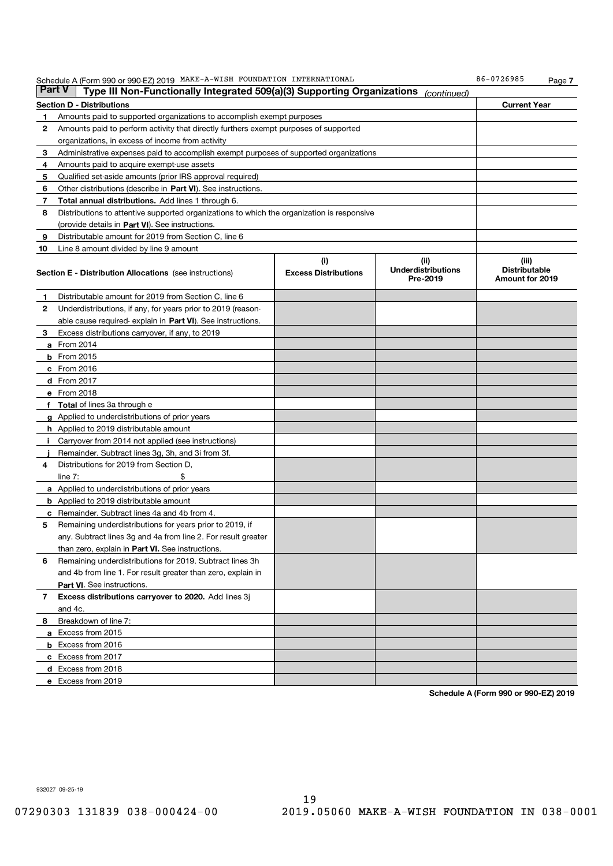| <b>Part V</b> | Schedule A (Form 990 or 990-EZ) 2019 MAKE-A-WISH FOUNDATION INTERNATIONAL<br>Type III Non-Functionally Integrated 509(a)(3) Supporting Organizations |                                    |                                               | 86-0726985<br>Page 7                                    |
|---------------|------------------------------------------------------------------------------------------------------------------------------------------------------|------------------------------------|-----------------------------------------------|---------------------------------------------------------|
|               | Section D - Distributions                                                                                                                            |                                    | (continued)                                   | <b>Current Year</b>                                     |
| 1             | Amounts paid to supported organizations to accomplish exempt purposes                                                                                |                                    |                                               |                                                         |
| 2             | Amounts paid to perform activity that directly furthers exempt purposes of supported                                                                 |                                    |                                               |                                                         |
|               | organizations, in excess of income from activity                                                                                                     |                                    |                                               |                                                         |
| 3             | Administrative expenses paid to accomplish exempt purposes of supported organizations                                                                |                                    |                                               |                                                         |
| 4             | Amounts paid to acquire exempt-use assets                                                                                                            |                                    |                                               |                                                         |
| 5             | Qualified set-aside amounts (prior IRS approval required)                                                                                            |                                    |                                               |                                                         |
| 6             | Other distributions (describe in Part VI). See instructions.                                                                                         |                                    |                                               |                                                         |
| 7             | Total annual distributions. Add lines 1 through 6.                                                                                                   |                                    |                                               |                                                         |
| 8             | Distributions to attentive supported organizations to which the organization is responsive                                                           |                                    |                                               |                                                         |
|               | (provide details in Part VI). See instructions.                                                                                                      |                                    |                                               |                                                         |
| 9             | Distributable amount for 2019 from Section C, line 6                                                                                                 |                                    |                                               |                                                         |
| 10            | Line 8 amount divided by line 9 amount                                                                                                               |                                    |                                               |                                                         |
|               | <b>Section E - Distribution Allocations</b> (see instructions)                                                                                       | (i)<br><b>Excess Distributions</b> | (ii)<br><b>Underdistributions</b><br>Pre-2019 | (iii)<br><b>Distributable</b><br><b>Amount for 2019</b> |
| 1             | Distributable amount for 2019 from Section C, line 6                                                                                                 |                                    |                                               |                                                         |
| 2             | Underdistributions, if any, for years prior to 2019 (reason-                                                                                         |                                    |                                               |                                                         |
|               | able cause required- explain in <b>Part VI</b> ). See instructions.                                                                                  |                                    |                                               |                                                         |
| З             | Excess distributions carryover, if any, to 2019                                                                                                      |                                    |                                               |                                                         |
|               | <b>a</b> From 2014                                                                                                                                   |                                    |                                               |                                                         |
|               | <b>b</b> From 2015                                                                                                                                   |                                    |                                               |                                                         |
|               | $c$ From 2016                                                                                                                                        |                                    |                                               |                                                         |
|               | d From 2017                                                                                                                                          |                                    |                                               |                                                         |
|               | e From 2018                                                                                                                                          |                                    |                                               |                                                         |
|               | f Total of lines 3a through e                                                                                                                        |                                    |                                               |                                                         |
|               | g Applied to underdistributions of prior years                                                                                                       |                                    |                                               |                                                         |
|               | h Applied to 2019 distributable amount                                                                                                               |                                    |                                               |                                                         |
|               | i Carryover from 2014 not applied (see instructions)                                                                                                 |                                    |                                               |                                                         |
|               | Remainder. Subtract lines 3g, 3h, and 3i from 3f.                                                                                                    |                                    |                                               |                                                         |
| 4             | Distributions for 2019 from Section D,                                                                                                               |                                    |                                               |                                                         |
|               | \$<br>line $7:$                                                                                                                                      |                                    |                                               |                                                         |
|               | <b>a</b> Applied to underdistributions of prior years                                                                                                |                                    |                                               |                                                         |
|               | <b>b</b> Applied to 2019 distributable amount                                                                                                        |                                    |                                               |                                                         |
|               | <b>c</b> Remainder. Subtract lines 4a and 4b from 4.                                                                                                 |                                    |                                               |                                                         |
| 5             | Remaining underdistributions for years prior to 2019, if                                                                                             |                                    |                                               |                                                         |
|               | any. Subtract lines 3g and 4a from line 2. For result greater                                                                                        |                                    |                                               |                                                         |
|               | than zero, explain in Part VI. See instructions.                                                                                                     |                                    |                                               |                                                         |
| 6             | Remaining underdistributions for 2019. Subtract lines 3h                                                                                             |                                    |                                               |                                                         |
|               | and 4b from line 1. For result greater than zero, explain in                                                                                         |                                    |                                               |                                                         |
|               | Part VI. See instructions.                                                                                                                           |                                    |                                               |                                                         |
| 7             | Excess distributions carryover to 2020. Add lines 3j                                                                                                 |                                    |                                               |                                                         |
|               | and 4c.                                                                                                                                              |                                    |                                               |                                                         |
| 8             | Breakdown of line 7:                                                                                                                                 |                                    |                                               |                                                         |
|               | a Excess from 2015                                                                                                                                   |                                    |                                               |                                                         |
|               | <b>b</b> Excess from 2016                                                                                                                            |                                    |                                               |                                                         |
|               | c Excess from 2017                                                                                                                                   |                                    |                                               |                                                         |
|               | d Excess from 2018                                                                                                                                   |                                    |                                               |                                                         |
|               | e Excess from 2019                                                                                                                                   |                                    |                                               |                                                         |

Schedule A (Form 990 or 990-EZ) 2019

932027 09-25-19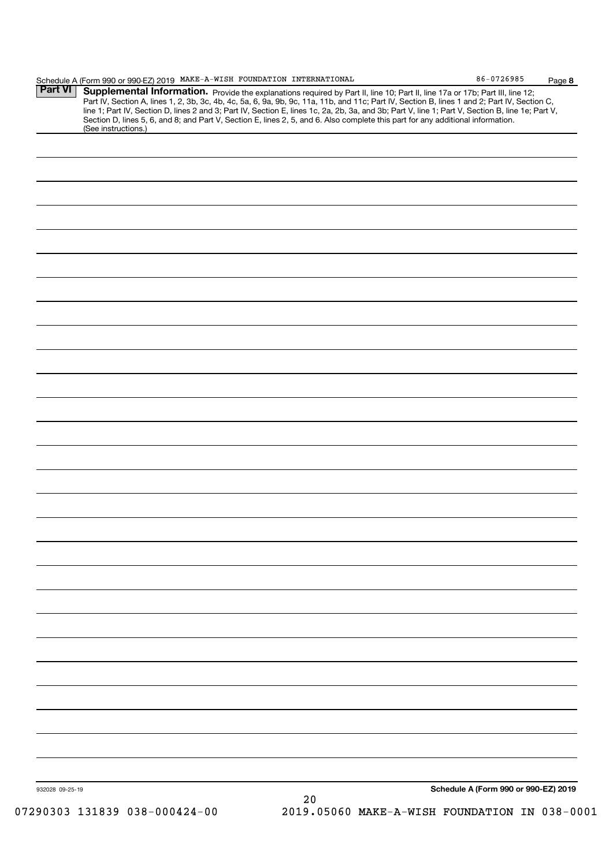| <b>Part VI</b>  | Schedule A (Form 990 or 990-EZ) 2019 MAKE-A-WISH FOUNDATION INTERNATIONAL<br>Supplemental Information. Provide the explanations required by Part II, line 10; Part II, line 17a or 17b; Part III, line 12;                                                                                                                                                                                                                          |                                      | Page 8 |
|-----------------|-------------------------------------------------------------------------------------------------------------------------------------------------------------------------------------------------------------------------------------------------------------------------------------------------------------------------------------------------------------------------------------------------------------------------------------|--------------------------------------|--------|
|                 | Part IV, Section A, lines 1, 2, 3b, 3c, 4b, 4c, 5a, 6, 9a, 9b, 9c, 11a, 11b, and 11c; Part IV, Section B, lines 1 and 2; Part IV, Section C,<br>line 1; Part IV, Section D, lines 2 and 3; Part IV, Section E, lines 1c, 2a, 2b, 3a, and 3b; Part V, line 1; Part V, Section B, line 1e; Part V,<br>Section D, lines 5, 6, and 8; and Part V, Section E, lines 2, 5, and 6. Also complete this part for any additional information. |                                      |        |
|                 | (See instructions.)                                                                                                                                                                                                                                                                                                                                                                                                                 |                                      |        |
|                 |                                                                                                                                                                                                                                                                                                                                                                                                                                     |                                      |        |
|                 |                                                                                                                                                                                                                                                                                                                                                                                                                                     |                                      |        |
|                 |                                                                                                                                                                                                                                                                                                                                                                                                                                     |                                      |        |
|                 |                                                                                                                                                                                                                                                                                                                                                                                                                                     |                                      |        |
|                 |                                                                                                                                                                                                                                                                                                                                                                                                                                     |                                      |        |
|                 |                                                                                                                                                                                                                                                                                                                                                                                                                                     |                                      |        |
|                 |                                                                                                                                                                                                                                                                                                                                                                                                                                     |                                      |        |
|                 |                                                                                                                                                                                                                                                                                                                                                                                                                                     |                                      |        |
|                 |                                                                                                                                                                                                                                                                                                                                                                                                                                     |                                      |        |
|                 |                                                                                                                                                                                                                                                                                                                                                                                                                                     |                                      |        |
|                 |                                                                                                                                                                                                                                                                                                                                                                                                                                     |                                      |        |
|                 |                                                                                                                                                                                                                                                                                                                                                                                                                                     |                                      |        |
|                 |                                                                                                                                                                                                                                                                                                                                                                                                                                     |                                      |        |
|                 |                                                                                                                                                                                                                                                                                                                                                                                                                                     |                                      |        |
|                 |                                                                                                                                                                                                                                                                                                                                                                                                                                     |                                      |        |
|                 |                                                                                                                                                                                                                                                                                                                                                                                                                                     |                                      |        |
|                 |                                                                                                                                                                                                                                                                                                                                                                                                                                     |                                      |        |
|                 |                                                                                                                                                                                                                                                                                                                                                                                                                                     |                                      |        |
|                 |                                                                                                                                                                                                                                                                                                                                                                                                                                     |                                      |        |
|                 |                                                                                                                                                                                                                                                                                                                                                                                                                                     |                                      |        |
|                 |                                                                                                                                                                                                                                                                                                                                                                                                                                     |                                      |        |
|                 |                                                                                                                                                                                                                                                                                                                                                                                                                                     |                                      |        |
|                 |                                                                                                                                                                                                                                                                                                                                                                                                                                     |                                      |        |
|                 |                                                                                                                                                                                                                                                                                                                                                                                                                                     |                                      |        |
|                 |                                                                                                                                                                                                                                                                                                                                                                                                                                     |                                      |        |
|                 |                                                                                                                                                                                                                                                                                                                                                                                                                                     |                                      |        |
|                 |                                                                                                                                                                                                                                                                                                                                                                                                                                     |                                      |        |
|                 |                                                                                                                                                                                                                                                                                                                                                                                                                                     |                                      |        |
|                 |                                                                                                                                                                                                                                                                                                                                                                                                                                     |                                      |        |
|                 |                                                                                                                                                                                                                                                                                                                                                                                                                                     |                                      |        |
|                 |                                                                                                                                                                                                                                                                                                                                                                                                                                     |                                      |        |
|                 |                                                                                                                                                                                                                                                                                                                                                                                                                                     |                                      |        |
|                 |                                                                                                                                                                                                                                                                                                                                                                                                                                     |                                      |        |
|                 |                                                                                                                                                                                                                                                                                                                                                                                                                                     |                                      |        |
|                 |                                                                                                                                                                                                                                                                                                                                                                                                                                     |                                      |        |
|                 |                                                                                                                                                                                                                                                                                                                                                                                                                                     |                                      |        |
|                 |                                                                                                                                                                                                                                                                                                                                                                                                                                     |                                      |        |
|                 |                                                                                                                                                                                                                                                                                                                                                                                                                                     |                                      |        |
|                 |                                                                                                                                                                                                                                                                                                                                                                                                                                     |                                      |        |
|                 |                                                                                                                                                                                                                                                                                                                                                                                                                                     |                                      |        |
|                 |                                                                                                                                                                                                                                                                                                                                                                                                                                     |                                      |        |
|                 |                                                                                                                                                                                                                                                                                                                                                                                                                                     |                                      |        |
| 932028 09-25-19 | 20                                                                                                                                                                                                                                                                                                                                                                                                                                  | Schedule A (Form 990 or 990-EZ) 2019 |        |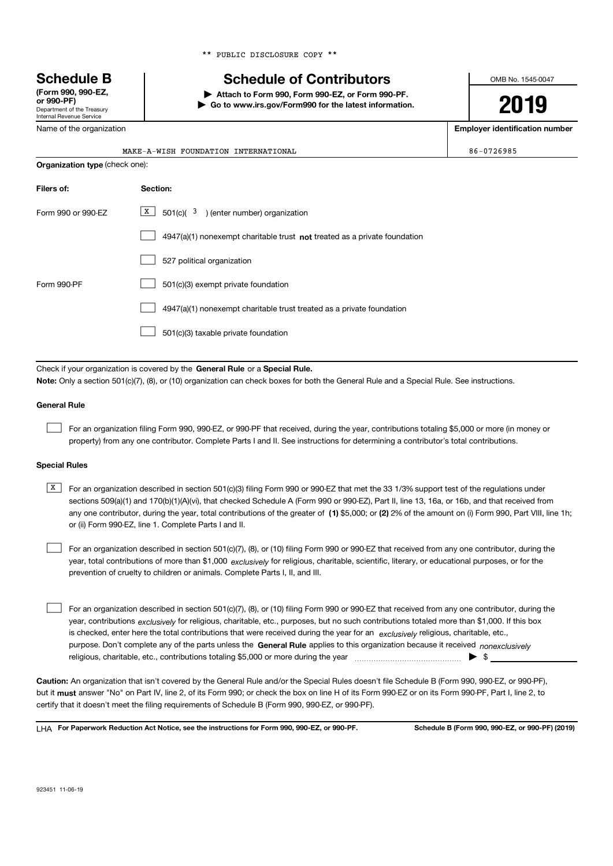|  |  | ** PUBLIC DISCLOSURE COPY ** |  |  |
|--|--|------------------------------|--|--|
|--|--|------------------------------|--|--|

# Schedule B | Schedule of Contributors

Attach to Form 990, Form 990-EZ, or Form 990-PF. | Go to www.irs.gov/Form990 for the latest information. OMB No. 1545-0047

2019

Employer identification number

Name of the organization

Department of the Treasury Internal Revenue Service

(Form 990, 990-EZ,

|                                       | MAKE-A-WISH FOUNDATION INTERNATIONAL                                        | 86-0726985 |
|---------------------------------------|-----------------------------------------------------------------------------|------------|
| <b>Organization type (check one):</b> |                                                                             |            |
| Filers of:                            | Section:                                                                    |            |
| Form 990 or 990-EZ                    | X<br>$501(c)(3)$ (enter number) organization                                |            |
|                                       | $4947(a)(1)$ nonexempt charitable trust not treated as a private foundation |            |
|                                       | 527 political organization                                                  |            |
| Form 990-PF                           | 501(c)(3) exempt private foundation                                         |            |
|                                       | 4947(a)(1) nonexempt charitable trust treated as a private foundation       |            |
|                                       | 501(c)(3) taxable private foundation                                        |            |

Check if your organization is covered by the General Rule or a Special Rule. Note: Only a section 501(c)(7), (8), or (10) organization can check boxes for both the General Rule and a Special Rule. See instructions.

#### General Rule

For an organization filing Form 990, 990-EZ, or 990-PF that received, during the year, contributions totaling \$5,000 or more (in money or property) from any one contributor. Complete Parts I and II. See instructions for determining a contributor's total contributions.

#### Special Rules

any one contributor, during the year, total contributions of the greater of  $\,$  (1) \$5,000; or (2) 2% of the amount on (i) Form 990, Part VIII, line 1h; **K** For an organization described in section 501(c)(3) filing Form 990 or 990-EZ that met the 33 1/3% support test of the regulations under sections 509(a)(1) and 170(b)(1)(A)(vi), that checked Schedule A (Form 990 or 990-EZ), Part II, line 13, 16a, or 16b, and that received from or (ii) Form 990-EZ, line 1. Complete Parts I and II.

year, total contributions of more than \$1,000 *exclusively* for religious, charitable, scientific, literary, or educational purposes, or for the For an organization described in section 501(c)(7), (8), or (10) filing Form 990 or 990-EZ that received from any one contributor, during the prevention of cruelty to children or animals. Complete Parts I, II, and III.  $\mathcal{L}(\mathcal{A})$ 

purpose. Don't complete any of the parts unless the General Rule applies to this organization because it received nonexclusively year, contributions <sub>exclusively</sub> for religious, charitable, etc., purposes, but no such contributions totaled more than \$1,000. If this box is checked, enter here the total contributions that were received during the year for an exclusively religious, charitable, etc., For an organization described in section 501(c)(7), (8), or (10) filing Form 990 or 990-EZ that received from any one contributor, during the religious, charitable, etc., contributions totaling \$5,000 or more during the year  $\ldots$  $\ldots$  $\ldots$  $\ldots$  $\ldots$  $\ldots$  $\ldots$  $\begin{array}{c} \hline \end{array}$ 

Caution: An organization that isn't covered by the General Rule and/or the Special Rules doesn't file Schedule B (Form 990, 990-EZ, or 990-PF), but it **must** answer "No" on Part IV, line 2, of its Form 990; or check the box on line H of its Form 990-EZ or on its Form 990-PF, Part I, line 2, to certify that it doesn't meet the filing requirements of Schedule B (Form 990, 990-EZ, or 990-PF).

LHA For Paperwork Reduction Act Notice, see the instructions for Form 990, 990-EZ, or 990-PF. Schedule B (Form 990, 990-EZ, or 990-PF) (2019)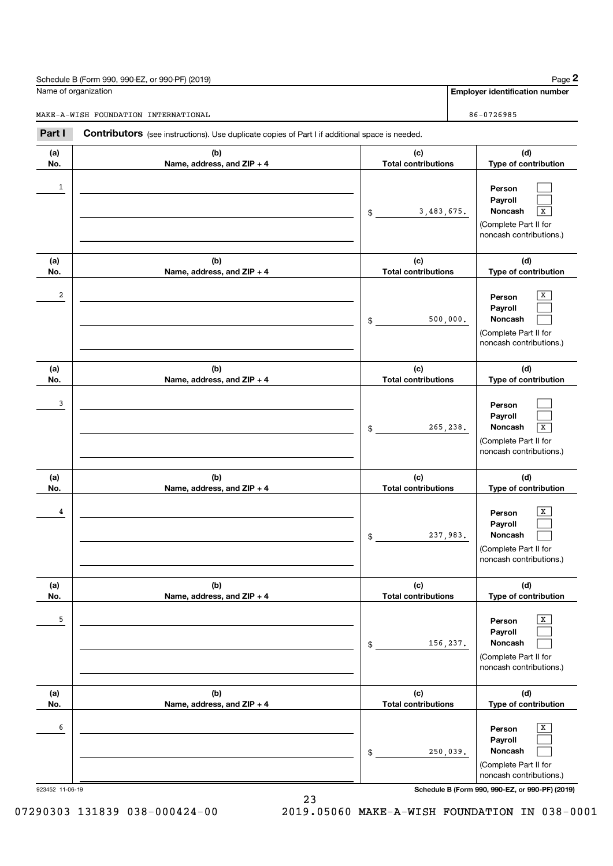| Name of organization | Schedule B (Form 990, 990-EZ, or 990-PF) (2019)                                                                                     |                                   | Page 2                                                                                         |
|----------------------|-------------------------------------------------------------------------------------------------------------------------------------|-----------------------------------|------------------------------------------------------------------------------------------------|
|                      |                                                                                                                                     |                                   | <b>Employer identification number</b>                                                          |
| Part I               | MAKE-A-WISH FOUNDATION INTERNATIONAL                                                                                                |                                   | 86-0726985                                                                                     |
| (a)<br>No.           | Contributors (see instructions). Use duplicate copies of Part I if additional space is needed.<br>(b)<br>Name, address, and ZIP + 4 | (c)<br><b>Total contributions</b> | (d)<br>Type of contribution                                                                    |
| 1                    |                                                                                                                                     | 3,483,675.<br>\$                  | Person<br>Payroll<br>Noncash<br>х<br>(Complete Part II for<br>noncash contributions.)          |
| (a)<br>No.           | (b)<br>Name, address, and ZIP + 4                                                                                                   | (c)<br><b>Total contributions</b> | (d)<br>Type of contribution                                                                    |
| 2                    |                                                                                                                                     | 500,000.<br>\$                    | х<br>Person<br>Payroll<br>Noncash<br>(Complete Part II for<br>noncash contributions.)          |
| (a)<br>No.           | (b)<br>Name, address, and ZIP + 4                                                                                                   | (c)<br><b>Total contributions</b> | (d)<br>Type of contribution                                                                    |
| 3                    |                                                                                                                                     | 265,238.<br>\$                    | Person<br>Payroll<br>Noncash<br>$\sqrt{X}$<br>(Complete Part II for<br>noncash contributions.) |
| (a)<br>No.           | (b)<br>Name, address, and ZIP + 4                                                                                                   | (c)<br><b>Total contributions</b> | (d)<br>Type of contribution                                                                    |
| 4                    |                                                                                                                                     | 237,983.<br>\$                    | х<br>Person<br>Payroll<br>Noncash<br>(Complete Part II for<br>noncash contributions.)          |
| (a)<br>No.           | (b)<br>Name, address, and ZIP + 4                                                                                                   | (c)<br><b>Total contributions</b> | (d)<br>Type of contribution                                                                    |
| 5                    |                                                                                                                                     | 156,237.<br>\$                    | x<br>Person<br>Payroll<br>Noncash<br>(Complete Part II for<br>noncash contributions.)          |
| (a)<br>No.           | (b)<br>Name, address, and ZIP + 4                                                                                                   | (c)<br><b>Total contributions</b> | (d)<br>Type of contribution                                                                    |
| 6                    |                                                                                                                                     | 250,039.<br>\$                    | x<br>Person<br>Payroll<br>Noncash<br>(Complete Part II for<br>noncash contributions.)          |

923452 11-06-19 **Schedule B (Form 990, 990-EZ, or 990-PF) (2019)**<br>■ Schedule B (Form 990, 990-EZ, or 990-PF) (2019)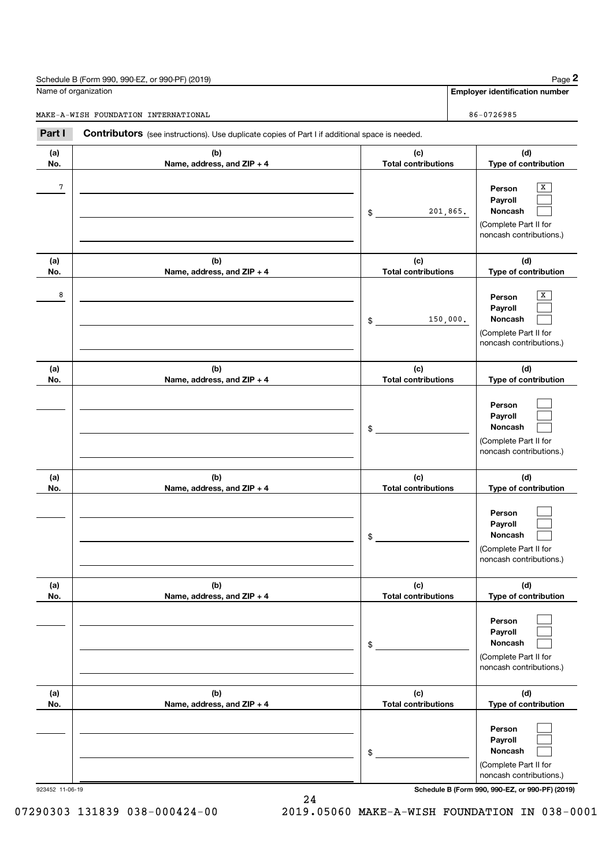|                      | Schedule B (Form 990, 990-EZ, or 990-PF) (2019)                                                |                                   | Page 2                                                                                |
|----------------------|------------------------------------------------------------------------------------------------|-----------------------------------|---------------------------------------------------------------------------------------|
| Name of organization |                                                                                                |                                   | <b>Employer identification number</b>                                                 |
|                      | MAKE-A-WISH FOUNDATION INTERNATIONAL                                                           |                                   | 86-0726985                                                                            |
| Part I               | Contributors (see instructions). Use duplicate copies of Part I if additional space is needed. |                                   |                                                                                       |
| (a)<br>No.           | (b)<br>Name, address, and ZIP + 4                                                              | (c)<br><b>Total contributions</b> | (d)<br>Type of contribution                                                           |
| 7                    |                                                                                                | 201,865.<br>\$                    | х<br>Person<br>Payroll<br>Noncash<br>(Complete Part II for<br>noncash contributions.) |
| (a)<br>No.           | (b)<br>Name, address, and ZIP + 4                                                              | (c)<br><b>Total contributions</b> | (d)<br>Type of contribution                                                           |
| 8                    |                                                                                                | 150,000.<br>\$                    | Person<br>Payroll<br>Noncash<br>(Complete Part II for<br>noncash contributions.)      |
| (a)<br>No.           | (b)<br>Name, address, and ZIP + 4                                                              | (c)<br><b>Total contributions</b> | (d)<br>Type of contribution                                                           |
|                      |                                                                                                | \$                                | Person<br>Payroll<br>Noncash<br>(Complete Part II for<br>noncash contributions.)      |
| (a)<br>No.           | (b)<br>Name, address, and ZIP + 4                                                              | (c)<br><b>Total contributions</b> | (d)<br>Type of contribution                                                           |
|                      |                                                                                                | \$                                | Person<br>Payroll<br>Noncash<br>(Complete Part II for<br>noncash contributions.)      |
| (a)<br>No.           | (b)<br>Name, address, and ZIP + 4                                                              | (c)<br><b>Total contributions</b> | (d)<br>Type of contribution                                                           |
|                      |                                                                                                | \$                                | Person<br>Payroll<br>Noncash<br>(Complete Part II for<br>noncash contributions.)      |
| (a)<br>No.           | (b)<br>Name, address, and ZIP + 4                                                              | (c)<br><b>Total contributions</b> | (d)<br>Type of contribution                                                           |
|                      |                                                                                                | \$                                | Person<br>Payroll<br>Noncash<br>(Complete Part II for<br>noncash contributions.)      |

923452 11-06-19 Schedule B (Form 990, 990-EZ, or 990-PF) (2019)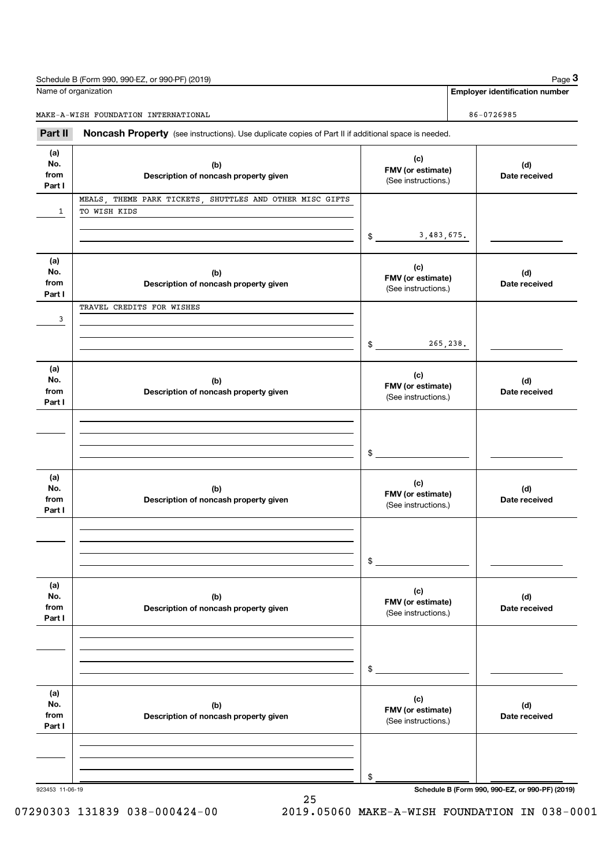| Schedule B (Form 990, 990-EZ, or 990-PF) (2019) | Page $3$                       |
|-------------------------------------------------|--------------------------------|
| Name of organization                            | Employer identification number |
| MAKE-A-WISH FOUNDATION INTERNATIONAL            | 86-0726985                     |

Part II Noncash Property (see instructions). Use duplicate copies of Part II if additional space is needed.

| (a)<br>No.<br>from<br>Part I | (b)<br>Description of noncash property given                             | (c)<br>FMV (or estimate)<br>(See instructions.) | (d)<br>Date received |
|------------------------------|--------------------------------------------------------------------------|-------------------------------------------------|----------------------|
| $\mathbf{1}$                 | MEALS, THEME PARK TICKETS, SHUTTLES AND OTHER MISC GIFTS<br>TO WISH KIDS | 3,483,675.<br>$\frac{1}{2}$                     |                      |
| (a)<br>No.<br>from<br>Part I | (b)<br>Description of noncash property given                             | (c)<br>FMV (or estimate)<br>(See instructions.) | (d)<br>Date received |
| 3                            | TRAVEL CREDITS FOR WISHES                                                | 265,238.<br>\$                                  |                      |
| (a)<br>No.<br>from<br>Part I | (b)<br>Description of noncash property given                             | (c)<br>FMV (or estimate)<br>(See instructions.) | (d)<br>Date received |
|                              |                                                                          | \$                                              |                      |
| (a)<br>No.<br>from<br>Part I | (b)<br>Description of noncash property given                             | (c)<br>FMV (or estimate)<br>(See instructions.) | (d)<br>Date received |
|                              |                                                                          | $$\overbrace{\hspace{2.5cm}}$                   |                      |
| (a)<br>No.<br>trom<br>Part I | (b)<br>Description of noncash property given                             | (c)<br>FMV (or estimate)<br>(See instructions.) | (d)<br>Date received |
|                              |                                                                          | \$                                              |                      |
| (a)<br>No.<br>from<br>Part I | (b)<br>Description of noncash property given                             | (c)<br>FMV (or estimate)<br>(See instructions.) | (d)<br>Date received |
|                              |                                                                          | \$                                              |                      |

923453 11-06-19 Schedule B (Form 990, 990-EZ, or 990-PF) (2019)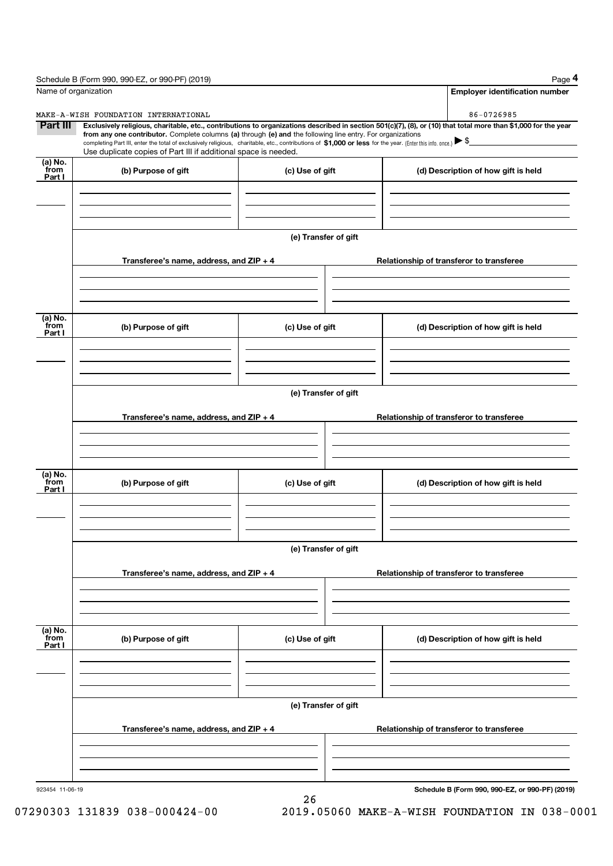|                           | Schedule B (Form 990, 990-EZ, or 990-PF) (2019)                                                                                                                                                                                                                                                 |                      | Page 4                                                                                                                                                         |
|---------------------------|-------------------------------------------------------------------------------------------------------------------------------------------------------------------------------------------------------------------------------------------------------------------------------------------------|----------------------|----------------------------------------------------------------------------------------------------------------------------------------------------------------|
|                           | Name of organization                                                                                                                                                                                                                                                                            |                      | <b>Employer identification number</b>                                                                                                                          |
|                           | MAKE-A-WISH FOUNDATION INTERNATIONAL                                                                                                                                                                                                                                                            |                      | 86-0726985                                                                                                                                                     |
| Part III                  | from any one contributor. Complete columns (a) through (e) and the following line entry. For organizations<br>completing Part III, enter the total of exclusively religious, charitable, etc., contributions of \$1,000 or less for the year. (Enter this info. once.) $\blacktriangleright$ \$ |                      | Exclusively religious, charitable, etc., contributions to organizations described in section 501(c)(7), (8), or (10) that total more than \$1,000 for the year |
|                           | Use duplicate copies of Part III if additional space is needed.                                                                                                                                                                                                                                 |                      |                                                                                                                                                                |
| (a) No.<br>from<br>Part I | (b) Purpose of gift                                                                                                                                                                                                                                                                             | (c) Use of gift      | (d) Description of how gift is held                                                                                                                            |
|                           |                                                                                                                                                                                                                                                                                                 |                      |                                                                                                                                                                |
|                           |                                                                                                                                                                                                                                                                                                 | (e) Transfer of gift |                                                                                                                                                                |
|                           | Transferee's name, address, and ZIP + 4                                                                                                                                                                                                                                                         |                      | Relationship of transferor to transferee                                                                                                                       |
|                           |                                                                                                                                                                                                                                                                                                 |                      |                                                                                                                                                                |
| (a) No.<br>from           | (b) Purpose of gift                                                                                                                                                                                                                                                                             | (c) Use of gift      | (d) Description of how gift is held                                                                                                                            |
| Part I                    |                                                                                                                                                                                                                                                                                                 |                      |                                                                                                                                                                |
|                           |                                                                                                                                                                                                                                                                                                 |                      |                                                                                                                                                                |
|                           |                                                                                                                                                                                                                                                                                                 | (e) Transfer of gift |                                                                                                                                                                |
|                           | Transferee's name, address, and ZIP + 4                                                                                                                                                                                                                                                         |                      | Relationship of transferor to transferee                                                                                                                       |
|                           |                                                                                                                                                                                                                                                                                                 |                      |                                                                                                                                                                |
| (a) No.<br>from<br>Part I | (b) Purpose of gift                                                                                                                                                                                                                                                                             | (c) Use of gift      | (d) Description of how gift is held                                                                                                                            |
|                           |                                                                                                                                                                                                                                                                                                 |                      |                                                                                                                                                                |
|                           |                                                                                                                                                                                                                                                                                                 | (e) Transfer of gift |                                                                                                                                                                |
|                           | Transferee's name, address, and ZIP + 4                                                                                                                                                                                                                                                         |                      | Relationship of transferor to transferee                                                                                                                       |
|                           |                                                                                                                                                                                                                                                                                                 |                      |                                                                                                                                                                |
| (a) No.<br>from<br>Part I | (b) Purpose of gift                                                                                                                                                                                                                                                                             | (c) Use of gift      | (d) Description of how gift is held                                                                                                                            |
|                           |                                                                                                                                                                                                                                                                                                 |                      |                                                                                                                                                                |
|                           |                                                                                                                                                                                                                                                                                                 |                      |                                                                                                                                                                |
|                           | Transferee's name, address, and ZIP + 4                                                                                                                                                                                                                                                         | (e) Transfer of gift | Relationship of transferor to transferee                                                                                                                       |
|                           |                                                                                                                                                                                                                                                                                                 |                      |                                                                                                                                                                |
|                           |                                                                                                                                                                                                                                                                                                 |                      |                                                                                                                                                                |
| 923454 11-06-19           |                                                                                                                                                                                                                                                                                                 | 26                   | Schedule B (Form 990, 990-EZ, or 990-PF) (2019)                                                                                                                |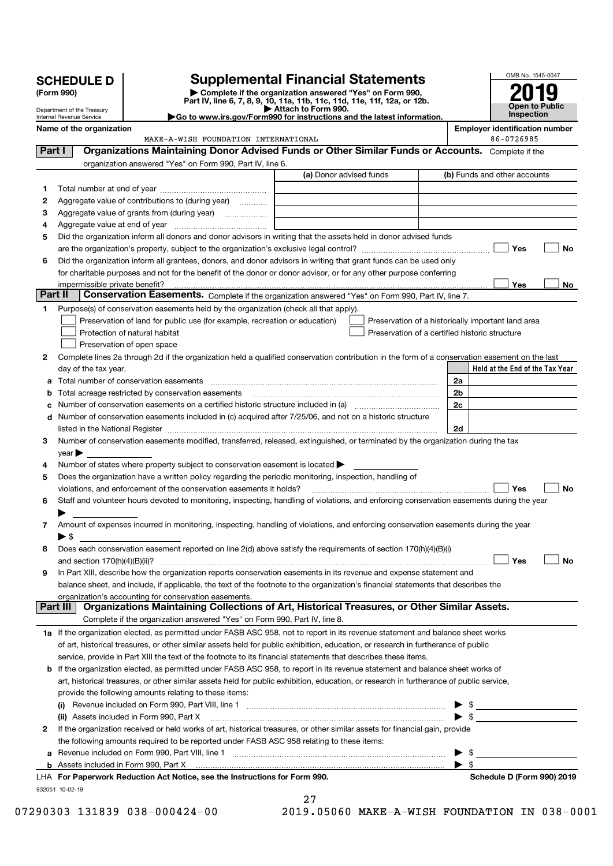|         | (Form 990)<br>Department of the Treasury<br>Internal Revenue Service |                          | Complete if the organization answered "Yes" on Form 990,<br>Part IV, line 6, 7, 8, 9, 10, 11a, 11b, 11c, 11d, 11e, 11f, 12a, or 12b.<br>$\blacktriangleright$ Go to www.irs.gov/Form990 for instructions and the latest information. | Attach to Form 990.     |                                                                                                      |                         | <b>Open to Public</b><br>Inspection                 |
|---------|----------------------------------------------------------------------|--------------------------|--------------------------------------------------------------------------------------------------------------------------------------------------------------------------------------------------------------------------------------|-------------------------|------------------------------------------------------------------------------------------------------|-------------------------|-----------------------------------------------------|
|         |                                                                      | Name of the organization | MAKE-A-WISH FOUNDATION INTERNATIONAL                                                                                                                                                                                                 |                         |                                                                                                      |                         | <b>Employer identification number</b><br>86-0726985 |
| Part I  |                                                                      |                          | Organizations Maintaining Donor Advised Funds or Other Similar Funds or Accounts. Complete if the                                                                                                                                    |                         |                                                                                                      |                         |                                                     |
|         |                                                                      |                          | organization answered "Yes" on Form 990, Part IV, line 6.                                                                                                                                                                            |                         |                                                                                                      |                         |                                                     |
|         |                                                                      |                          |                                                                                                                                                                                                                                      | (a) Donor advised funds |                                                                                                      |                         | (b) Funds and other accounts                        |
| 1       |                                                                      |                          |                                                                                                                                                                                                                                      |                         |                                                                                                      |                         |                                                     |
| 2       |                                                                      |                          | Aggregate value of contributions to (during year)                                                                                                                                                                                    |                         |                                                                                                      |                         |                                                     |
| 3       |                                                                      |                          |                                                                                                                                                                                                                                      |                         |                                                                                                      |                         |                                                     |
| 4       |                                                                      |                          |                                                                                                                                                                                                                                      |                         |                                                                                                      |                         |                                                     |
| 5       |                                                                      |                          | Did the organization inform all donors and donor advisors in writing that the assets held in donor advised funds                                                                                                                     |                         |                                                                                                      |                         |                                                     |
|         |                                                                      |                          |                                                                                                                                                                                                                                      |                         |                                                                                                      |                         | No<br>Yes                                           |
| 6       |                                                                      |                          | Did the organization inform all grantees, donors, and donor advisors in writing that grant funds can be used only                                                                                                                    |                         |                                                                                                      |                         |                                                     |
|         |                                                                      |                          | for charitable purposes and not for the benefit of the donor or donor advisor, or for any other purpose conferring                                                                                                                   |                         |                                                                                                      |                         |                                                     |
| Part II |                                                                      |                          |                                                                                                                                                                                                                                      |                         |                                                                                                      |                         | Yes<br>No                                           |
|         |                                                                      |                          | Conservation Easements. Complete if the organization answered "Yes" on Form 990, Part IV, line 7.                                                                                                                                    |                         |                                                                                                      |                         |                                                     |
| 1.      |                                                                      |                          | Purpose(s) of conservation easements held by the organization (check all that apply).                                                                                                                                                |                         |                                                                                                      |                         |                                                     |
|         |                                                                      |                          | Preservation of land for public use (for example, recreation or education)<br>Protection of natural habitat                                                                                                                          |                         | Preservation of a historically important land area<br>Preservation of a certified historic structure |                         |                                                     |
|         |                                                                      |                          |                                                                                                                                                                                                                                      |                         |                                                                                                      |                         |                                                     |
|         |                                                                      |                          | Preservation of open space                                                                                                                                                                                                           |                         |                                                                                                      |                         |                                                     |
| 2       |                                                                      |                          | Complete lines 2a through 2d if the organization held a qualified conservation contribution in the form of a conservation easement on the last                                                                                       |                         |                                                                                                      |                         | Held at the End of the Tax Year                     |
|         |                                                                      | day of the tax year.     |                                                                                                                                                                                                                                      |                         |                                                                                                      | 2a                      |                                                     |
| а       |                                                                      |                          | Total acreage restricted by conservation easements [11] matter conservation conservation of the set of the set of the set of the set of the set of the set of the set of the set of the set of the set of the set of the set o       |                         |                                                                                                      | 2 <sub>b</sub>          |                                                     |
| с       |                                                                      |                          | Number of conservation easements on a certified historic structure included in (a) manufacture included in (a)                                                                                                                       |                         |                                                                                                      | 2c                      |                                                     |
|         |                                                                      |                          | d Number of conservation easements included in (c) acquired after 7/25/06, and not on a historic structure                                                                                                                           |                         |                                                                                                      |                         |                                                     |
|         |                                                                      |                          |                                                                                                                                                                                                                                      |                         |                                                                                                      | 2d                      |                                                     |
| 3       |                                                                      |                          | Number of conservation easements modified, transferred, released, extinguished, or terminated by the organization during the tax                                                                                                     |                         |                                                                                                      |                         |                                                     |
|         | $year \blacktriangleright$                                           |                          |                                                                                                                                                                                                                                      |                         |                                                                                                      |                         |                                                     |
| 4       |                                                                      |                          | Number of states where property subject to conservation easement is located $\blacktriangleright$                                                                                                                                    |                         |                                                                                                      |                         |                                                     |
| 5       |                                                                      |                          | Does the organization have a written policy regarding the periodic monitoring, inspection, handling of                                                                                                                               |                         |                                                                                                      |                         |                                                     |
|         |                                                                      |                          | violations, and enforcement of the conservation easements it holds?                                                                                                                                                                  |                         |                                                                                                      |                         | <b>No</b><br>Yes                                    |
| 6       |                                                                      |                          | Staff and volunteer hours devoted to monitoring, inspecting, handling of violations, and enforcing conservation easements during the year                                                                                            |                         |                                                                                                      |                         |                                                     |
|         |                                                                      |                          |                                                                                                                                                                                                                                      |                         |                                                                                                      |                         |                                                     |
|         |                                                                      |                          | Amount of expenses incurred in monitoring, inspecting, handling of violations, and enforcing conservation easements during the year                                                                                                  |                         |                                                                                                      |                         |                                                     |
| 8       | $\blacktriangleright$ \$                                             |                          | Does each conservation easement reported on line 2(d) above satisfy the requirements of section 170(h)(4)(B)(i)                                                                                                                      |                         |                                                                                                      |                         |                                                     |
|         |                                                                      |                          |                                                                                                                                                                                                                                      |                         |                                                                                                      |                         | Yes<br>No                                           |
| 9       |                                                                      |                          | In Part XIII, describe how the organization reports conservation easements in its revenue and expense statement and                                                                                                                  |                         |                                                                                                      |                         |                                                     |
|         |                                                                      |                          | balance sheet, and include, if applicable, the text of the footnote to the organization's financial statements that describes the                                                                                                    |                         |                                                                                                      |                         |                                                     |
|         |                                                                      |                          | organization's accounting for conservation easements.                                                                                                                                                                                |                         |                                                                                                      |                         |                                                     |
|         |                                                                      |                          | Part III   Organizations Maintaining Collections of Art, Historical Treasures, or Other Similar Assets.                                                                                                                              |                         |                                                                                                      |                         |                                                     |
|         |                                                                      |                          | Complete if the organization answered "Yes" on Form 990, Part IV, line 8.                                                                                                                                                            |                         |                                                                                                      |                         |                                                     |
|         |                                                                      |                          | 1a If the organization elected, as permitted under FASB ASC 958, not to report in its revenue statement and balance sheet works                                                                                                      |                         |                                                                                                      |                         |                                                     |
|         |                                                                      |                          | of art, historical treasures, or other similar assets held for public exhibition, education, or research in furtherance of public                                                                                                    |                         |                                                                                                      |                         |                                                     |
|         |                                                                      |                          | service, provide in Part XIII the text of the footnote to its financial statements that describes these items.                                                                                                                       |                         |                                                                                                      |                         |                                                     |
|         |                                                                      |                          | <b>b</b> If the organization elected, as permitted under FASB ASC 958, to report in its revenue statement and balance sheet works of                                                                                                 |                         |                                                                                                      |                         |                                                     |
|         |                                                                      |                          | art, historical treasures, or other similar assets held for public exhibition, education, or research in furtherance of public service,                                                                                              |                         |                                                                                                      |                         |                                                     |
|         |                                                                      |                          | provide the following amounts relating to these items:                                                                                                                                                                               |                         |                                                                                                      |                         |                                                     |
|         |                                                                      |                          |                                                                                                                                                                                                                                      |                         |                                                                                                      |                         |                                                     |
|         |                                                                      |                          | (ii) Assets included in Form 990, Part X                                                                                                                                                                                             |                         |                                                                                                      |                         | $\blacktriangleright$ \$                            |
| 2       |                                                                      |                          | If the organization received or held works of art, historical treasures, or other similar assets for financial gain, provide                                                                                                         |                         |                                                                                                      |                         |                                                     |
|         |                                                                      |                          | the following amounts required to be reported under FASB ASC 958 relating to these items:                                                                                                                                            |                         |                                                                                                      |                         |                                                     |
|         |                                                                      |                          |                                                                                                                                                                                                                                      |                         |                                                                                                      |                         |                                                     |
|         |                                                                      |                          |                                                                                                                                                                                                                                      |                         |                                                                                                      | $\blacktriangleright$ s |                                                     |
|         |                                                                      |                          | LHA For Paperwork Reduction Act Notice, see the Instructions for Form 990.                                                                                                                                                           |                         |                                                                                                      |                         |                                                     |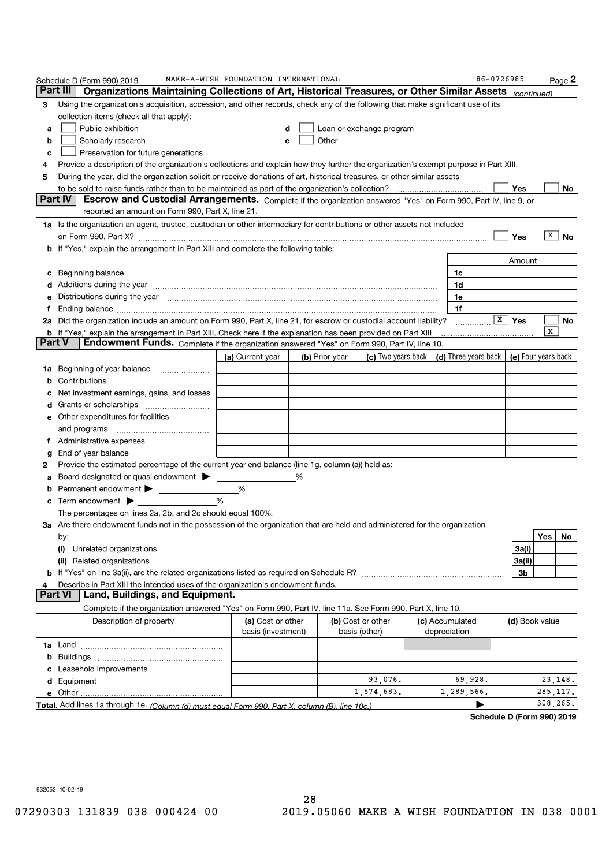|        | Schedule D (Form 990) 2019                                                                                                                                                                                                            | MAKE-A-WISH FOUNDATION INTERNATIONAL    |   |                |                                    |                                 | 86-0726985                                 |                    |           | Page 2    |
|--------|---------------------------------------------------------------------------------------------------------------------------------------------------------------------------------------------------------------------------------------|-----------------------------------------|---|----------------|------------------------------------|---------------------------------|--------------------------------------------|--------------------|-----------|-----------|
|        | Part III<br>Organizations Maintaining Collections of Art, Historical Treasures, or Other Similar Assets (continued)                                                                                                                   |                                         |   |                |                                    |                                 |                                            |                    |           |           |
| 3      | Using the organization's acquisition, accession, and other records, check any of the following that make significant use of its                                                                                                       |                                         |   |                |                                    |                                 |                                            |                    |           |           |
|        | collection items (check all that apply):                                                                                                                                                                                              |                                         |   |                |                                    |                                 |                                            |                    |           |           |
| a      | Public exhibition                                                                                                                                                                                                                     |                                         | d |                | Loan or exchange program           |                                 |                                            |                    |           |           |
| b      | Scholarly research                                                                                                                                                                                                                    |                                         | e |                |                                    |                                 |                                            |                    |           |           |
| c      | Preservation for future generations                                                                                                                                                                                                   |                                         |   |                |                                    |                                 |                                            |                    |           |           |
| 4      | Provide a description of the organization's collections and explain how they further the organization's exempt purpose in Part XIII.                                                                                                  |                                         |   |                |                                    |                                 |                                            |                    |           |           |
| 5      | During the year, did the organization solicit or receive donations of art, historical treasures, or other similar assets                                                                                                              |                                         |   |                |                                    |                                 |                                            |                    |           |           |
|        |                                                                                                                                                                                                                                       |                                         |   |                |                                    |                                 |                                            | Yes                |           | No        |
|        | Part IV<br>Escrow and Custodial Arrangements. Complete if the organization answered "Yes" on Form 990, Part IV, line 9, or                                                                                                            |                                         |   |                |                                    |                                 |                                            |                    |           |           |
|        | reported an amount on Form 990, Part X, line 21.                                                                                                                                                                                      |                                         |   |                |                                    |                                 |                                            |                    |           |           |
|        | 1a Is the organization an agent, trustee, custodian or other intermediary for contributions or other assets not included                                                                                                              |                                         |   |                |                                    |                                 |                                            |                    |           |           |
|        |                                                                                                                                                                                                                                       |                                         |   |                |                                    |                                 |                                            | Yes                | х         | <b>No</b> |
|        | b If "Yes," explain the arrangement in Part XIII and complete the following table:                                                                                                                                                    |                                         |   |                |                                    |                                 |                                            |                    |           |           |
|        |                                                                                                                                                                                                                                       |                                         |   |                |                                    |                                 |                                            | Amount             |           |           |
| с      | Beginning balance <b>contract to the contract of the contract of the contract of the contract of the contract of the contract of the contract of the contract of the contract of the contract of the contract of the contract of</b>  |                                         |   |                |                                    | 1c                              |                                            |                    |           |           |
|        | Additions during the year manufactured and an account of the state of the state of the state of the state of the state of the state of the state of the state of the state of the state of the state of the state of the state        |                                         |   |                |                                    | 1d                              |                                            |                    |           |           |
|        | Distributions during the year manufactured and continuum and contact the year manufactured and contact the year                                                                                                                       |                                         |   |                |                                    | 1e                              |                                            |                    |           |           |
| f      | Ending balance <b>construction and construction of the construction of the construction of the construction</b><br>2a Did the organization include an amount on Form 990, Part X, line 21, for escrow or custodial account liability? |                                         |   |                |                                    | 1f                              |                                            | $\overline{X}$ Yes |           |           |
|        | <b>b</b> If "Yes," explain the arrangement in Part XIII. Check here if the explanation has been provided on Part XIII                                                                                                                 |                                         |   |                |                                    |                                 |                                            |                    | x         | No        |
| Part V | Endowment Funds. Complete if the organization answered "Yes" on Form 990, Part IV, line 10.                                                                                                                                           |                                         |   |                |                                    |                                 |                                            |                    |           |           |
|        |                                                                                                                                                                                                                                       | (a) Current year                        |   | (b) Prior year | (c) Two years back                 |                                 | (d) Three years back   (e) Four years back |                    |           |           |
| 1a     | Beginning of year balance                                                                                                                                                                                                             |                                         |   |                |                                    |                                 |                                            |                    |           |           |
| b      |                                                                                                                                                                                                                                       |                                         |   |                |                                    |                                 |                                            |                    |           |           |
| c      | Net investment earnings, gains, and losses                                                                                                                                                                                            |                                         |   |                |                                    |                                 |                                            |                    |           |           |
|        |                                                                                                                                                                                                                                       |                                         |   |                |                                    |                                 |                                            |                    |           |           |
|        | e Other expenditures for facilities                                                                                                                                                                                                   |                                         |   |                |                                    |                                 |                                            |                    |           |           |
|        | and programs                                                                                                                                                                                                                          |                                         |   |                |                                    |                                 |                                            |                    |           |           |
|        |                                                                                                                                                                                                                                       |                                         |   |                |                                    |                                 |                                            |                    |           |           |
| g      |                                                                                                                                                                                                                                       |                                         |   |                |                                    |                                 |                                            |                    |           |           |
| 2      | Provide the estimated percentage of the current year end balance (line 1g, column (a)) held as:                                                                                                                                       |                                         |   |                |                                    |                                 |                                            |                    |           |           |
|        | Board designated or quasi-endowment > ____                                                                                                                                                                                            |                                         | ℅ |                |                                    |                                 |                                            |                    |           |           |
|        | Permanent endowment                                                                                                                                                                                                                   | %                                       |   |                |                                    |                                 |                                            |                    |           |           |
|        | c Term endowment $\blacktriangleright$                                                                                                                                                                                                | %                                       |   |                |                                    |                                 |                                            |                    |           |           |
|        | The percentages on lines 2a, 2b, and 2c should equal 100%.                                                                                                                                                                            |                                         |   |                |                                    |                                 |                                            |                    |           |           |
|        | 3a Are there endowment funds not in the possession of the organization that are held and administered for the organization                                                                                                            |                                         |   |                |                                    |                                 |                                            |                    |           |           |
|        | by:                                                                                                                                                                                                                                   |                                         |   |                |                                    |                                 |                                            |                    | Yes   No  |           |
|        | (i)                                                                                                                                                                                                                                   |                                         |   |                |                                    |                                 |                                            | 3a(i)              |           |           |
|        |                                                                                                                                                                                                                                       |                                         |   |                |                                    |                                 |                                            | 3a(ii)             |           |           |
|        |                                                                                                                                                                                                                                       |                                         |   |                |                                    |                                 |                                            | Зb                 |           |           |
| 4      | Describe in Part XIII the intended uses of the organization's endowment funds.                                                                                                                                                        |                                         |   |                |                                    |                                 |                                            |                    |           |           |
|        | Land, Buildings, and Equipment.<br><b>Part VI</b>                                                                                                                                                                                     |                                         |   |                |                                    |                                 |                                            |                    |           |           |
|        | Complete if the organization answered "Yes" on Form 990, Part IV, line 11a. See Form 990, Part X, line 10.                                                                                                                            |                                         |   |                |                                    |                                 |                                            |                    |           |           |
|        | Description of property                                                                                                                                                                                                               | (a) Cost or other<br>basis (investment) |   |                | (b) Cost or other<br>basis (other) | (c) Accumulated<br>depreciation |                                            | (d) Book value     |           |           |
|        |                                                                                                                                                                                                                                       |                                         |   |                |                                    |                                 |                                            |                    |           |           |
|        |                                                                                                                                                                                                                                       |                                         |   |                |                                    |                                 |                                            |                    |           |           |
|        |                                                                                                                                                                                                                                       |                                         |   |                |                                    |                                 |                                            |                    |           |           |
|        |                                                                                                                                                                                                                                       |                                         |   |                | 93,076.                            |                                 | 69,928.                                    |                    | 23,148.   |           |
|        | e Other                                                                                                                                                                                                                               |                                         |   |                | 1,574,683.                         | 1,289,566.                      |                                            |                    | 285, 117. |           |
|        | Total. Add lines 1a through 1e. (Column (d) must equal Form 990. Part X, column (B), line 10c.)                                                                                                                                       |                                         |   |                |                                    |                                 |                                            |                    | 308,265.  |           |

932052 10-02-19

Schedule D (Form 990) 2019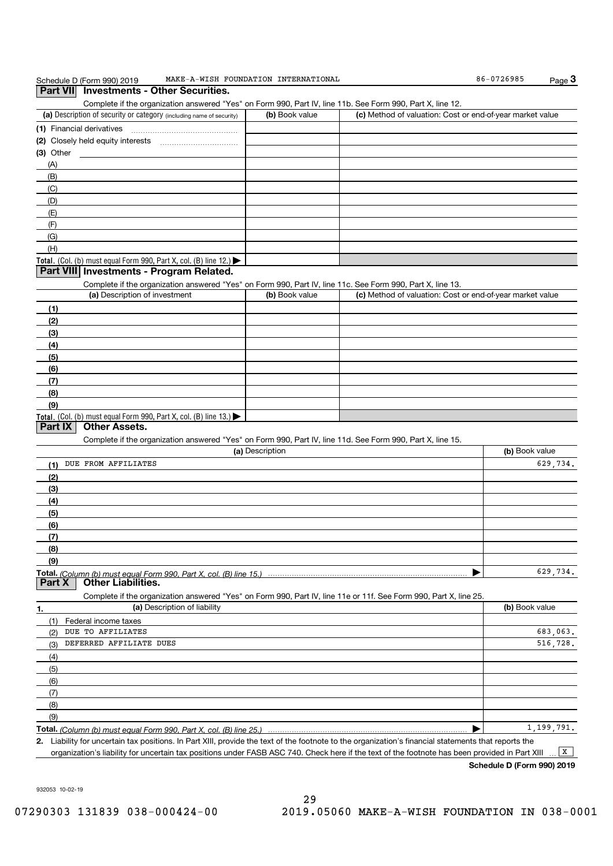| Schedule D (Form 990) 2019<br><b>Investments - Other Securities.</b><br><b>Part VIII</b>                                                                                                                          | MAKE-A-WISH FOUNDATION INTERNATIONAL |                                                           | 86-0726985     | Page $3$   |
|-------------------------------------------------------------------------------------------------------------------------------------------------------------------------------------------------------------------|--------------------------------------|-----------------------------------------------------------|----------------|------------|
| Complete if the organization answered "Yes" on Form 990, Part IV, line 11b. See Form 990, Part X, line 12.                                                                                                        |                                      |                                                           |                |            |
| (a) Description of security or category (including name of security)                                                                                                                                              | (b) Book value                       | (c) Method of valuation: Cost or end-of-year market value |                |            |
|                                                                                                                                                                                                                   |                                      |                                                           |                |            |
|                                                                                                                                                                                                                   |                                      |                                                           |                |            |
| (3) Other                                                                                                                                                                                                         |                                      |                                                           |                |            |
| (A)                                                                                                                                                                                                               |                                      |                                                           |                |            |
| (B)                                                                                                                                                                                                               |                                      |                                                           |                |            |
| (C)<br>(D)                                                                                                                                                                                                        |                                      |                                                           |                |            |
| (E)                                                                                                                                                                                                               |                                      |                                                           |                |            |
| (F)                                                                                                                                                                                                               |                                      |                                                           |                |            |
| (G)                                                                                                                                                                                                               |                                      |                                                           |                |            |
| (H)                                                                                                                                                                                                               |                                      |                                                           |                |            |
| Total. (Col. (b) must equal Form 990, Part X, col. (B) line 12.)                                                                                                                                                  |                                      |                                                           |                |            |
| Part VIII Investments - Program Related.                                                                                                                                                                          |                                      |                                                           |                |            |
| Complete if the organization answered "Yes" on Form 990, Part IV, line 11c. See Form 990, Part X, line 13.                                                                                                        |                                      |                                                           |                |            |
| (a) Description of investment                                                                                                                                                                                     | (b) Book value                       | (c) Method of valuation: Cost or end-of-year market value |                |            |
| (1)                                                                                                                                                                                                               |                                      |                                                           |                |            |
| (2)                                                                                                                                                                                                               |                                      |                                                           |                |            |
| (3)                                                                                                                                                                                                               |                                      |                                                           |                |            |
| (4)                                                                                                                                                                                                               |                                      |                                                           |                |            |
| (5)                                                                                                                                                                                                               |                                      |                                                           |                |            |
| (6)                                                                                                                                                                                                               |                                      |                                                           |                |            |
| (7)                                                                                                                                                                                                               |                                      |                                                           |                |            |
| (8)                                                                                                                                                                                                               |                                      |                                                           |                |            |
| (9)                                                                                                                                                                                                               |                                      |                                                           |                |            |
| Total. (Col. (b) must equal Form 990, Part X, col. (B) line 13.)<br>Part IX<br><b>Other Assets.</b><br>Complete if the organization answered "Yes" on Form 990, Part IV, line 11d. See Form 990, Part X, line 15. |                                      |                                                           |                |            |
| DUE FROM AFFILIATES                                                                                                                                                                                               | (a) Description                      |                                                           | (b) Book value | 629,734.   |
| (1)                                                                                                                                                                                                               |                                      |                                                           |                |            |
| (2)                                                                                                                                                                                                               |                                      |                                                           |                |            |
| (3)                                                                                                                                                                                                               |                                      |                                                           |                |            |
| (4)                                                                                                                                                                                                               |                                      |                                                           |                |            |
| (5)<br>(6)                                                                                                                                                                                                        |                                      |                                                           |                |            |
| (7)                                                                                                                                                                                                               |                                      |                                                           |                |            |
| (8)                                                                                                                                                                                                               |                                      |                                                           |                |            |
| (9)                                                                                                                                                                                                               |                                      |                                                           |                |            |
| Total. (Column (b) must equal Form 990. Part X, col. (B) line 15.)                                                                                                                                                |                                      |                                                           | ▶              | 629,734.   |
| <b>Other Liabilities.</b><br>Part X<br>Complete if the organization answered "Yes" on Form 990, Part IV, line 11e or 11f. See Form 990, Part X, line 25.                                                          |                                      |                                                           |                |            |
| (a) Description of liability<br>1.                                                                                                                                                                                |                                      |                                                           | (b) Book value |            |
| (1)<br>Federal income taxes                                                                                                                                                                                       |                                      |                                                           |                |            |
| DUE TO AFFILIATES<br>(2)                                                                                                                                                                                          |                                      |                                                           |                | 683,063.   |
| DEFERRED AFFILIATE DUES<br>(3)                                                                                                                                                                                    |                                      |                                                           |                | 516,728.   |
| (4)                                                                                                                                                                                                               |                                      |                                                           |                |            |
| (5)                                                                                                                                                                                                               |                                      |                                                           |                |            |
| (6)                                                                                                                                                                                                               |                                      |                                                           |                |            |
| (7)                                                                                                                                                                                                               |                                      |                                                           |                |            |
| (8)                                                                                                                                                                                                               |                                      |                                                           |                |            |
| (9)                                                                                                                                                                                                               |                                      |                                                           |                |            |
| Total. (Column (b) must equal Form 990, Part X, col. (B) line 25.)                                                                                                                                                |                                      |                                                           |                | 1,199,791. |
| 2. Liability for uncertain tax positions. In Part XIII, provide the text of the footnote to the organization's financial statements that reports the                                                              |                                      |                                                           |                |            |
| organization's liability for uncertain tax positions under FASB ASC 740. Check here if the text of the footnote has been provided in Part XIII                                                                    |                                      |                                                           |                | X          |

Schedule D (Form 990) 2019

932053 10-02-19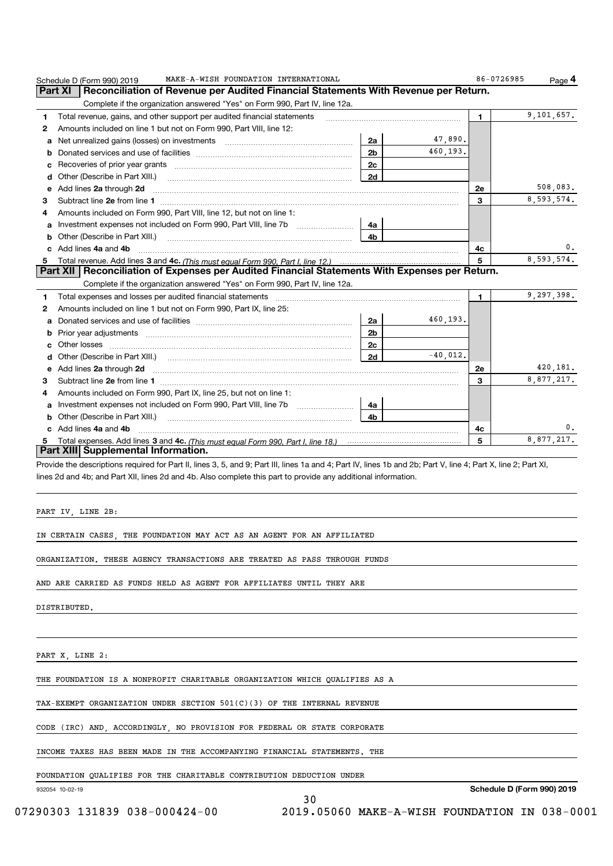|   | MAKE-A-WISH FOUNDATION INTERNATIONAL<br>Schedule D (Form 990) 2019                                                                                                                                                                   |             | 86-0726985 | Page 4     |
|---|--------------------------------------------------------------------------------------------------------------------------------------------------------------------------------------------------------------------------------------|-------------|------------|------------|
|   | Reconciliation of Revenue per Audited Financial Statements With Revenue per Return.<br>Part XI                                                                                                                                       |             |            |            |
|   | Complete if the organization answered "Yes" on Form 990, Part IV, line 12a.                                                                                                                                                          |             |            |            |
| 1 | Total revenue, gains, and other support per audited financial statements                                                                                                                                                             |             | 1.         | 9,101,657. |
| 2 | Amounts included on line 1 but not on Form 990, Part VIII, line 12:                                                                                                                                                                  |             |            |            |
| a | Net unrealized gains (losses) on investments [11] matter contracts and the unrealized gains (losses) on investments<br>2a                                                                                                            | 47,890.     |            |            |
| b | 2 <sub>b</sub>                                                                                                                                                                                                                       | 460,193.    |            |            |
|   | 2c                                                                                                                                                                                                                                   |             |            |            |
| d | 2d                                                                                                                                                                                                                                   |             |            |            |
| е | Add lines 2a through 2d <b>continuum continuum contract and all the contract and all the contract and all the contract and all the contract of the contract of the contract of the contract of the contract of the contract of t</b> |             | 2е         | 508,083.   |
| з | Subtract line 2e from line 1 <b>manufacture in the contract of the 2e</b> from line 1                                                                                                                                                |             | 3          | 8,593,574. |
| 4 | Amounts included on Form 990, Part VIII, line 12, but not on line 1:                                                                                                                                                                 |             |            |            |
| a | Investment expenses not included on Form 990, Part VIII, line 7b<br>4a                                                                                                                                                               |             |            |            |
| b | Other (Describe in Part XIII.)<br>4 <sub>b</sub>                                                                                                                                                                                     |             |            |            |
|   | c Add lines 4a and 4b                                                                                                                                                                                                                |             | 4c         | 0.         |
| 5 |                                                                                                                                                                                                                                      |             | 5          | 8,593,574. |
|   | Part XII   Reconciliation of Expenses per Audited Financial Statements With Expenses per Return.                                                                                                                                     |             |            |            |
|   | Complete if the organization answered "Yes" on Form 990, Part IV, line 12a.                                                                                                                                                          |             |            |            |
| 1 | Total expenses and losses per audited financial statements                                                                                                                                                                           |             | 1          | 9,297,398. |
| 2 | Amounts included on line 1 but not on Form 990, Part IX, line 25:                                                                                                                                                                    |             |            |            |
| a | 2a                                                                                                                                                                                                                                   | 460,193.    |            |            |
| b | 2 <sub>b</sub>                                                                                                                                                                                                                       |             |            |            |
|   | Other losses<br>2 <sub>c</sub>                                                                                                                                                                                                       |             |            |            |
| d | 2d                                                                                                                                                                                                                                   | $-40.012$ . |            |            |
| e | Add lines 2a through 2d <b>must be a constructed as the constant of the constant of the constant of the construction</b>                                                                                                             |             | 2е         | 420,181.   |
| 3 |                                                                                                                                                                                                                                      |             | 3          | 8,877,217. |
| 4 | Amounts included on Form 990, Part IX, line 25, but not on line 1:                                                                                                                                                                   |             |            |            |
| a | Investment expenses not included on Form 990, Part VIII, line 7b [1000000000000000000000000000000000<br>4a                                                                                                                           |             |            |            |
| b | 4 <sub>b</sub><br>Other (Describe in Part XIII.)                                                                                                                                                                                     |             |            |            |
|   | c Add lines 4a and 4b                                                                                                                                                                                                                |             | 4с         | 0.         |
| 5 |                                                                                                                                                                                                                                      |             | 5          | 8,877,217. |
|   | Part XIII Supplemental Information.                                                                                                                                                                                                  |             |            |            |

Provide the descriptions required for Part II, lines 3, 5, and 9; Part III, lines 1a and 4; Part IV, lines 1b and 2b; Part V, line 4; Part X, line 2; Part XI, lines 2d and 4b; and Part XII, lines 2d and 4b. Also complete this part to provide any additional information.

30

PART IV, LINE 2B:

IN CERTAIN CASES, THE FOUNDATION MAY ACT AS AN AGENT FOR AN AFFILIATED

ORGANIZATION. THESE AGENCY TRANSACTIONS ARE TREATED AS PASS THROUGH FUNDS

AND ARE CARRIED AS FUNDS HELD AS AGENT FOR AFFILIATES UNTIL THEY ARE

DISTRIBUTED.

PART X, LINE 2:

THE FOUNDATION IS A NONPROFIT CHARITABLE ORGANIZATION WHICH QUALIFIES AS A

TAX-EXEMPT ORGANIZATION UNDER SECTION 501(C)(3) OF THE INTERNAL REVENUE

CODE (IRC) AND, ACCORDINGLY, NO PROVISION FOR FEDERAL OR STATE CORPORATE

INCOME TAXES HAS BEEN MADE IN THE ACCOMPANYING FINANCIAL STATEMENTS. THE

FOUNDATION QUALIFIES FOR THE CHARITABLE CONTRIBUTION DEDUCTION UNDER

932054 10-02-19

Schedule D (Form 990) 2019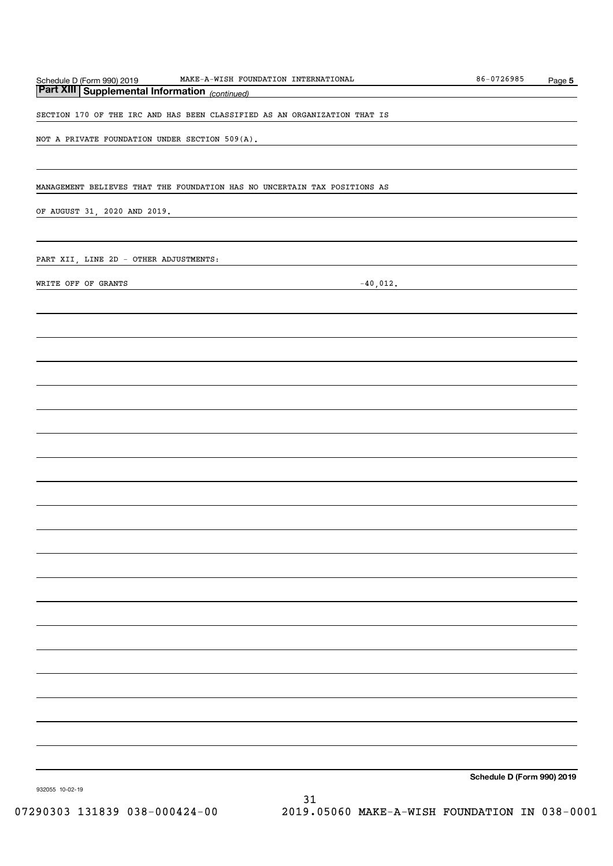| MAKE-A-WISH FOUNDATION INTERNATIONAL<br>Schedule D (Form 990) 2019<br>Part XIII Supplemental Information (continued) | 86-0726985                 | Page 5 |
|----------------------------------------------------------------------------------------------------------------------|----------------------------|--------|
| SECTION 170 OF THE IRC AND HAS BEEN CLASSIFIED AS AN ORGANIZATION THAT IS                                            |                            |        |
| NOT A PRIVATE FOUNDATION UNDER SECTION 509( $\overline{A}$ ).                                                        |                            |        |
|                                                                                                                      |                            |        |
| MANAGEMENT BELIEVES THAT THE FOUNDATION HAS NO UNCERTAIN TAX POSITIONS AS                                            |                            |        |
|                                                                                                                      |                            |        |
| OF AUGUST 31, 2020 AND 2019.<br><u> 1989 - Johann Stein, mars an deus Amerikaansk kommunister (</u>                  |                            |        |
| PART XII, LINE 2D - OTHER ADJUSTMENTS:                                                                               |                            |        |
| $-40,012.$<br>WRITE OFF OF GRANTS                                                                                    |                            |        |
|                                                                                                                      |                            |        |
|                                                                                                                      |                            |        |
|                                                                                                                      |                            |        |
|                                                                                                                      |                            |        |
|                                                                                                                      |                            |        |
|                                                                                                                      |                            |        |
|                                                                                                                      |                            |        |
|                                                                                                                      |                            |        |
|                                                                                                                      |                            |        |
|                                                                                                                      |                            |        |
|                                                                                                                      |                            |        |
|                                                                                                                      |                            |        |
|                                                                                                                      |                            |        |
|                                                                                                                      |                            |        |
|                                                                                                                      |                            |        |
|                                                                                                                      |                            |        |
|                                                                                                                      |                            |        |
|                                                                                                                      |                            |        |
|                                                                                                                      |                            |        |
|                                                                                                                      | Schedule D (Form 990) 2019 |        |
| 932055 10-02-19                                                                                                      |                            |        |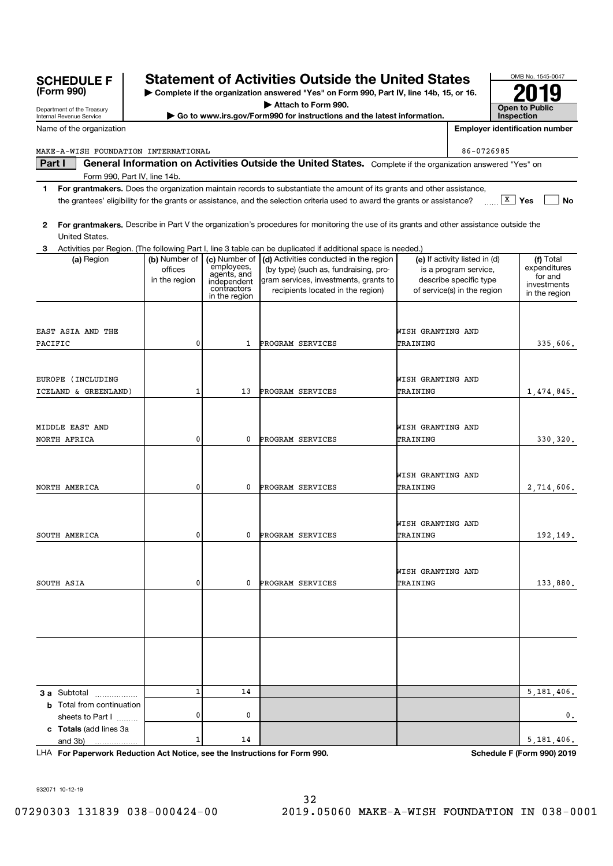| <b>SCHEDULE F</b><br>(Form 990)                        |                                           |                                                                                           | <b>Statement of Activities Outside the United States</b><br>Complete if the organization answered "Yes" on Form 990, Part IV, line 14b, 15, or 16.            |                               |                                                                                                                 |                | OMB No. 1545-0047                                                    |
|--------------------------------------------------------|-------------------------------------------|-------------------------------------------------------------------------------------------|---------------------------------------------------------------------------------------------------------------------------------------------------------------|-------------------------------|-----------------------------------------------------------------------------------------------------------------|----------------|----------------------------------------------------------------------|
| Department of the Treasury<br>Internal Revenue Service |                                           |                                                                                           | Attach to Form 990.<br>Go to www.irs.gov/Form990 for instructions and the latest information.                                                                 |                               |                                                                                                                 | Inspection     | <b>Open to Public</b>                                                |
| Name of the organization                               |                                           |                                                                                           |                                                                                                                                                               |                               |                                                                                                                 |                | <b>Employer identification number</b>                                |
|                                                        |                                           |                                                                                           |                                                                                                                                                               |                               |                                                                                                                 |                |                                                                      |
| MAKE-A-WISH FOUNDATION INTERNATIONAL                   |                                           |                                                                                           |                                                                                                                                                               |                               | 86-0726985                                                                                                      |                |                                                                      |
| Part I                                                 |                                           |                                                                                           | General Information on Activities Outside the United States. Complete if the organization answered "Yes" on                                                   |                               |                                                                                                                 |                |                                                                      |
| Form 990, Part IV, line 14b.<br>1                      |                                           |                                                                                           | For grantmakers. Does the organization maintain records to substantiate the amount of its grants and other assistance,                                        |                               |                                                                                                                 |                |                                                                      |
|                                                        |                                           |                                                                                           | the grantees' eligibility for the grants or assistance, and the selection criteria used to award the grants or assistance?                                    |                               |                                                                                                                 | $\sqrt{x}$ Yes | No                                                                   |
| 2<br>United States.                                    |                                           |                                                                                           | For grantmakers. Describe in Part V the organization's procedures for monitoring the use of its grants and other assistance outside the                       |                               |                                                                                                                 |                |                                                                      |
|                                                        |                                           |                                                                                           | Activities per Region. (The following Part I, line 3 table can be duplicated if additional space is needed.)                                                  |                               |                                                                                                                 |                |                                                                      |
| (a) Region                                             | (b) Number of<br>offices<br>in the region | (c) Number of<br>employees,<br>agents, and<br>independent<br>contractors<br>in the region | (d) Activities conducted in the region<br>(by type) (such as, fundraising, pro-<br>gram services, investments, grants to<br>recipients located in the region) |                               | (e) If activity listed in (d)<br>is a program service,<br>describe specific type<br>of service(s) in the region |                | (f) Total<br>expenditures<br>for and<br>investments<br>in the region |
| EAST ASIA AND THE                                      |                                           |                                                                                           |                                                                                                                                                               | WISH GRANTING AND             |                                                                                                                 |                |                                                                      |
| PACIFIC                                                | 0                                         | 1                                                                                         | <b>PROGRAM SERVICES</b>                                                                                                                                       | TRAINING                      |                                                                                                                 |                | 335,606.                                                             |
| EUROPE (INCLUDING                                      |                                           |                                                                                           |                                                                                                                                                               | WISH GRANTING AND             |                                                                                                                 |                |                                                                      |
| ICELAND & GREENLAND)                                   | 1                                         | 13                                                                                        | PROGRAM SERVICES                                                                                                                                              | TRAINING                      |                                                                                                                 |                | 1,474,845.                                                           |
| MIDDLE EAST AND<br>NORTH AFRICA                        | 0                                         | 0                                                                                         | PROGRAM SERVICES                                                                                                                                              | WISH GRANTING AND<br>TRAINING |                                                                                                                 |                | 330,320.                                                             |
|                                                        |                                           |                                                                                           |                                                                                                                                                               |                               |                                                                                                                 |                |                                                                      |
| NORTH AMERICA                                          | 0                                         | 0                                                                                         | PROGRAM SERVICES                                                                                                                                              | WISH GRANTING AND<br>TRAINING |                                                                                                                 |                | 2,714,606.                                                           |
| SOUTH AMERICA                                          | 0                                         | 0                                                                                         | PROGRAM SERVICES                                                                                                                                              | WISH GRANTING AND<br>TRAINING |                                                                                                                 |                | 192,149.                                                             |
|                                                        |                                           |                                                                                           |                                                                                                                                                               | WISH GRANTING AND             |                                                                                                                 |                |                                                                      |
| SOUTH ASIA                                             | 0                                         | 0                                                                                         | PROGRAM SERVICES                                                                                                                                              | TRAINING                      |                                                                                                                 |                | 133,880.                                                             |
|                                                        |                                           |                                                                                           |                                                                                                                                                               |                               |                                                                                                                 |                |                                                                      |
|                                                        |                                           |                                                                                           |                                                                                                                                                               |                               |                                                                                                                 |                |                                                                      |
| <b>3 a</b> Subtotal                                    | $\mathbf{1}$                              | 14                                                                                        |                                                                                                                                                               |                               |                                                                                                                 |                | 5,181,406.                                                           |
| <b>b</b> Total from continuation<br>sheets to Part I   | 0                                         | 0                                                                                         |                                                                                                                                                               |                               |                                                                                                                 |                | 0.                                                                   |
| c Totals (add lines 3a<br>and 3b)                      | 1                                         | 14                                                                                        |                                                                                                                                                               |                               |                                                                                                                 |                | 5,181,406.                                                           |

LHA For Paperwork Reduction Act Notice, see the Instructions for Form 990. Schedule F (Form 990) 2019

932071 10-12-19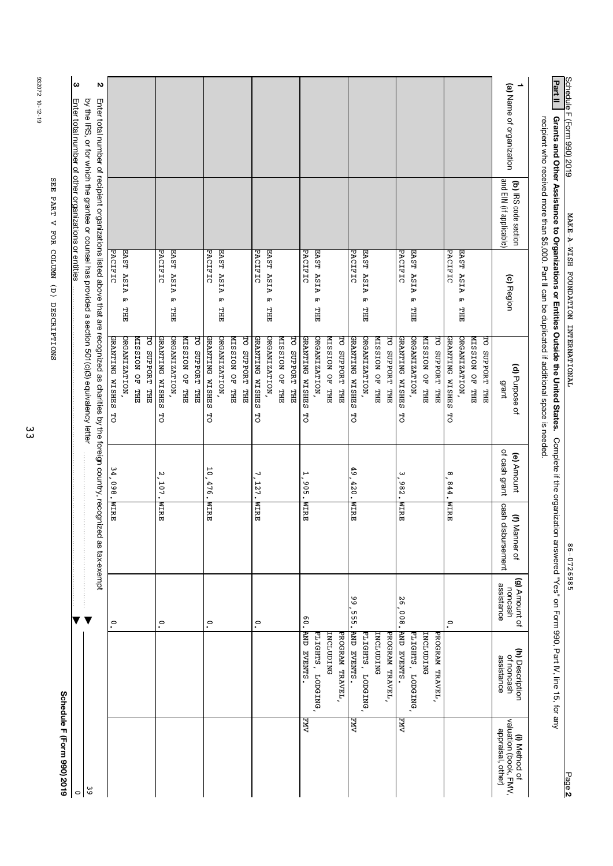| Schedule F (Form 990) 2019<br>$\circ$  |                                                                                    |                          |                   |                   |                                                                                                                                              |                                      |                         | ω<br>Enter total number of other organizations or entities |
|----------------------------------------|------------------------------------------------------------------------------------|--------------------------|-------------------|-------------------|----------------------------------------------------------------------------------------------------------------------------------------------|--------------------------------------|-------------------------|------------------------------------------------------------|
|                                        |                                                                                    |                          |                   |                   | by the IRS, or for which the grantee or counsel has provided a section 501(c)(3) equivalency letter                                          |                                      |                         |                                                            |
| <u>ဖ</u>                               |                                                                                    |                          |                   |                   | Enter total number of recipient organizations listed above that are recognized as charities by the foreign country, recognized as tax-exempt |                                      |                         | N                                                          |
|                                        |                                                                                    | $\ddot{\circ}$           | <b>NIRE</b>       | 34,098.           | GRANTING WISHES TO                                                                                                                           | PACIFIC                              |                         |                                                            |
|                                        |                                                                                    |                          |                   |                   | ORGANIZATION<br><b>MISSION OF THE</b>                                                                                                        | EAST ASIA<br>p<br><b>THE</b>         |                         |                                                            |
|                                        |                                                                                    |                          |                   |                   | HO SCRADART HER                                                                                                                              |                                      |                         |                                                            |
|                                        |                                                                                    | $\cdot$                  | <b>NIRE</b>       | N<br>107.         | GRANTING WISHES<br>넝                                                                                                                         | PACIFIC                              |                         |                                                            |
|                                        |                                                                                    |                          |                   |                   | ORGANIZATION,                                                                                                                                | EAST ASIA<br>ጽ<br><b>HH</b>          |                         |                                                            |
|                                        |                                                                                    |                          |                   |                   | <b>WISSION OF THE</b>                                                                                                                        |                                      |                         |                                                            |
|                                        |                                                                                    |                          |                   |                   | TO SUPPORT<br><b>THE</b>                                                                                                                     |                                      |                         |                                                            |
|                                        |                                                                                    | $\cdot$                  | <b>NTRE</b>       | 10,476.           | GRANTING WISHES<br>đ                                                                                                                         | PACIFIC                              |                         |                                                            |
|                                        |                                                                                    |                          |                   |                   | ORGANIZATION,                                                                                                                                | EAST ASIA<br>R<br><b>THE</b>         |                         |                                                            |
|                                        |                                                                                    |                          |                   |                   | <b>NISSION OF THE</b>                                                                                                                        |                                      |                         |                                                            |
|                                        |                                                                                    |                          |                   |                   | TO SUPPORT<br>HH                                                                                                                             |                                      |                         |                                                            |
|                                        |                                                                                    | $\rm ^{\circ}$           | <b>WIRE</b>       | ┙<br>127.         | GRANTING WISHES<br>넝                                                                                                                         | PACIFIC                              |                         |                                                            |
|                                        |                                                                                    |                          |                   |                   | ORGANIZATION,                                                                                                                                | EAST ASIA<br>R٢<br><b>THE</b>        |                         |                                                            |
|                                        |                                                                                    |                          |                   |                   | <b>WISSION OF THE</b>                                                                                                                        |                                      |                         |                                                            |
|                                        |                                                                                    |                          |                   |                   | <b>TO SUPPORT</b><br>品出                                                                                                                      |                                      |                         |                                                            |
| $\Delta$ M $\overline{A}$              | <b>AND EVENTS.</b>                                                                 | .09                      | <b>NIRE</b>       | H<br>.905.        | GRANTING WISHES<br>녕                                                                                                                         | PACIFIC                              |                         |                                                            |
|                                        | FLIGHTS, LODGING,                                                                  |                          |                   |                   | ORGANIZATION,                                                                                                                                | EAST<br>ASIA<br>مع<br><b>THT</b>     |                         |                                                            |
|                                        | <b>INCLUDING</b>                                                                   |                          |                   |                   | <b>ZHL JO NOISSIN</b>                                                                                                                        |                                      |                         |                                                            |
|                                        | PROGRAM TRAVEL,                                                                    |                          |                   |                   | TO SUPPORT<br>HH<br>H                                                                                                                        |                                      |                         |                                                            |
| ΛМ.                                    | <b>AND EVENTS.</b>                                                                 | 9<br><b>555.</b>         | <b>WIRE</b>       | 49<br>420.        | GRANTING WISHES<br>넝                                                                                                                         | PACIFIC                              |                         |                                                            |
|                                        | FLIGHTS, LODGING,                                                                  |                          |                   |                   | ORGANIZATION,                                                                                                                                | EAST ASIA<br>مع<br><b>HH</b>         |                         |                                                            |
|                                        | INCLUDING                                                                          |                          |                   |                   | <b>EHRISTON OF HHR</b>                                                                                                                       |                                      |                         |                                                            |
|                                        | PROGRAM TRAVEL,                                                                    |                          |                   |                   | TO SUPPORT<br>H                                                                                                                              |                                      |                         |                                                            |
| <b>NM</b>                              | SLNEAH CNE                                                                         | 26,008.                  | <b>NTRE</b>       | ω<br>.382.        | GRANTING WISHES<br>넝                                                                                                                         | PACIFIC                              |                         |                                                            |
|                                        | FLIGHTS, LODGING,                                                                  |                          |                   |                   | ORGANIZATION,                                                                                                                                | EAST ASIA<br>ጽ<br><b>THE</b>         |                         |                                                            |
|                                        | INCLUDING                                                                          |                          |                   |                   | <b>NISSION OF THE</b>                                                                                                                        |                                      |                         |                                                            |
|                                        | PROGRAM TRAVEL,                                                                    |                          |                   |                   | TO SUPPORT<br><b>THE</b>                                                                                                                     |                                      |                         |                                                            |
|                                        |                                                                                    | $\tilde{\cdot}$          | <b>WIRE</b>       | $^\infty$<br>944. | GRANTING WISHES<br>넝                                                                                                                         | PACIFIC                              |                         |                                                            |
|                                        |                                                                                    |                          |                   |                   | ORGANIZATION                                                                                                                                 | EAST ASIA<br>R<br><b>THE</b>         |                         |                                                            |
|                                        |                                                                                    |                          |                   |                   | MISSION OF THE                                                                                                                               |                                      |                         |                                                            |
|                                        |                                                                                    |                          |                   |                   | БC<br>SUPPORT<br><b>THE</b>                                                                                                                  |                                      |                         |                                                            |
| appraisal, other)                      | assistance                                                                         | assistance               | cash disbursement | of cash grant     | grant                                                                                                                                        |                                      | and EIN (if applicable) |                                                            |
| valuation (book, FMV,<br>(i) Method of | (h) Description<br>of noncash                                                      | (g) Amount of<br>noncash | (f) Manner of     | (e) Amount        | (d) Purpose of                                                                                                                               | (c) Region                           | (b) IRS code section    | (a) Name of organization                                   |
|                                        |                                                                                    |                          |                   |                   | recipient who received more than \$5,000. Part II can be duplicated if additional space is needed                                            |                                      |                         |                                                            |
|                                        | Complete if the organization answered "Yes" on Form 990, Part IV, line 15, for any |                          |                   |                   | Grants and Other Assistance to Organizations or Entities Outside the United States.                                                          |                                      |                         | <b>Part II</b>                                             |
| Page 2                                 |                                                                                    |                          | 86-0726985        |                   |                                                                                                                                              | MAKE-A-WISH FOUNDATION INTERNATIONAL |                         | Schedule F (Form 990) 2019                                 |

932072 10-12-19 932072 10-12-19

> SEE PART V FOR COLUMN (D) DESCRIPTIONS SEE PART V FOR COLUMN (D) DESCRIPTIONS

<u>ယ</u>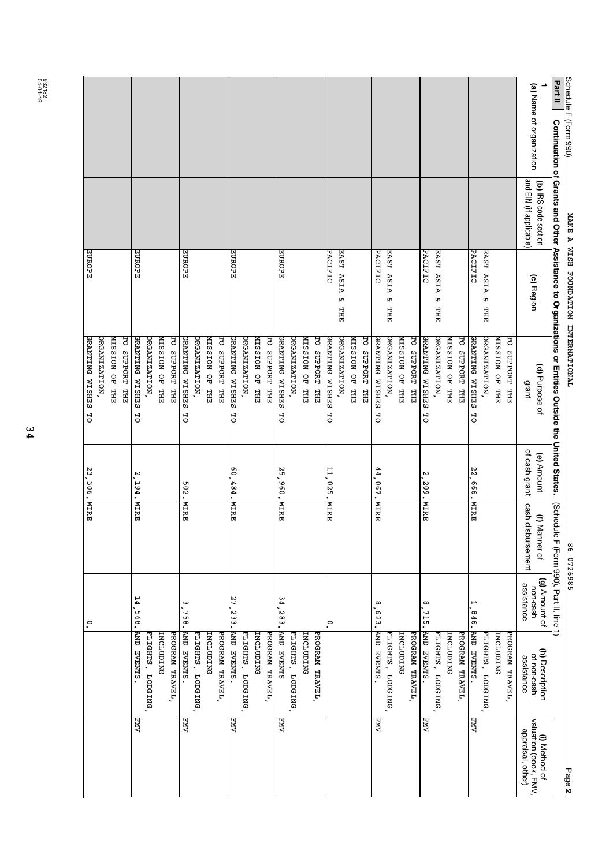| Schedule F (Form 990)    |                                                 | MAKE-A-WISH FOUNDATION INTERNATIONAL     |                                                                                                     |                             | 86-0726985                         |                                         |                                              | Page 2                                                      |
|--------------------------|-------------------------------------------------|------------------------------------------|-----------------------------------------------------------------------------------------------------|-----------------------------|------------------------------------|-----------------------------------------|----------------------------------------------|-------------------------------------------------------------|
| Part II                  |                                                 |                                          | Continuation of Grants and Other Assistance to Organizations or Entities Outside the United States. |                             | (Schedule                          | F (Form 990), Part II, line 1)          |                                              |                                                             |
| (a) Name of organization | and EIN (if applicable)<br>(b) IRS code section | (c) Region                               | (d) Purpose of<br>grant                                                                             | of cash grant<br>(e) Amount | cash disbursement<br>(f) Manner of | (g) Amount of<br>assistance<br>non-cash | (h) Description<br>of non-cash<br>assistance | valuation (book, FMV,<br>appraisal, other)<br>(i) Method of |
|                          |                                                 |                                          | <b>THL JO NOISSIN</b><br>THE LIFE ORD PORT                                                          |                             |                                    |                                         | <b>INCLUDING</b><br>PROGRAM TRAVEL,          |                                                             |
|                          |                                                 | EAST ASIA<br>ጽ<br><b>THT</b>             | <b>ORGANIZATION</b>                                                                                 |                             |                                    |                                         | ELIGHTS, LODGING,                            |                                                             |
|                          |                                                 | PACIFIC                                  | GRANTING WISHES<br>TO SUPPORT<br>HH<br>HH<br>넝                                                      | 22<br>.666.                 | <b>NIRE</b>                        | $\overline{ }$<br>956                   | SLNEAS CNE<br>PROGRAM TRAVEL,                | ЛMЯ                                                         |
|                          |                                                 |                                          | <b>SHL JO NOISSIN</b>                                                                               |                             |                                    |                                         | INCLUDING                                    |                                                             |
|                          |                                                 | EAST ASIA<br>ጽ<br>HЦ                     | ORGANIZATION,                                                                                       |                             |                                    |                                         | FLIGHTS, LODGING                             |                                                             |
|                          |                                                 | PACIFIC                                  | GRANTING WISHES<br>넝                                                                                | N<br>.209.                  | <b>NIRE</b>                        | $\infty$<br>715.                        | STARYEVER,                                   | NИЛ                                                         |
|                          |                                                 |                                          | TO SUPPORT THE                                                                                      |                             |                                    |                                         | PROGRAM TRAVEL,                              |                                                             |
|                          |                                                 |                                          | <b>MISSION OF THE</b>                                                                               |                             |                                    |                                         | INCLUDING                                    |                                                             |
|                          |                                                 | EAST ASIA<br>PACIFIC<br>مع<br><b>THT</b> | GRANTING WISHES<br>ORGANIZATION,<br>넝                                                               | 44,067.                     | <b>NTRE</b>                        | $\infty$<br>$-523$                      | <b>AND EVENTS.</b><br>FLIGHTS, LODGING       | <b>EMV</b>                                                  |
|                          |                                                 |                                          | THE LEBORT LEE                                                                                      |                             |                                    |                                         |                                              |                                                             |
|                          |                                                 |                                          | <b>NISSION OF THE</b>                                                                               |                             |                                    |                                         |                                              |                                                             |
|                          |                                                 | EAST ASIA<br>ጽ<br><b>THT</b>             | ORGANIZATION,                                                                                       |                             |                                    |                                         |                                              |                                                             |
|                          |                                                 | PACIFIC                                  | GRANTING WISHES<br>묘도<br>넝                                                                          | 11,025.                     | <b>NIRE</b>                        | $\tilde{\cdot}$                         |                                              |                                                             |
|                          |                                                 |                                          | <b>MISSION OF THE</b><br>TO SUPPORT                                                                 |                             |                                    |                                         | PROGRAM TRAVEL,<br>INCLUDING                 |                                                             |
|                          |                                                 |                                          | ORGANIZATION,                                                                                       |                             |                                    |                                         | FLIGHTS, LODGING,                            |                                                             |
|                          |                                                 | EUROPE                                   | GRANTING WISHES<br>넝                                                                                | ς,<br>.096'                 | <b>NIRE</b>                        | 34<br>283.                              | <b>SLNEAS CNV</b>                            | NМЯ                                                         |
|                          |                                                 |                                          | TO SUPPORT THE                                                                                      |                             |                                    |                                         | PROGRAM TRAVEL,                              |                                                             |
|                          |                                                 |                                          | ORGANIZATION,<br><b>NISSION OF THE</b>                                                              |                             |                                    |                                         | INCLUDING                                    |                                                             |
|                          |                                                 | EUROPE                                   | GRANTING WISHES<br>넝                                                                                | $\overline{0}$<br>484.      | <b>NIRE</b>                        | 27<br>233.                              | STYEVENS.<br>FLIGHTS, LODGING                | NМЯ                                                         |
|                          |                                                 |                                          | <b>PO SCRPORT FIRE</b>                                                                              |                             |                                    |                                         | PROGRAM TRAVEL,                              |                                                             |
|                          |                                                 |                                          | <b>WISSION OF THE</b>                                                                               |                             |                                    |                                         | INCLUDING                                    |                                                             |
|                          |                                                 |                                          | ORGANIZATION,                                                                                       |                             |                                    |                                         | PLIGHTS, LODGING                             |                                                             |
|                          |                                                 | EUROPE                                   | GRANTING WISHES<br>TO SUPPORT<br>묘도<br>넝                                                            | 502.                        | <b>NIRE</b>                        | ω<br>$-758.$                            | SLNEAS CNE<br>PROGRAM TRAVEL,                | ΛM                                                          |
|                          |                                                 |                                          | <b>MISSION OF THE</b>                                                                               |                             |                                    |                                         | INCLUDING                                    |                                                             |
|                          |                                                 |                                          | ORGANIZATION,                                                                                       |                             |                                    |                                         | FLIGHTS, LODGING,                            |                                                             |
|                          |                                                 | EUROPE                                   | GRANTING WISHES<br>넝                                                                                | N<br>194.                   | <b>NIRE</b>                        | 14<br>$-568.$                           | <b>AND EVENTS</b>                            | ΛМ.                                                         |
|                          |                                                 |                                          | <b>HO SCRADED LHE</b>                                                                               |                             |                                    |                                         |                                              |                                                             |
|                          |                                                 |                                          | <b>MISSION OF</b><br>HH                                                                             |                             |                                    |                                         |                                              |                                                             |
|                          |                                                 |                                          | GRANTING WISHES<br>ORGANIZATION<br>đ                                                                |                             |                                    | $\cdot^{\circ}$                         |                                              |                                                             |
|                          |                                                 | EUROPE                                   |                                                                                                     | 23, 306.                    | <b>NTRE</b>                        |                                         |                                              |                                                             |

04-01-19 932182

34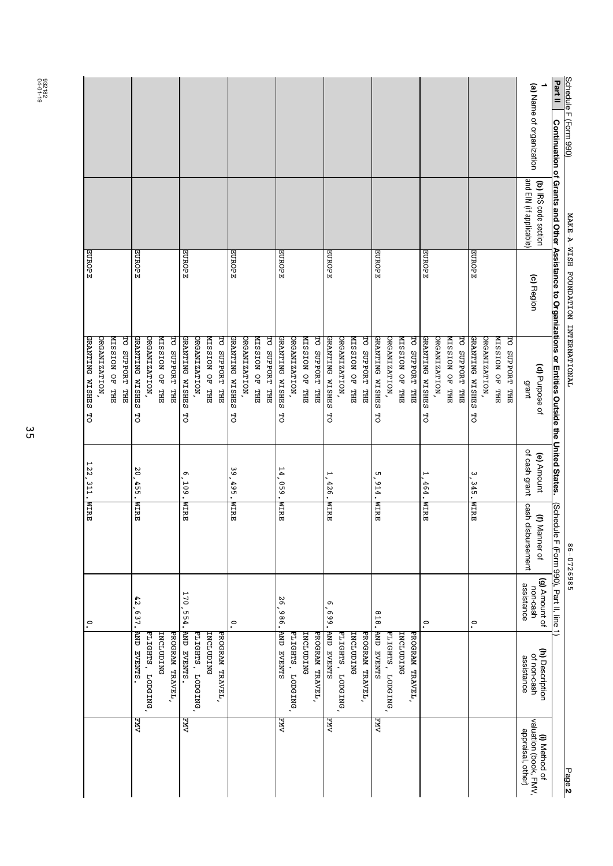|                                           |                         |                       |                      |                  |                       |                       |                      |                  |                       |                        |                      |              |                |                |                      |                  |                |                  |                        |                  |                       |                 |                       |                  |                |                 |                      |               |                       |                         |                       |               |                       |                |                         |                                        | Part II                                                                                             |                                      |
|-------------------------------------------|-------------------------|-----------------------|----------------------|------------------|-----------------------|-----------------------|----------------------|------------------|-----------------------|------------------------|----------------------|--------------|----------------|----------------|----------------------|------------------|----------------|------------------|------------------------|------------------|-----------------------|-----------------|-----------------------|------------------|----------------|-----------------|----------------------|---------------|-----------------------|-------------------------|-----------------------|---------------|-----------------------|----------------|-------------------------|----------------------------------------|-----------------------------------------------------------------------------------------------------|--------------------------------------|
|                                           |                         |                       |                      |                  |                       |                       |                      |                  |                       |                        |                      |              |                |                |                      |                  |                |                  |                        |                  |                       |                 |                       |                  |                |                 |                      |               |                       |                         |                       |               |                       |                |                         | (a) Name of organization               |                                                                                                     | Schedule F (Form 990)                |
|                                           |                         |                       |                      |                  |                       |                       |                      |                  |                       |                        |                      |              |                |                |                      |                  |                |                  |                        |                  |                       |                 |                       |                  |                |                 |                      |               |                       |                         |                       |               |                       |                | and EIN (if applicable) | (b) IRS code section                   |                                                                                                     |                                      |
| EUROPE                                    |                         |                       | EUROPE               |                  |                       |                       | EUROPE               |                  |                       |                        | EUROPE               |              |                |                | EUROPE               |                  |                |                  | EUROPE                 |                  |                       |                 | EUROPE                |                  |                |                 | EUROPE               |               |                       |                         | EUROPE                |               |                       |                |                         | (c) Region                             |                                                                                                     | MAKE-A-WISH FOUNDATION INTERNATIONAL |
| GRANTING WISHES TO<br><b>DRGANIZATION</b> | <b>NISSION OF</b><br>HH | <b>HO SCRADED LHE</b> | GRANTING WISHES<br>넝 | ORGANIZATION,    | <b>MISSION OF THE</b> | <b>HO SUPPORT THE</b> | GRANTING WISHES<br>넝 | ORGANIZATION,    | <b>WISSION OF THE</b> | <b>PO SCRPORT FIRE</b> | GRANTING WISHES<br>넝 | ORGANIZATION | MISSION OF THE | TO SUPPORT THE | GRANTING WISHES<br>넝 | ORGANIZATION,    | MISSION OF THE | ਰ<br>SUPPORT THE | GRANTING WISHES<br>넝   | ORGANIZATION,    | <b>MISSION OF THE</b> | TO SUPPORT THE  | GRANTING WISHES<br>5O | ORGANIZATION     | MISSION OF THE | THE LEBORT LEE  | GRANTING WISHES<br>넝 | ORGANIZATION, | <b>MISSION OF THE</b> | 명<br><b>SUPPORT THE</b> | GRANTING WISHES<br>5O | ORGANIZATION, | <b>THL JO NOISSIN</b> | TO SUPPORT THE | grant                   | (d) Purpose of                         | Continuation of Grants and Other Assistance to Organizations or Entities Outside the United States. |                                      |
| 122, 311. WIRE                            |                         |                       | 20<br>455.           |                  |                       |                       | ጣ<br>$-109.$         |                  |                       |                        | ဖ<br>စ<br>495.       |              |                |                | 14<br>.690           |                  |                |                  | $\overline{ }$<br>426. |                  |                       |                 | G<br>614.             |                  |                |                 | F<br>464.            |               |                       |                         | ω<br>345.             |               |                       |                | of cash grant           | (e) Amount                             |                                                                                                     |                                      |
|                                           |                         |                       | <b>NIRE</b>          |                  |                       |                       | <b>NIRE</b>          |                  |                       |                        | <b>NIRE</b>          |              |                |                | <b>NIRE</b>          |                  |                |                  | <b>NIRE</b>            |                  |                       |                 | <b>NIRE</b>           |                  |                |                 | <b>NIRE</b>          |               |                       |                         | <b>NIRE</b>           |               |                       |                | cash disbursement       | (f) Manner of                          | (Schedule                                                                                           | 86-0726985                           |
| $\circ$                                   |                         |                       | 42,637.              |                  |                       |                       | 170, 554.            |                  |                       |                        | $\tilde{\cdot}$      |              |                |                | 26,986.              |                  |                |                  | Ō<br>.669              |                  |                       |                 | 818.                  |                  |                |                 | $\cdot$              |               |                       |                         | $\tilde{\cdot}$       |               |                       |                | assistance              | (g) Amount of<br>non-cash              | F (Form 990), Part II, line 1)                                                                      |                                      |
|                                           |                         |                       | SLNEAR CNV           | FLIGHTS, LODGING | INCLUDING             | PROGRAM TRAVEL,       | <b>AND EVENTS.</b>   | FLIGHTS, LODGING | INCLUDING             | PROGRAM TRAVEL,        |                      |              |                |                | <b>AND EVENTS</b>    | FLIGHTS, LODGING | INCLUDING      | PROGRAM TRAVEL,  | <b>SLNEAS CNV</b>      | FLIGHTS, LODGING | INCLUDING             | PROGRAM TRAVEL, | <b>SLNEAE CNV</b>     | FLIGHTS, LODGING | INCLUDING      | PROGRAM TRAVEL, |                      |               |                       |                         |                       |               |                       |                | assistance              | (h) Description<br>of non-cash         |                                                                                                     |                                      |
|                                           |                         |                       | ΛMЧ                  |                  |                       |                       | ΛMЧ                  |                  |                       |                        |                      |              |                |                | ДXД<br>Д             |                  |                |                  | NМ                     |                  |                       |                 | ЛMЯ                   |                  |                |                 |                      |               |                       |                         |                       |               |                       |                | appraisal, other)       | valuation (book, FMV,<br>(i) Method of |                                                                                                     | Page 2                               |

04-01-19 932182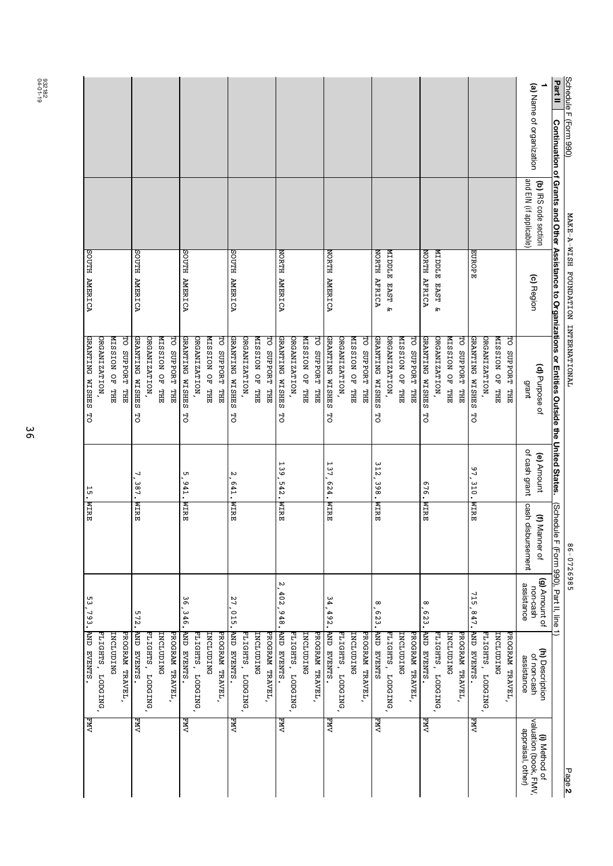| Schedule F (Form 990)    |                                                 | MAKE-A-WISH FOUNDATION INTERNATIONAL |                                                                                                     |                             | 86-0726985                         |                                         |                                              | Page 2                                                      |
|--------------------------|-------------------------------------------------|--------------------------------------|-----------------------------------------------------------------------------------------------------|-----------------------------|------------------------------------|-----------------------------------------|----------------------------------------------|-------------------------------------------------------------|
| Part II                  |                                                 |                                      | Continuation of Grants and Other Assistance to Organizations or Entities Outside the United States. |                             | Schedule                           | F (Form 990), Part II, line 1)          |                                              |                                                             |
| (a) Name of organization | and EIN (if applicable)<br>(b) IRS code section | (c) Region                           | (d) Purpose of<br>grant                                                                             | of cash grant<br>(e) Amount | cash disbursement<br>(f) Manner of | (g) Amount of<br>assistance<br>non-cash | (h) Description<br>of non-cash<br>assistance | valuation (book, FMV,<br>appraisal, other)<br>(i) Method of |
|                          |                                                 |                                      | THE THE THE                                                                                         |                             |                                    |                                         | PROGRAM TRAVEL,                              |                                                             |
|                          |                                                 |                                      | <b>ZHL JO NOISSIN</b>                                                                               |                             |                                    |                                         | INCLUDING                                    |                                                             |
|                          |                                                 |                                      | ORGANIZATION                                                                                        |                             |                                    |                                         | FLIGHTS, LODGING                             |                                                             |
|                          |                                                 | EUROPE                               | GRANTING WISHES<br>넝                                                                                | 97<br>310.                  | <b>NTRE</b>                        | 715<br>,847.                            | SLNEAR CNV                                   | <b>FMV</b>                                                  |
|                          |                                                 |                                      | TO SUPPORT<br>H                                                                                     |                             |                                    |                                         | PROGRAM TRAVEL,                              |                                                             |
|                          |                                                 |                                      | MISSION OF THE                                                                                      |                             |                                    |                                         | <b>INCLUDING</b>                             |                                                             |
|                          |                                                 | MIDDLE EAST &                        | ORGANIZATION,                                                                                       |                             |                                    |                                         | FLIGHTS, LODGING                             |                                                             |
|                          |                                                 | NORTH AFRICA                         | GRANTING WISHES<br>성                                                                                | 676.                        | <b>NIRE</b>                        | $\infty$<br>623.                        | <b>AND EVENTS.</b>                           | NМД                                                         |
|                          |                                                 |                                      | TO SUPPORT THE                                                                                      |                             |                                    |                                         | PROGRAM TRAVEL,                              |                                                             |
|                          |                                                 |                                      | MISSION OF THE                                                                                      |                             |                                    |                                         | <b>INCLUDING</b>                             |                                                             |
|                          |                                                 | <b>ELOCIM</b><br>EAST<br>ጽ           | ORGANIZATION                                                                                        |                             |                                    |                                         | <b>FLIGHTS, LODGING</b>                      |                                                             |
|                          |                                                 | NORTH AFRICA                         | <b>GRANTING WISHES</b><br><b>HO SCRADED LHE</b><br>성                                                | 312<br>.398.                | <b>NIRE</b>                        | œ<br>623.                               | <b>SLNEAE</b> GNV<br>PROGRAM TRAVEL,         | <b>EMV</b>                                                  |
|                          |                                                 |                                      | <b>ZHL JO NOISSIN</b>                                                                               |                             |                                    |                                         | INCLUDING                                    |                                                             |
|                          |                                                 |                                      | ORGANIZATION                                                                                        |                             |                                    |                                         | FLIGHTS, LODGING                             |                                                             |
|                          |                                                 | NORTH AMERICA                        | GRANTING WISHES<br>넝                                                                                | 137<br>524.                 | <b>NIRE</b>                        | 34<br>$-502$ .                          | <b>AND EVENTS.</b>                           | EMV                                                         |
|                          |                                                 |                                      | TO SUPPORT THE                                                                                      |                             |                                    |                                         | PROGRAM TRAVEL,                              |                                                             |
|                          |                                                 |                                      | MISSION OF THE                                                                                      |                             |                                    |                                         | INCLUDING                                    |                                                             |
|                          |                                                 |                                      | ORGANIZATION,                                                                                       |                             |                                    |                                         | FLIGHTS, LODGING                             |                                                             |
|                          |                                                 | NORTH AMERICA                        | GRANTING WISHES<br>넝                                                                                | 139<br>$-542.$              | <b>NIRE</b>                        | N<br>402,948.                           | AND EVENTS.                                  | NМЯ                                                         |
|                          |                                                 |                                      | PO SCRPORT FIER                                                                                     |                             |                                    |                                         | PROGRAM TRAVEL,                              |                                                             |
|                          |                                                 |                                      | <b>ZHL JO NOISSIN</b>                                                                               |                             |                                    |                                         | INCLUDING                                    |                                                             |
|                          |                                                 |                                      | ORGANIZATION                                                                                        |                             |                                    |                                         | FLIGHTS, LODGING                             |                                                             |
|                          |                                                 | <b>ACTER AMERICA</b>                 | GRANTING WISHES<br>성                                                                                | N<br>ō<br>41.               | <b>NIRE</b>                        | 27,015.                                 | <b>RINEAS CNV</b>                            | <b>FMV</b>                                                  |
|                          |                                                 |                                      | TO SUPPORT THE                                                                                      |                             |                                    |                                         | PROGRAM TRAVEL,                              |                                                             |
|                          |                                                 |                                      | <b>ZHL JO NOISSIN</b>                                                                               |                             |                                    |                                         | <b>LNCLUDING</b>                             |                                                             |
|                          |                                                 |                                      | ORGANIZATION,                                                                                       |                             |                                    |                                         | FLIGHTS, LODGING                             |                                                             |
|                          |                                                 | <b>SOUTH AMERICA</b>                 | <b>GRANTING WISHES</b><br>성                                                                         | UЛ<br>$-100 - 1$            | <b>NIRE</b>                        | 36,346.                                 | SLNEAR CNV                                   | NМЯ                                                         |
|                          |                                                 |                                      | THE LIFE ORD PORT                                                                                   |                             |                                    |                                         | PROGRAM TRAVEL,                              |                                                             |
|                          |                                                 |                                      | <b>MISSION OF THE</b>                                                                               |                             |                                    |                                         | INCLUDING                                    |                                                             |
|                          |                                                 |                                      | ORGANIZATION                                                                                        |                             |                                    |                                         | FLIGHTS, LODGING                             |                                                             |
|                          |                                                 | <b>SOUTH AMERICA</b>                 | GRANTING WISHES<br>넝                                                                                | ┙<br>387.                   | <b>NIRE</b>                        | 572.                                    | BLAZA CNEWS.                                 | <b>FMV</b>                                                  |
|                          |                                                 |                                      | TO SUPPORT THE                                                                                      |                             |                                    |                                         | PROGRAM TRAVEL,                              |                                                             |
|                          |                                                 |                                      | <b>NISSION OF</b><br>HH                                                                             |                             |                                    |                                         | INCLUDING                                    |                                                             |
|                          |                                                 |                                      | ORGANIZATION                                                                                        |                             |                                    |                                         | FLIGHTS,<br><b>LODGING</b>                   |                                                             |
|                          |                                                 | <b>SOUTH AMERICA</b>                 | GRANTING WISHES<br>đ                                                                                | 15.                         | <b>NTRE</b>                        | .<br>ა<br>.<br>.793.                    | AND EVENTS.                                  | NМЯ                                                         |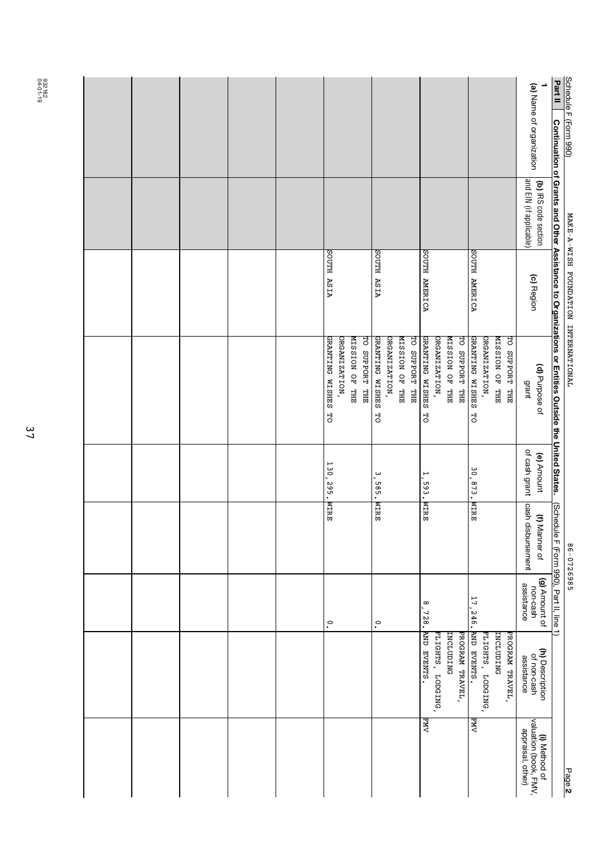|  |  |  |                           |               |                |                       |                      |               |                                         |                      |                   |                       |                 |                       |                   |                       |                       |                         |                                        | Part II                                                                                             |                                      |
|--|--|--|---------------------------|---------------|----------------|-----------------------|----------------------|---------------|-----------------------------------------|----------------------|-------------------|-----------------------|-----------------|-----------------------|-------------------|-----------------------|-----------------------|-------------------------|----------------------------------------|-----------------------------------------------------------------------------------------------------|--------------------------------------|
|  |  |  |                           |               |                |                       |                      |               |                                         |                      |                   |                       |                 |                       |                   |                       |                       |                         | (a) Name of organization               |                                                                                                     | Schedule F (Form 990)                |
|  |  |  |                           |               |                |                       |                      |               |                                         |                      |                   |                       |                 |                       |                   |                       |                       | and EIN (if applicable) | (b) IRS code section                   |                                                                                                     |                                      |
|  |  |  | <b>AISA HTUOS</b>         |               |                |                       | <b>AISA HTUOS</b>    |               |                                         | <b>ACTER AMERICA</b> |                   |                       |                 | <b>SOUTH AMERICA</b>  |                   |                       |                       |                         | (c) Region                             |                                                                                                     | MAKE-A-WISH FOUNDATION INTERNATIONAL |
|  |  |  | <b>GRANTING WISHES TO</b> | ORGANIZATION, | MISSION OF THE | <b>TO SUPPORT THE</b> | GRANTING WISHES<br>닝 | ORGANIZATION, | MISSION OF THE<br><b>HO SUPPORH LHE</b> | GRANTING WISHES<br>đ | ORGANIZATION,     | <b>NISSION OF THE</b> | TO SUPPORT THE  | GRANTING WISHES<br>5O | ORGANIZATION,     | <b>ZHL JO NOISSIN</b> | <b>HO SUPPORT THE</b> | grant                   | (d) Purpose of                         | Continuation of Grants and Other Assistance to Organizations or Entities Outside the United States. |                                      |
|  |  |  | 130,295.                  |               |                |                       | ω<br>$-585$          |               |                                         | H<br>$-593.$         |                   |                       |                 | 30,873.               |                   |                       |                       | of cash grant           | (e) Amount                             |                                                                                                     |                                      |
|  |  |  | <b>NTRE</b>               |               |                |                       | <b>NTRE</b>          |               |                                         | <b>NTRE</b>          |                   |                       |                 | <b>NIRE</b>           |                   |                       |                       | cash disbursement       | (f) Manner of                          | (Schedule F (Form 990), Part II, line 1)                                                            | 86-0726985                           |
|  |  |  | $\cdot$                   |               |                |                       | .°                   |               |                                         | $^{\circ}$<br>728.   |                   |                       |                 | 17,246.               |                   |                       |                       | assistance              | (g) Amount of<br>non-cash              |                                                                                                     |                                      |
|  |  |  |                           |               |                |                       |                      |               |                                         | AND EVENTS.          | FLIGHTS, LODGING, | INCLUDING             | PROGRAM TRAVEL, | <b>AND EVENTS.</b>    | FLIGHTS, LODGING, | INCLUDING             | PROGRAM TRAVEL,       | assistance              | (h) Description<br>of non-cash         |                                                                                                     |                                      |
|  |  |  |                           |               |                |                       |                      |               |                                         | FMY                  |                   |                       |                 | ЛWЧ<br>А              |                   |                       |                       | appraisal, other)       | valuation (book, FMV,<br>(i) Method of |                                                                                                     | Page 2                               |

04-01-19 932182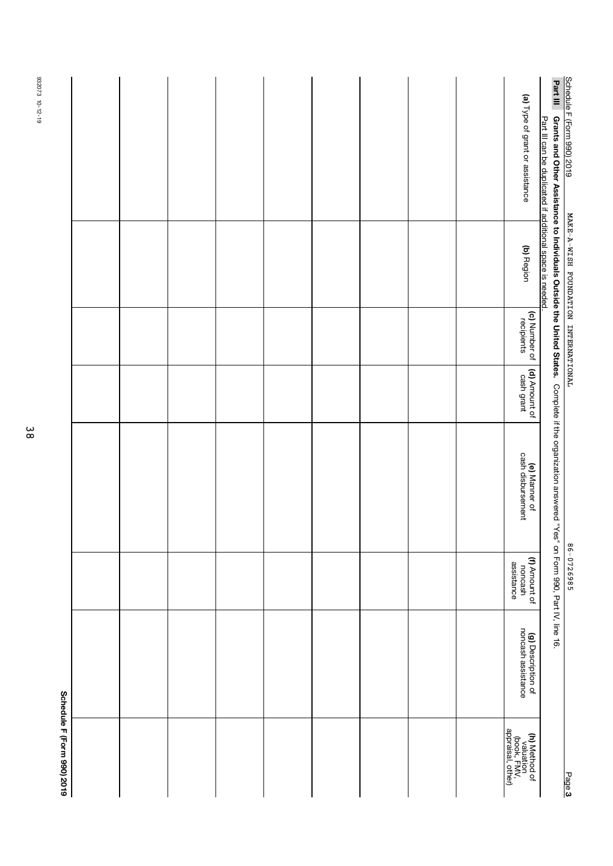|                            |  |  |  |  |                                                                       | Part III                                                                                                                                        |                                      |
|----------------------------|--|--|--|--|-----------------------------------------------------------------------|-------------------------------------------------------------------------------------------------------------------------------------------------|--------------------------------------|
|                            |  |  |  |  | (a) Type of grant or assistance                                       | Part III can be duplicated if additional space is needed.                                                                                       | Schedule F (Form 990) 2019           |
|                            |  |  |  |  | (b) Region                                                            |                                                                                                                                                 | MAKE-A-WISH FOUNDATION INTERNATIONAL |
|                            |  |  |  |  | (c) Number of<br>recipients                                           |                                                                                                                                                 |                                      |
|                            |  |  |  |  | (d) Amount of<br>cash grant                                           |                                                                                                                                                 |                                      |
|                            |  |  |  |  | <b>(e)</b> Manner of<br>cash disbursement                             | Grants and Other Assistance to Individuals Outside the United States. Complete if the organization answered "Yes" on Form 990, Pat IV, line 16. |                                      |
|                            |  |  |  |  | (f) Amount of<br>noncash<br>assistance                                |                                                                                                                                                 | 86-0726985                           |
|                            |  |  |  |  | (g) Description of<br>noncash assistance                              |                                                                                                                                                 |                                      |
| Schedule H (Form 990) 2019 |  |  |  |  | <b>(h)</b> Method of<br>valuation<br>(book, FMV,<br>appraisal, other) |                                                                                                                                                 | Page 3                               |

932073 10-12-19 932073 10-12-19

38

Į. Š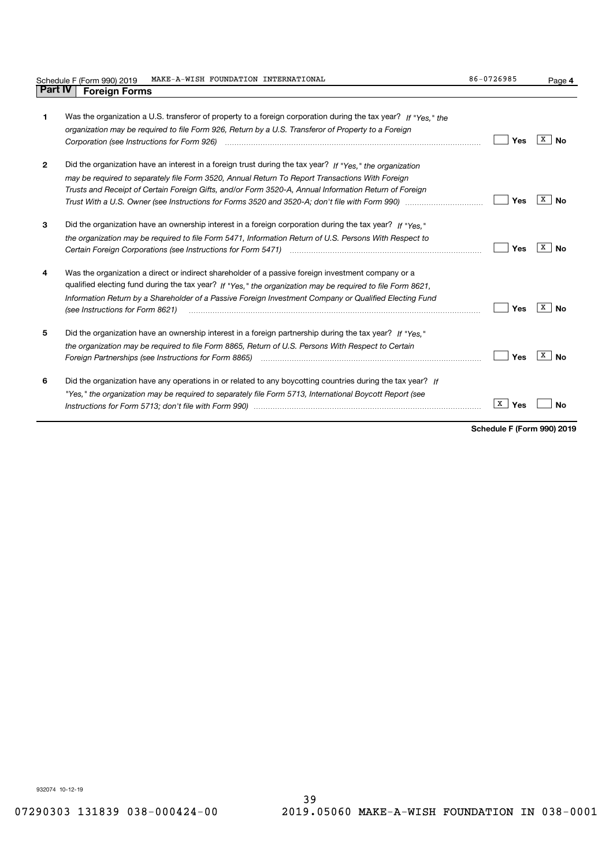|              | MAKE-A-WISH FOUNDATION INTERNATIONAL<br>Schedule F (Form 990) 2019                                                                                                                                                                                                                                                                                             | 86-0726985 | Page 4           |
|--------------|----------------------------------------------------------------------------------------------------------------------------------------------------------------------------------------------------------------------------------------------------------------------------------------------------------------------------------------------------------------|------------|------------------|
| Part IV      | <b>Foreign Forms</b>                                                                                                                                                                                                                                                                                                                                           |            |                  |
| 1            | Was the organization a U.S. transferor of property to a foreign corporation during the tax year? If "Yes." the<br>organization may be required to file Form 926, Return by a U.S. Transferor of Property to a Foreign<br>Corporation (see Instructions for Form 926) <i>manual content content content of the corporation</i> (see Instructions for Form 926)  | Yes        | X  <br><b>No</b> |
| $\mathbf{2}$ | Did the organization have an interest in a foreign trust during the tax year? If "Yes," the organization<br>may be required to separately file Form 3520, Annual Return To Report Transactions With Foreign<br>Trusts and Receipt of Certain Foreign Gifts, and/or Form 3520-A, Annual Information Return of Foreign                                           | Yes        | X  <br><b>No</b> |
| 3            | Did the organization have an ownership interest in a foreign corporation during the tax year? If "Yes."<br>the organization may be required to file Form 5471, Information Return of U.S. Persons With Respect to                                                                                                                                              | Yes        | x<br>Nο          |
| 4            | Was the organization a direct or indirect shareholder of a passive foreign investment company or a<br>qualified electing fund during the tax year? If "Yes," the organization may be required to file Form 8621.<br>Information Return by a Shareholder of a Passive Foreign Investment Company or Qualified Electing Fund<br>(see Instructions for Form 8621) | Yes        | x  <br><b>No</b> |
| 5            | Did the organization have an ownership interest in a foreign partnership during the tax year? If "Yes."<br>the organization may be required to file Form 8865, Return of U.S. Persons With Respect to Certain<br>Foreign Partnerships (see Instructions for Form 8865) manufactured content content content content content con                                | Yes        | x<br><b>No</b>   |
| 6            | Did the organization have any operations in or related to any boycotting countries during the tax year? If<br>"Yes," the organization may be required to separately file Form 5713, International Boycott Report (see                                                                                                                                          | X  <br>Yes | No               |

Schedule F (Form 990) 2019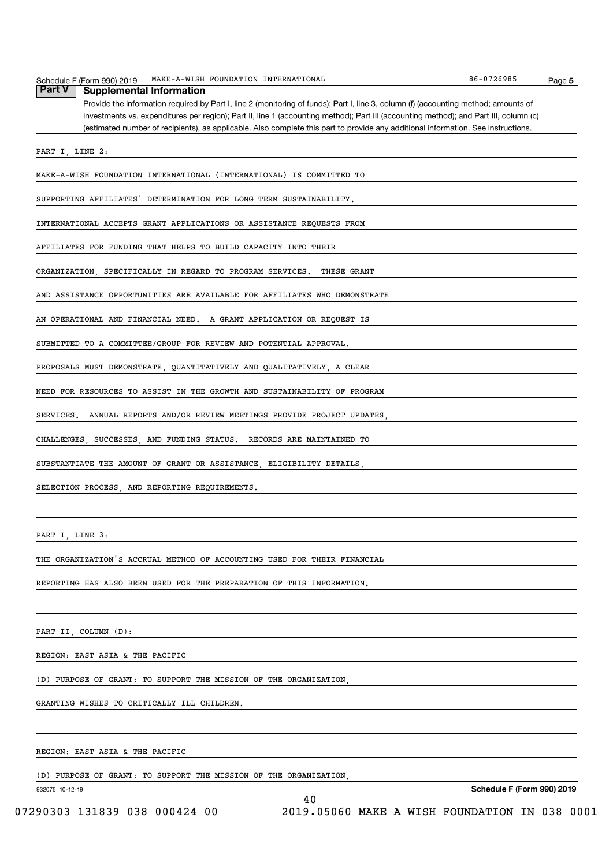| MAKE-A-WISH FOUNDATION INTERNATIONAL<br>Schedule F (Form 990) 2019                                                                    | 86-0726985 | Page 5 |
|---------------------------------------------------------------------------------------------------------------------------------------|------------|--------|
| <b>Part V</b><br><b>Supplemental Information</b>                                                                                      |            |        |
| Provide the information required by Part I, line 2 (monitoring of funds); Part I, line 3, column (f) (accounting method; amounts of   |            |        |
| investments vs. expenditures per region); Part II, line 1 (accounting method); Part III (accounting method); and Part III, column (c) |            |        |
| (estimated number of recipients), as applicable. Also complete this part to provide any additional information. See instructions.     |            |        |
|                                                                                                                                       |            |        |
| PART I, LINE 2:                                                                                                                       |            |        |
| MAKE-A-WISH FOUNDATION INTERNATIONAL (INTERNATIONAL) IS COMMITTED TO                                                                  |            |        |
| SUPPORTING AFFILIATES' DETERMINATION FOR LONG TERM SUSTAINABILITY.                                                                    |            |        |
|                                                                                                                                       |            |        |
| INTERNATIONAL ACCEPTS GRANT APPLICATIONS OR ASSISTANCE REQUESTS FROM                                                                  |            |        |
| AFFILIATES FOR FUNDING THAT HELPS TO BUILD CAPACITY INTO THEIR                                                                        |            |        |
| ORGANIZATION, SPECIFICALLY IN REGARD TO PROGRAM SERVICES.<br>THESE GRANT                                                              |            |        |
|                                                                                                                                       |            |        |
| AND ASSISTANCE OPPORTUNITIES ARE AVAILABLE FOR AFFILIATES WHO DEMONSTRATE                                                             |            |        |
| AN OPERATIONAL AND FINANCIAL NEED. A GRANT APPLICATION OR REQUEST IS                                                                  |            |        |
| SUBMITTED TO A COMMITTEE/GROUP FOR REVIEW AND POTENTIAL APPROVAL.                                                                     |            |        |
| PROPOSALS MUST DEMONSTRATE, QUANTITATIVELY AND QUALITATIVELY, A CLEAR                                                                 |            |        |
| NEED FOR RESOURCES TO ASSIST IN THE GROWTH AND SUSTAINABILITY OF PROGRAM                                                              |            |        |
| SERVICES.<br>ANNUAL REPORTS AND/OR REVIEW MEETINGS PROVIDE PROJECT UPDATES                                                            |            |        |
| CHALLENGES, SUCCESSES, AND FUNDING STATUS. RECORDS ARE MAINTAINED TO                                                                  |            |        |
| SUBSTANTIATE THE AMOUNT OF GRANT OR ASSISTANCE, ELIGIBILITY DETAILS,                                                                  |            |        |
| SELECTION PROCESS, AND REPORTING REQUIREMENTS.                                                                                        |            |        |
|                                                                                                                                       |            |        |
| PART I, LINE 3:                                                                                                                       |            |        |
| THE ORGANIZATION'S ACCRUAL METHOD OF ACCOUNTING USED FOR THEIR FINANCIAL                                                              |            |        |
| REPORTING HAS ALSO BEEN USED FOR THE PREPARATION OF THIS INFORMATION.                                                                 |            |        |

PART II, COLUMN (D):

REGION: EAST ASIA & THE PACIFIC

(D) PURPOSE OF GRANT: TO SUPPORT THE MISSION OF THE ORGANIZATION,

GRANTING WISHES TO CRITICALLY ILL CHILDREN.

### REGION: EAST ASIA & THE PACIFIC

(D) PURPOSE OF GRANT: TO SUPPORT THE MISSION OF THE ORGANIZATION,

932075 10-12-19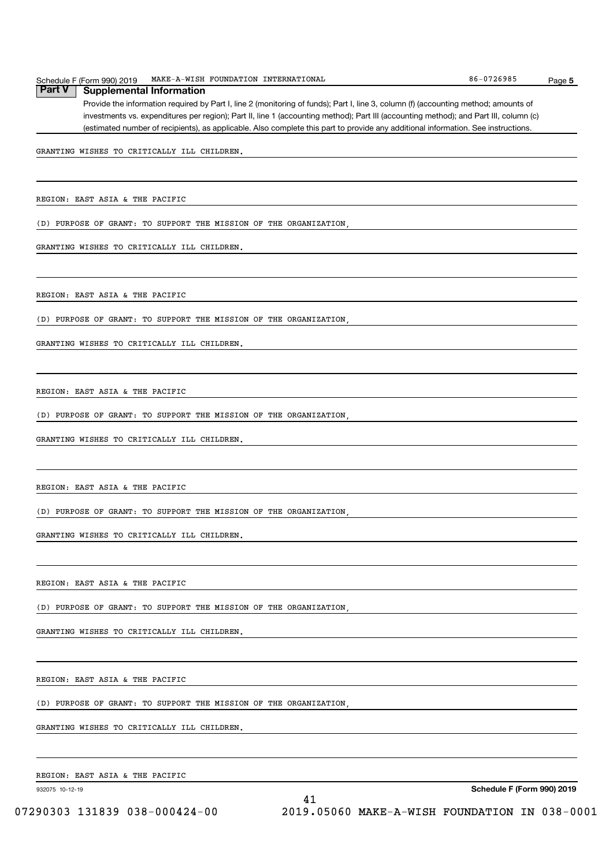Provide the information required by Part I, line 2 (monitoring of funds); Part I, line 3, column (f) (accounting method; amounts of investments vs. expenditures per region); Part II, line 1 (accounting method); Part III (accounting method); and Part III, column (c) (estimated number of recipients), as applicable. Also complete this part to provide any additional information. See instructions.

GRANTING WISHES TO CRITICALLY ILL CHILDREN.

REGION: EAST ASIA & THE PACIFIC

(D) PURPOSE OF GRANT: TO SUPPORT THE MISSION OF THE ORGANIZATION,

GRANTING WISHES TO CRITICALLY ILL CHILDREN.

REGION: EAST ASIA & THE PACIFIC

(D) PURPOSE OF GRANT: TO SUPPORT THE MISSION OF THE ORGANIZATION,

GRANTING WISHES TO CRITICALLY ILL CHILDREN.

REGION: EAST ASIA & THE PACIFIC

(D) PURPOSE OF GRANT: TO SUPPORT THE MISSION OF THE ORGANIZATION,

GRANTING WISHES TO CRITICALLY ILL CHILDREN.

REGION: EAST ASIA & THE PACIFIC

(D) PURPOSE OF GRANT: TO SUPPORT THE MISSION OF THE ORGANIZATION,

GRANTING WISHES TO CRITICALLY ILL CHILDREN.

REGION: EAST ASIA & THE PACIFIC

(D) PURPOSE OF GRANT: TO SUPPORT THE MISSION OF THE ORGANIZATION,

GRANTING WISHES TO CRITICALLY ILL CHILDREN.

REGION: EAST ASIA & THE PACIFIC

(D) PURPOSE OF GRANT: TO SUPPORT THE MISSION OF THE ORGANIZATION,

GRANTING WISHES TO CRITICALLY ILL CHILDREN.

REGION: EAST ASIA & THE PACIFIC

932075 10-12-19

Schedule F (Form 990) 2019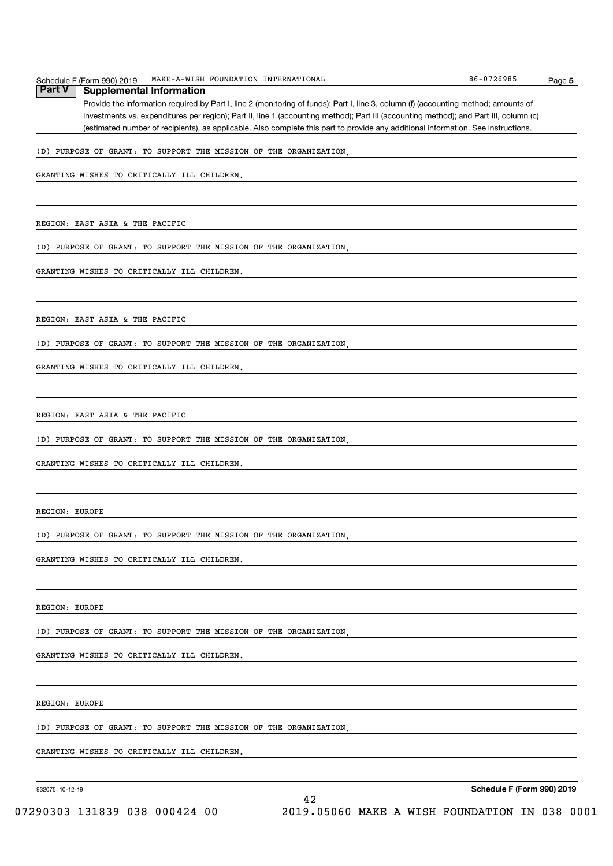#### Schedule F (Form 990) 2019 MAKE-A-WISH FOUNDATION INTERNATIONAL 86-0726985 Page **Part V** | Supplemental Information

Provide the information required by Part I, line 2 (monitoring of funds); Part I, line 3, column (f) (accounting method; amounts of investments vs. expenditures per region); Part II, line 1 (accounting method); Part III (accounting method); and Part III, column (c) (estimated number of recipients), as applicable. Also complete this part to provide any additional information. See instructions.

#### (D) PURPOSE OF GRANT: TO SUPPORT THE MISSION OF THE ORGANIZATION,

GRANTING WISHES TO CRITICALLY ILL CHILDREN.

REGION: EAST ASIA & THE PACIFIC

(D) PURPOSE OF GRANT: TO SUPPORT THE MISSION OF THE ORGANIZATION,

GRANTING WISHES TO CRITICALLY ILL CHILDREN.

REGION: EAST ASIA & THE PACIFIC

(D) PURPOSE OF GRANT: TO SUPPORT THE MISSION OF THE ORGANIZATION,

GRANTING WISHES TO CRITICALLY ILL CHILDREN.

REGION: EAST ASIA & THE PACIFIC

(D) PURPOSE OF GRANT: TO SUPPORT THE MISSION OF THE ORGANIZATION,

GRANTING WISHES TO CRITICALLY ILL CHILDREN.

REGION: EUROPE

(D) PURPOSE OF GRANT: TO SUPPORT THE MISSION OF THE ORGANIZATION,

GRANTING WISHES TO CRITICALLY ILL CHILDREN.

REGION: EUROPE

(D) PURPOSE OF GRANT: TO SUPPORT THE MISSION OF THE ORGANIZATION,

GRANTING WISHES TO CRITICALLY ILL CHILDREN.

REGION: EUROPE

(D) PURPOSE OF GRANT: TO SUPPORT THE MISSION OF THE ORGANIZATION,

GRANTING WISHES TO CRITICALLY ILL CHILDREN.

932075 10-12-19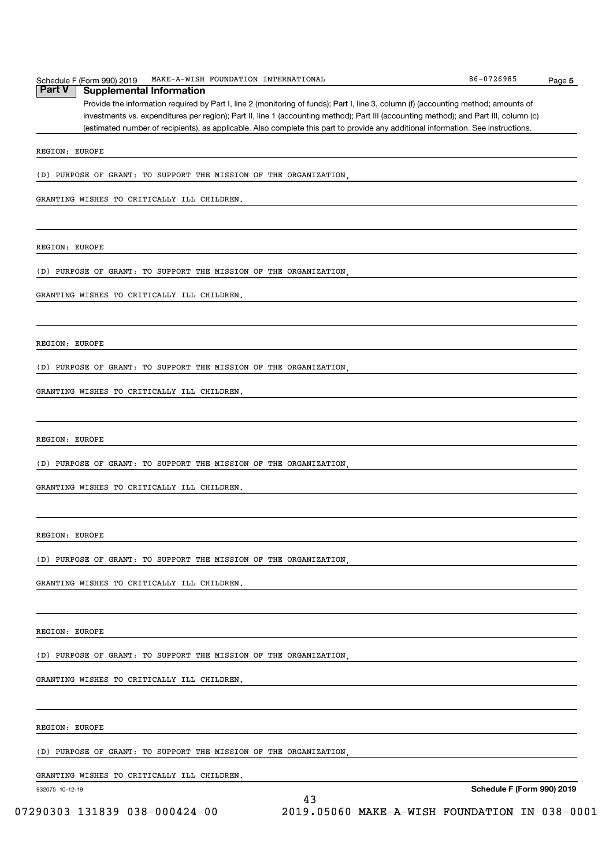|               | Schedule F (Form 990) 2019 | MAKE-A-WISH FOUNDATION INTERNATIONAL |  | 86-0726985 | Page 5 |
|---------------|----------------------------|--------------------------------------|--|------------|--------|
| <b>Part V</b> | ' Supplemental Information |                                      |  |            |        |

Provide the information required by Part I, line 2 (monitoring of funds); Part I, line 3, column (f) (accounting method; amounts of investments vs. expenditures per region); Part II, line 1 (accounting method); Part III (accounting method); and Part III, column (c) (estimated number of recipients), as applicable. Also complete this part to provide any additional information. See instructions.

REGION: EUROPE

(D) PURPOSE OF GRANT: TO SUPPORT THE MISSION OF THE ORGANIZATION,

GRANTING WISHES TO CRITICALLY ILL CHILDREN.

REGION: EUROPE

(D) PURPOSE OF GRANT: TO SUPPORT THE MISSION OF THE ORGANIZATION,

GRANTING WISHES TO CRITICALLY ILL CHILDREN.

REGION: EUROPE

(D) PURPOSE OF GRANT: TO SUPPORT THE MISSION OF THE ORGANIZATION,

GRANTING WISHES TO CRITICALLY ILL CHILDREN.

REGION: EUROPE

(D) PURPOSE OF GRANT: TO SUPPORT THE MISSION OF THE ORGANIZATION,

GRANTING WISHES TO CRITICALLY ILL CHILDREN.

REGION: EUROPE

(D) PURPOSE OF GRANT: TO SUPPORT THE MISSION OF THE ORGANIZATION,

GRANTING WISHES TO CRITICALLY ILL CHILDREN.

REGION: EUROPE

(D) PURPOSE OF GRANT: TO SUPPORT THE MISSION OF THE ORGANIZATION,

GRANTING WISHES TO CRITICALLY ILL CHILDREN.

REGION: EUROPE

(D) PURPOSE OF GRANT: TO SUPPORT THE MISSION OF THE ORGANIZATION,

GRANTING WISHES TO CRITICALLY ILL CHILDREN.

932075 10-12-19

Schedule F (Form 990) 2019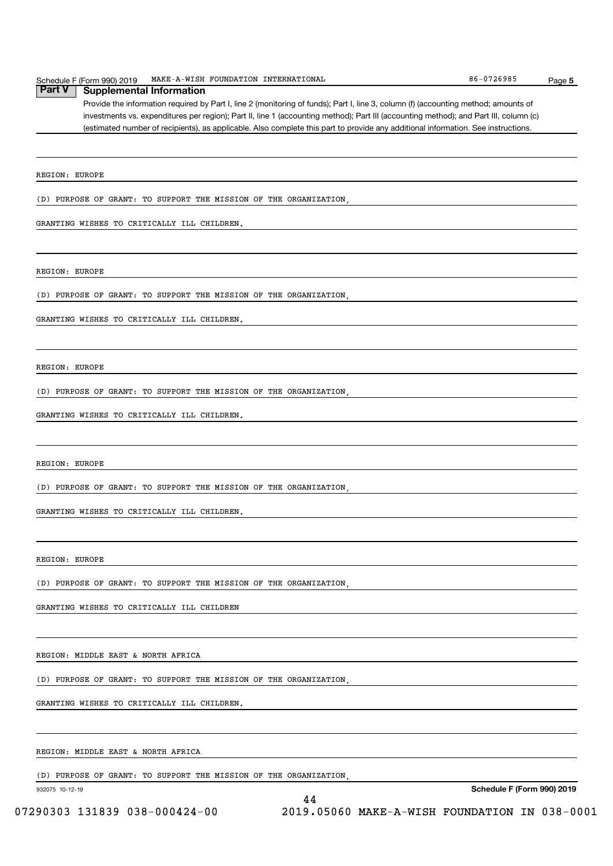| Schedule<br>(Form 990) | INTERNATIONAL<br>$MAKE-1$<br>FOUNDATION<br>-WISH<br>2019<br>. | 0726985<br>86.<br>Paqe |
|------------------------|---------------------------------------------------------------|------------------------|
|------------------------|---------------------------------------------------------------|------------------------|

Provide the information required by Part I, line 2 (monitoring of funds); Part I, line 3, column (f) (accounting method; amounts of investments vs. expenditures per region); Part II, line 1 (accounting method); Part III (accounting method); and Part III, column (c) (estimated number of recipients), as applicable. Also complete this part to provide any additional information. See instructions. **Part V | Supplemental Information** 

REGION: EUROPE

(D) PURPOSE OF GRANT: TO SUPPORT THE MISSION OF THE ORGANIZATION,

GRANTING WISHES TO CRITICALLY ILL CHILDREN.

REGION: EUROPE

(D) PURPOSE OF GRANT: TO SUPPORT THE MISSION OF THE ORGANIZATION,

GRANTING WISHES TO CRITICALLY ILL CHILDREN.

REGION: EUROPE

(D) PURPOSE OF GRANT: TO SUPPORT THE MISSION OF THE ORGANIZATION,

GRANTING WISHES TO CRITICALLY ILL CHILDREN.

REGION: EUROPE

(D) PURPOSE OF GRANT: TO SUPPORT THE MISSION OF THE ORGANIZATION,

GRANTING WISHES TO CRITICALLY ILL CHILDREN.

REGION: EUROPE

(D) PURPOSE OF GRANT: TO SUPPORT THE MISSION OF THE ORGANIZATION,

GRANTING WISHES TO CRITICALLY ILL CHILDREN

REGION: MIDDLE EAST & NORTH AFRICA

(D) PURPOSE OF GRANT: TO SUPPORT THE MISSION OF THE ORGANIZATION,

GRANTING WISHES TO CRITICALLY ILL CHILDREN.

REGION: MIDDLE EAST & NORTH AFRICA

(D) PURPOSE OF GRANT: TO SUPPORT THE MISSION OF THE ORGANIZATION,

932075 10-12-19

Schedule F (Form 990) 2019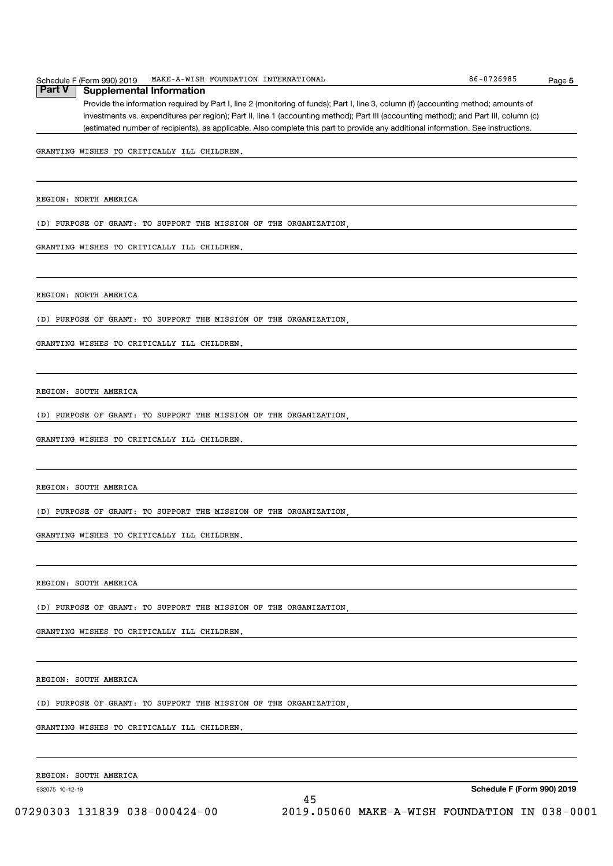GRANTING WISHES TO CRITICALLY ILL CHILDREN.

REGION: SOUTH AMERICA

(D) PURPOSE OF GRANT: TO SUPPORT THE MISSION OF THE ORGANIZATION,

GRANTING WISHES TO CRITICALLY ILL CHILDREN.

REGION: SOUTH AMERICA

(D) PURPOSE OF GRANT: TO SUPPORT THE MISSION OF THE ORGANIZATION,

GRANTING WISHES TO CRITICALLY ILL CHILDREN.

REGION: SOUTH AMERICA

(D) PURPOSE OF GRANT: TO SUPPORT THE MISSION OF THE ORGANIZATION,

GRANTING WISHES TO CRITICALLY ILL CHILDREN.

REGION: SOUTH AMERICA

(D) PURPOSE OF GRANT: TO SUPPORT THE MISSION OF THE ORGANIZATION,

GRANTING WISHES TO CRITICALLY ILL CHILDREN.

REGION: SOUTH AMERICA

932075 10-12-19

Schedule F (Form 990) 2019

#### Schedule F (Form 990) 2019 MAKE-A-WISH FOUNDATION INTERNATIONAL 86-0726985 Page **Part V | Supplemental Information**

Provide the information required by Part I, line 2 (monitoring of funds); Part I, line 3, column (f) (accounting method; amounts of investments vs. expenditures per region); Part II, line 1 (accounting method); Part III (accounting method); and Part III, column (c) (estimated number of recipients), as applicable. Also complete this part to provide any additional information. See instructions.

GRANTING WISHES TO CRITICALLY ILL CHILDREN.

REGION: NORTH AMERICA

REGION: NORTH AMERICA

(D) PURPOSE OF GRANT: TO SUPPORT THE MISSION OF THE ORGANIZATION,

GRANTING WISHES TO CRITICALLY ILL CHILDREN.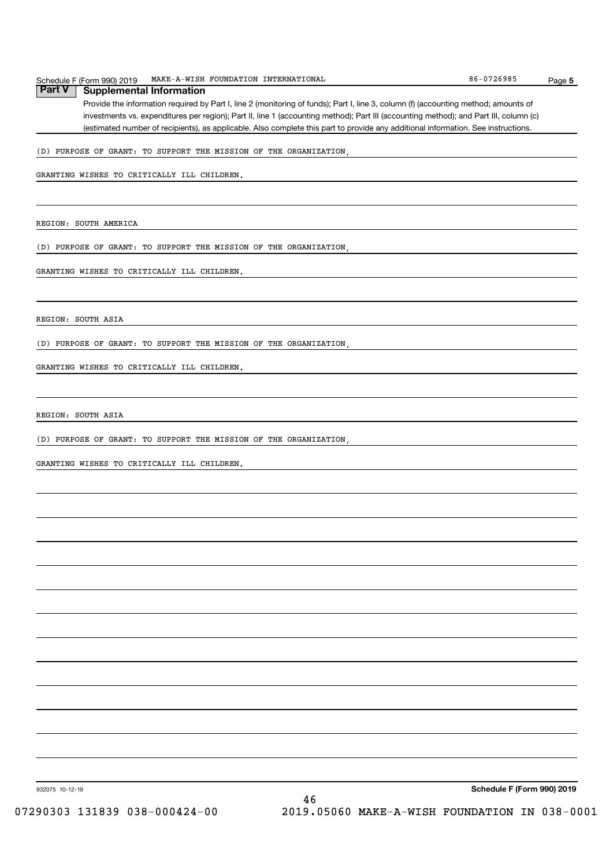|               | Schedule F (Form 990) 2019 | MAKE-A-WISH FOUNDATION INTERNATIONAL | 86-0726985 | Page |
|---------------|----------------------------|--------------------------------------|------------|------|
| <b>Part V</b> | Supplemental Information   |                                      |            |      |

Provide the information required by Part I, line 2 (monitoring of funds); Part I, line 3, column (f) (accounting method; amounts of investments vs. expenditures per region); Part II, line 1 (accounting method); Part III (accounting method); and Part III, column (c) (estimated number of recipients), as applicable. Also complete this part to provide any additional information. See instructions.

#### (D) PURPOSE OF GRANT: TO SUPPORT THE MISSION OF THE ORGANIZATION,

GRANTING WISHES TO CRITICALLY ILL CHILDREN.

REGION: SOUTH AMERICA

(D) PURPOSE OF GRANT: TO SUPPORT THE MISSION OF THE ORGANIZATION,

GRANTING WISHES TO CRITICALLY ILL CHILDREN.

REGION: SOUTH ASIA

(D) PURPOSE OF GRANT: TO SUPPORT THE MISSION OF THE ORGANIZATION,

GRANTING WISHES TO CRITICALLY ILL CHILDREN.

REGION: SOUTH ASIA

(D) PURPOSE OF GRANT: TO SUPPORT THE MISSION OF THE ORGANIZATION,

GRANTING WISHES TO CRITICALLY ILL CHILDREN.

Schedule F (Form 990) 2019

Page 5

932075 10-12-19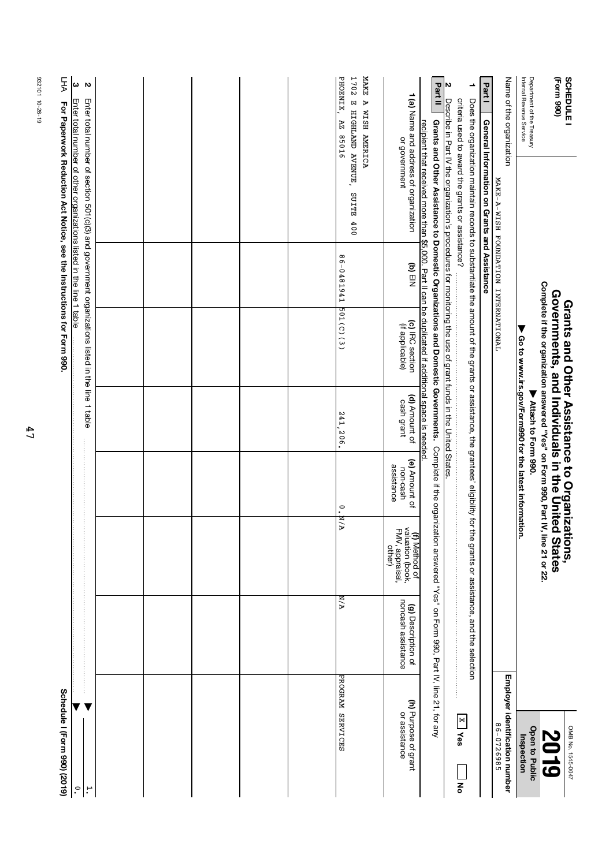| Schedule I (Form 990) (2019)                 |                                          |                                                                       |                                         |                                                                                |                                                                                                                                                                           |            | For Paperwork Reduction Act Notice, see the Instructions for Form 990.                                                                                                                                                                                                   | FF                                                            |
|----------------------------------------------|------------------------------------------|-----------------------------------------------------------------------|-----------------------------------------|--------------------------------------------------------------------------------|---------------------------------------------------------------------------------------------------------------------------------------------------------------------------|------------|--------------------------------------------------------------------------------------------------------------------------------------------------------------------------------------------------------------------------------------------------------------------------|---------------------------------------------------------------|
| $\cdot$                                      |                                          |                                                                       |                                         |                                                                                |                                                                                                                                                                           |            | Enter total number of other organizations listed in the line 1 table                                                                                                                                                                                                     | ω                                                             |
| $\mathbf{a}$                                 |                                          |                                                                       |                                         |                                                                                |                                                                                                                                                                           |            | Enter total number of section 501(c)(3) and government organizations listed in the line 1 table                                                                                                                                                                          | Z                                                             |
|                                              |                                          |                                                                       |                                         |                                                                                |                                                                                                                                                                           |            |                                                                                                                                                                                                                                                                          |                                                               |
|                                              |                                          |                                                                       |                                         |                                                                                |                                                                                                                                                                           |            |                                                                                                                                                                                                                                                                          |                                                               |
|                                              |                                          |                                                                       |                                         |                                                                                |                                                                                                                                                                           |            |                                                                                                                                                                                                                                                                          |                                                               |
|                                              |                                          |                                                                       |                                         |                                                                                |                                                                                                                                                                           |            |                                                                                                                                                                                                                                                                          |                                                               |
|                                              |                                          |                                                                       |                                         |                                                                                |                                                                                                                                                                           |            |                                                                                                                                                                                                                                                                          |                                                               |
| PROGRAM SERVICES                             | A /д                                     | A / Z                                                                 | $\rm ^{\circ}$                          | 241,<br>206.                                                                   | 501(C)(3)                                                                                                                                                                 | 86-0481941 | E HIGHLAND AVENUE, SUITE<br>400                                                                                                                                                                                                                                          | <b>MAKE</b><br>PHOENIX,<br>1702<br>A WISH AMERICA<br>91058 ZV |
| (h) Purpose of grant<br>or assistance        | noncash assistance<br>(g) Description of | <b>(f)</b> Method of<br>valuation (book,<br>FMV, appraisal,<br>other) | (e) Amount of<br>assistance<br>non-cash | (d) Amount of<br>cash grant                                                    | (c) IRC section<br>(if applicable)                                                                                                                                        | $(M)$ EIN  | 1 (a) Name and address of organization<br>or government                                                                                                                                                                                                                  |                                                               |
|                                              |                                          |                                                                       |                                         |                                                                                |                                                                                                                                                                           |            | Grants and Other Assistance to Domestic Organizations and Domestic Governments. Complete if the organization answered "Yes" on Form 990, Part IV, line 21, for any<br>recipient that received more than \$5,000. Part II can be duplicated if additional space is needed | Part II                                                       |
| $X$   Yes<br>종                               |                                          |                                                                       |                                         |                                                                                |                                                                                                                                                                           |            | Describe in Part IV the organization's procedures for monitoring the use of grant funds in the United States<br>criteria used to award the grants or assistance?                                                                                                         | N                                                             |
|                                              |                                          |                                                                       |                                         |                                                                                |                                                                                                                                                                           |            | Does the organization maintain records to substantiate the amount of the grants or assistance, the grantees' eligibility for the grants or assistance, the grants                                                                                                        | ∸                                                             |
|                                              |                                          |                                                                       |                                         |                                                                                |                                                                                                                                                                           |            | General Information on Grants and Assistance                                                                                                                                                                                                                             | Part I                                                        |
| Employer identification number<br>86-0726985 |                                          |                                                                       |                                         |                                                                                |                                                                                                                                                                           |            | MAKE-A-WISH FOUNDATION INTERNATIONAL                                                                                                                                                                                                                                     | Name of the organization                                      |
| Open to Public<br>Inspection                 |                                          |                                                                       |                                         | ▶ Go to www.irs.gov/Form990 for the latest information.<br>Mature to Form 990. |                                                                                                                                                                           |            |                                                                                                                                                                                                                                                                          | Department of the Treasury<br>Internal Revenue Service        |
| OMB No. 1545-0047<br>6107                    |                                          | <b>itions,</b><br><b>States</b>                                       |                                         |                                                                                | Complete if the organization answered "Yes" on Form 990, Part IV, line 21 or 22.<br>Governments, and Individuals in the Unitec<br>Grants and Other Assistance to Organiza |            |                                                                                                                                                                                                                                                                          | (Form 990)<br><b>SCHEDULE</b>                                 |

932101 10-26-19 932101 10-26-19

47

 $rac{c}{\hbar}$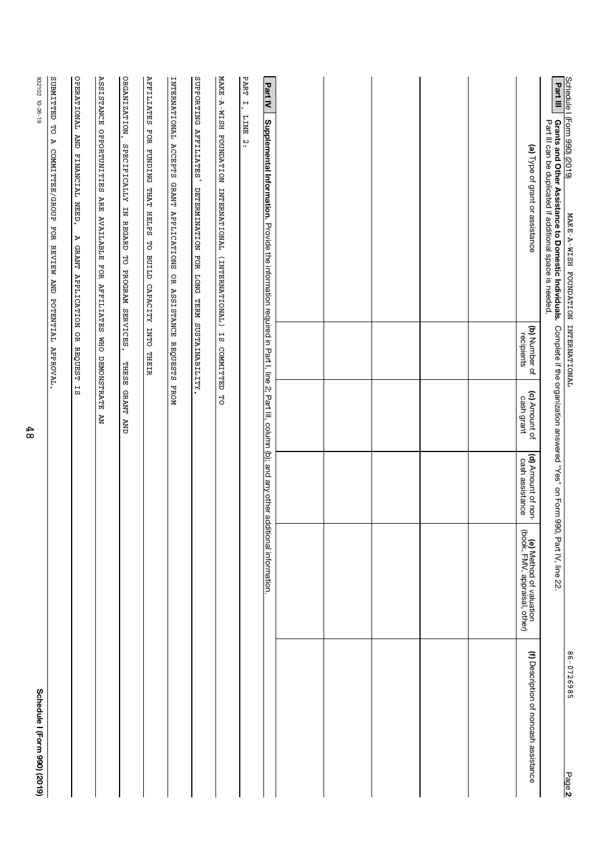| Schedule   (Form 990) (2019)<br>MAKE-A-WISH FOUNDATION INTERNATIONAL                                                                                          |                             |                             |                                                                           |                                                                | 86-0726985                            |
|---------------------------------------------------------------------------------------------------------------------------------------------------------------|-----------------------------|-----------------------------|---------------------------------------------------------------------------|----------------------------------------------------------------|---------------------------------------|
| <b>Part III</b><br>Grants and Other Assistance to Domestic Individuals.<br>Part III can be duplicated if additional space is needed.                          |                             |                             | Complete if the organization answered "Yes" on Form 990, Part IV, line 22 |                                                                | Page 2                                |
| (a) Type of grant or assistance                                                                                                                               | (b) Number of<br>recipients | (c) Amount of<br>cash grant | (d) Amount of non-<br>cash assistance                                     | <b>(e)</b> Method of valuation<br>book, FMV, appraisal, other) | (f) Description of noncash assistance |
|                                                                                                                                                               |                             |                             |                                                                           |                                                                |                                       |
|                                                                                                                                                               |                             |                             |                                                                           |                                                                |                                       |
|                                                                                                                                                               |                             |                             |                                                                           |                                                                |                                       |
|                                                                                                                                                               |                             |                             |                                                                           |                                                                |                                       |
|                                                                                                                                                               |                             |                             |                                                                           |                                                                |                                       |
| <b>Part IV</b><br>Supplemental Information. Provide the information required in Part I, line 2; Part III, column (b); and any other additional information.   |                             |                             |                                                                           |                                                                |                                       |
| MAKE-A-WISH FOUNDATION INTERNATIONAL<br>PART<br>$\overline{F}$<br><b>EXILE</b><br>$\ddot{5}$<br>(INTERNATIONAL)                                               | 1S<br><b>COMMITTED</b>      | 5p                          |                                                                           |                                                                |                                       |
| SUPPORTING AFFILIATES<br>DETERMINATION FOR LONG TERM SUSTAINABILITY                                                                                           |                             |                             |                                                                           |                                                                |                                       |
| INTERNATIONAL ACCEPTS GRANT APPLICATIONS OR                                                                                                                   | ASSISTANCE REQUESTS FROM    |                             |                                                                           |                                                                |                                       |
| ORGANIZATION,<br>AFFILIATES FOR FUNDING THAT HELPS TO BUILD CAPACITY INTO THEIR<br>SPECIFICALLY<br>$\overline{a}$<br><b>REGARD</b><br>5O<br>PROGRAM SERVICES. |                             | THESE GRANT AND             |                                                                           |                                                                |                                       |
| <b>ASSISTANCE OPPORTUNITIES ARE AVAILABLE</b><br>FOR AFFILIATES                                                                                               | <b>OHM</b>                  | DEMONSTRATE<br>ÄN           |                                                                           |                                                                |                                       |
| OPERATIONAL AND FINANCIAL NEED.<br>Þ<br>GRANT APPLICATION OR REQUEST                                                                                          |                             | 13                          |                                                                           |                                                                |                                       |
| <b>CELLINEDS</b><br>5O<br>$\triangleright$<br>COMMITTEE/GROUP FOR REVIEW AND POTENTIAL APPROVAL.                                                              |                             |                             |                                                                           |                                                                |                                       |
| 932102 10-26-19                                                                                                                                               |                             |                             |                                                                           |                                                                | Schedule I (Form 990) (2019)          |

48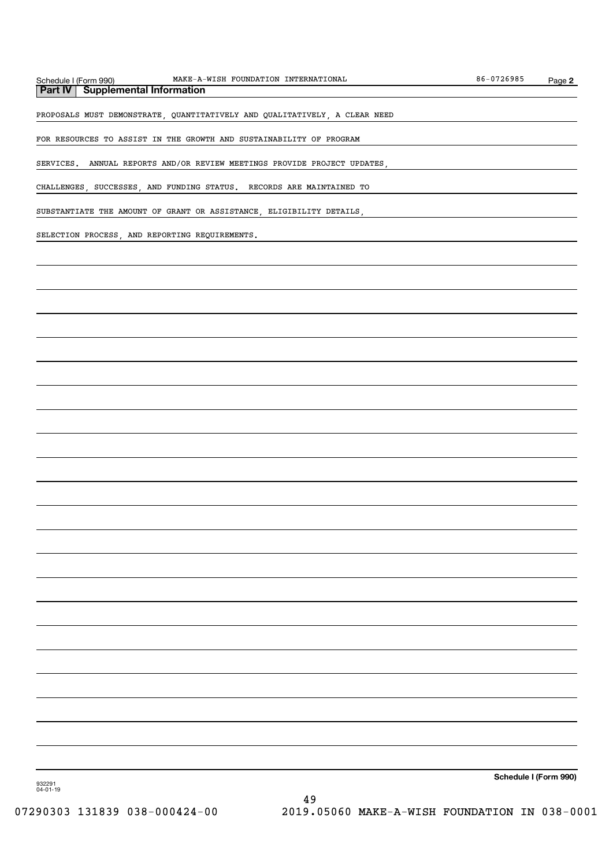| chedule I (Form 990) |  |
|----------------------|--|
|----------------------|--|

**Part IV | Supplemental Information** 

PROPOSALS MUST DEMONSTRATE, QUANTITATIVELY AND QUALITATIVELY, A CLEAR NEED

FOR RESOURCES TO ASSIST IN THE GROWTH AND SUSTAINABILITY OF PROGRAM

SERVICES. ANNUAL REPORTS AND/OR REVIEW MEETINGS PROVIDE PROJECT UPDATES,

CHALLENGES, SUCCESSES, AND FUNDING STATUS. RECORDS ARE MAINTAINED TO

SUBSTANTIATE THE AMOUNT OF GRANT OR ASSISTANCE, ELIGIBILITY DETAILS,

SELECTION PROCESS, AND REPORTING REQUIREMENTS.

Schedule I (Form 990)

932291 04-01-19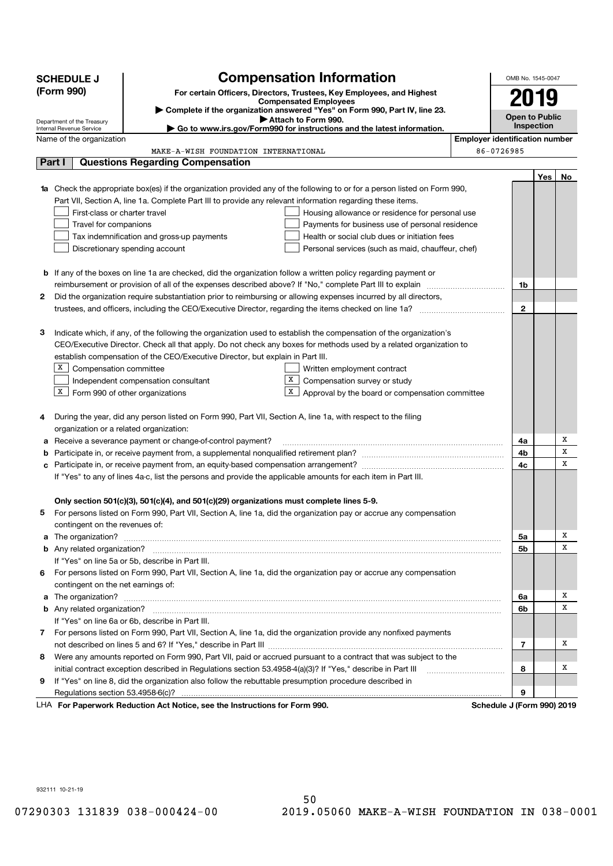|    | <b>SCHEDULE J</b>                                      | <b>Compensation Information</b>                                                                                                  |                                       | OMB No. 1545-0047          |     |    |
|----|--------------------------------------------------------|----------------------------------------------------------------------------------------------------------------------------------|---------------------------------------|----------------------------|-----|----|
|    | (Form 990)                                             | For certain Officers, Directors, Trustees, Key Employees, and Highest                                                            |                                       |                            |     |    |
|    |                                                        | <b>Compensated Employees</b>                                                                                                     |                                       | 2019                       |     |    |
|    |                                                        | > Complete if the organization answered "Yes" on Form 990, Part IV, line 23.<br>Attach to Form 990.                              |                                       | <b>Open to Public</b>      |     |    |
|    | Department of the Treasury<br>Internal Revenue Service | $\blacktriangleright$ Go to www.irs.gov/Form990 for instructions and the latest information.                                     |                                       | Inspection                 |     |    |
|    | Name of the organization                               |                                                                                                                                  | <b>Employer identification number</b> |                            |     |    |
|    |                                                        | MAKE-A-WISH FOUNDATION INTERNATIONAL                                                                                             |                                       | 86-0726985                 |     |    |
|    | Part I                                                 | <b>Questions Regarding Compensation</b>                                                                                          |                                       |                            |     |    |
|    |                                                        |                                                                                                                                  |                                       |                            | Yes | No |
|    |                                                        | <b>1a</b> Check the appropriate box(es) if the organization provided any of the following to or for a person listed on Form 990, |                                       |                            |     |    |
|    |                                                        | Part VII, Section A, line 1a. Complete Part III to provide any relevant information regarding these items.                       |                                       |                            |     |    |
|    | First-class or charter travel                          | Housing allowance or residence for personal use                                                                                  |                                       |                            |     |    |
|    | Travel for companions                                  | Payments for business use of personal residence                                                                                  |                                       |                            |     |    |
|    |                                                        | Tax indemnification and gross-up payments<br>Health or social club dues or initiation fees                                       |                                       |                            |     |    |
|    |                                                        | Discretionary spending account<br>Personal services (such as maid, chauffeur, chef)                                              |                                       |                            |     |    |
|    |                                                        |                                                                                                                                  |                                       |                            |     |    |
|    |                                                        | <b>b</b> If any of the boxes on line 1a are checked, did the organization follow a written policy regarding payment or           |                                       |                            |     |    |
|    |                                                        | reimbursement or provision of all of the expenses described above? If "No," complete Part III to explain manu-                   |                                       | 1b                         |     |    |
| 2  |                                                        | Did the organization require substantiation prior to reimbursing or allowing expenses incurred by all directors,                 |                                       |                            |     |    |
|    |                                                        | trustees, and officers, including the CEO/Executive Director, regarding the items checked on line 1a?                            |                                       | $\mathbf{2}$               |     |    |
|    |                                                        |                                                                                                                                  |                                       |                            |     |    |
| 3  |                                                        | Indicate which, if any, of the following the organization used to establish the compensation of the organization's               |                                       |                            |     |    |
|    |                                                        | CEO/Executive Director. Check all that apply. Do not check any boxes for methods used by a related organization to               |                                       |                            |     |    |
|    |                                                        | establish compensation of the CEO/Executive Director, but explain in Part III.                                                   |                                       |                            |     |    |
|    | x<br>Compensation committee                            | Written employment contract                                                                                                      |                                       |                            |     |    |
|    |                                                        | x<br>Compensation survey or study<br>Independent compensation consultant                                                         |                                       |                            |     |    |
|    | X                                                      | Form 990 of other organizations<br>х<br>Approval by the board or compensation committee                                          |                                       |                            |     |    |
|    |                                                        |                                                                                                                                  |                                       |                            |     |    |
| 4  |                                                        | During the year, did any person listed on Form 990, Part VII, Section A, line 1a, with respect to the filing                     |                                       |                            |     |    |
|    | organization or a related organization:                |                                                                                                                                  |                                       |                            |     |    |
| а  |                                                        | Receive a severance payment or change-of-control payment?                                                                        |                                       | 4a                         |     | х  |
|    |                                                        |                                                                                                                                  |                                       | 4b                         |     | X  |
| c  |                                                        |                                                                                                                                  |                                       | 4c                         |     | Х  |
|    |                                                        | If "Yes" to any of lines 4a-c, list the persons and provide the applicable amounts for each item in Part III.                    |                                       |                            |     |    |
|    |                                                        |                                                                                                                                  |                                       |                            |     |    |
|    |                                                        | Only section 501(c)(3), 501(c)(4), and 501(c)(29) organizations must complete lines 5-9.                                         |                                       |                            |     |    |
| 5  |                                                        | For persons listed on Form 990, Part VII, Section A, line 1a, did the organization pay or accrue any compensation                |                                       |                            |     |    |
|    | contingent on the revenues of:                         |                                                                                                                                  |                                       |                            |     | х  |
| а  | The organization?                                      |                                                                                                                                  |                                       | 5a                         |     | х  |
|    |                                                        | If "Yes" on line 5a or 5b, describe in Part III.                                                                                 |                                       | 5b                         |     |    |
|    |                                                        |                                                                                                                                  |                                       |                            |     |    |
| 6. | contingent on the net earnings of:                     | For persons listed on Form 990, Part VII, Section A, line 1a, did the organization pay or accrue any compensation                |                                       |                            |     |    |
|    |                                                        |                                                                                                                                  |                                       |                            |     | х  |
|    |                                                        |                                                                                                                                  |                                       | 6a<br>6b                   |     | X  |
|    |                                                        | If "Yes" on line 6a or 6b, describe in Part III.                                                                                 |                                       |                            |     |    |
|    |                                                        | 7 For persons listed on Form 990, Part VII, Section A, line 1a, did the organization provide any nonfixed payments               |                                       |                            |     |    |
|    |                                                        |                                                                                                                                  |                                       | 7                          |     | х  |
| 8  |                                                        | Were any amounts reported on Form 990, Part VII, paid or accrued pursuant to a contract that was subject to the                  |                                       |                            |     |    |
|    |                                                        | initial contract exception described in Regulations section 53.4958-4(a)(3)? If "Yes," describe in Part III                      |                                       | 8                          |     | х  |
| 9  |                                                        | If "Yes" on line 8, did the organization also follow the rebuttable presumption procedure described in                           |                                       |                            |     |    |
|    |                                                        |                                                                                                                                  |                                       | 9                          |     |    |
|    |                                                        | LHA For Paperwork Reduction Act Notice, see the Instructions for Form 990.                                                       |                                       | Schedule J (Form 990) 2019 |     |    |

932111 10-21-19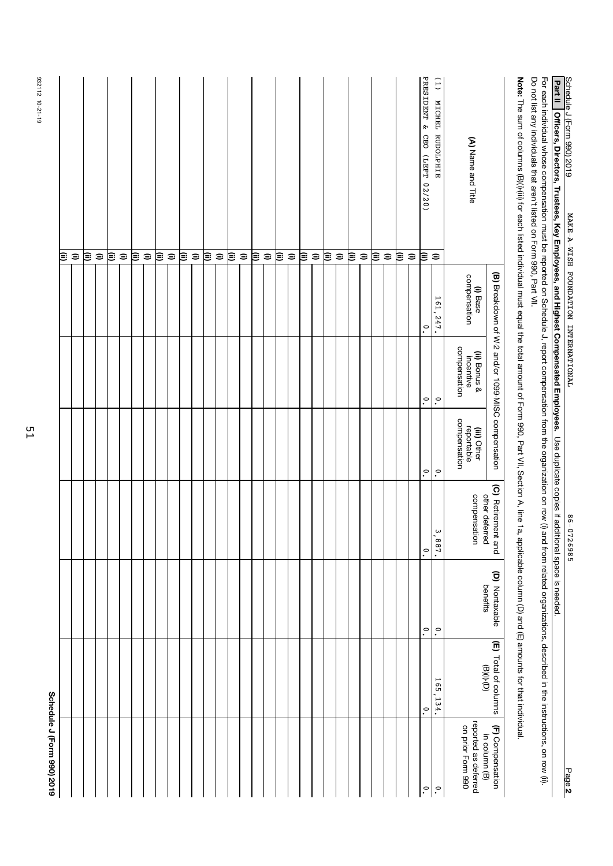| Schedule J (Form 990) 2019                |                                                                   |                            |                                      |                                           |                                                    |                                      |                                                                                                                                                                                                                                                                                  |
|-------------------------------------------|-------------------------------------------------------------------|----------------------------|--------------------------------------|-------------------------------------------|----------------------------------------------------|--------------------------------------|----------------------------------------------------------------------------------------------------------------------------------------------------------------------------------------------------------------------------------------------------------------------------------|
|                                           |                                                                   |                            |                                      |                                           |                                                    |                                      | Ξ                                                                                                                                                                                                                                                                                |
|                                           |                                                                   |                            |                                      |                                           |                                                    |                                      | $\widehat{=}$                                                                                                                                                                                                                                                                    |
|                                           |                                                                   |                            |                                      |                                           |                                                    |                                      | ≋                                                                                                                                                                                                                                                                                |
|                                           |                                                                   |                            |                                      |                                           |                                                    |                                      | $\widehat{\phantom{a}}$                                                                                                                                                                                                                                                          |
|                                           |                                                                   |                            |                                      |                                           |                                                    |                                      | ⊜                                                                                                                                                                                                                                                                                |
|                                           |                                                                   |                            |                                      |                                           |                                                    |                                      | $\widehat{=}$                                                                                                                                                                                                                                                                    |
|                                           |                                                                   |                            |                                      |                                           |                                                    |                                      | ι≣                                                                                                                                                                                                                                                                               |
|                                           |                                                                   |                            |                                      |                                           |                                                    |                                      | $\widehat{=}$                                                                                                                                                                                                                                                                    |
|                                           |                                                                   |                            |                                      |                                           |                                                    |                                      | ≋                                                                                                                                                                                                                                                                                |
|                                           |                                                                   |                            |                                      |                                           |                                                    |                                      | $\widehat{=}$                                                                                                                                                                                                                                                                    |
|                                           |                                                                   |                            |                                      |                                           |                                                    |                                      | ι≣                                                                                                                                                                                                                                                                               |
|                                           |                                                                   |                            |                                      |                                           |                                                    |                                      | $\widehat{\mathbf{z}}$                                                                                                                                                                                                                                                           |
|                                           |                                                                   |                            |                                      |                                           |                                                    |                                      | ε                                                                                                                                                                                                                                                                                |
|                                           |                                                                   |                            |                                      |                                           |                                                    |                                      | $\widehat{=}$                                                                                                                                                                                                                                                                    |
|                                           |                                                                   |                            |                                      |                                           |                                                    |                                      | ≋                                                                                                                                                                                                                                                                                |
|                                           |                                                                   |                            |                                      |                                           |                                                    |                                      | $\widehat{\phantom{a}}$                                                                                                                                                                                                                                                          |
|                                           |                                                                   |                            |                                      |                                           |                                                    |                                      | ι≣                                                                                                                                                                                                                                                                               |
|                                           |                                                                   |                            |                                      |                                           |                                                    |                                      | $\mathrel{\widehat{=}}$                                                                                                                                                                                                                                                          |
|                                           |                                                                   |                            |                                      |                                           |                                                    |                                      | ι≣                                                                                                                                                                                                                                                                               |
|                                           |                                                                   |                            |                                      |                                           |                                                    |                                      | $\widehat{\phantom{a}}$                                                                                                                                                                                                                                                          |
|                                           |                                                                   |                            |                                      |                                           |                                                    |                                      | ι≣                                                                                                                                                                                                                                                                               |
|                                           |                                                                   |                            |                                      |                                           |                                                    |                                      | $\widehat{\phantom{a}}$                                                                                                                                                                                                                                                          |
|                                           |                                                                   |                            |                                      |                                           |                                                    |                                      | ⊜                                                                                                                                                                                                                                                                                |
|                                           |                                                                   |                            |                                      |                                           |                                                    |                                      | $\widehat{\phantom{a}}$                                                                                                                                                                                                                                                          |
|                                           |                                                                   |                            |                                      |                                           |                                                    |                                      | ι≣                                                                                                                                                                                                                                                                               |
|                                           |                                                                   |                            |                                      |                                           |                                                    |                                      | $\quad \  \  \equiv$                                                                                                                                                                                                                                                             |
|                                           |                                                                   |                            |                                      |                                           |                                                    |                                      | ε                                                                                                                                                                                                                                                                                |
|                                           |                                                                   |                            |                                      |                                           |                                                    |                                      | $\mathrel{\widehat{=}}$                                                                                                                                                                                                                                                          |
|                                           |                                                                   |                            |                                      |                                           |                                                    |                                      | ≋                                                                                                                                                                                                                                                                                |
|                                           |                                                                   |                            |                                      |                                           |                                                    |                                      | $\widehat{\phantom{a}}$                                                                                                                                                                                                                                                          |
| $\cdot$                                   | $\cdot^{\circ}$                                                   | $\cdot^{\circ}$            | $\circ$                              | $\tilde{\cdot}$                           | $\tilde{\cdot}$                                    | $\cdot^{\circ}$                      | PRESIDENT & CEO (LEFT 02/20)<br>≋                                                                                                                                                                                                                                                |
| $\cdot^{\circ}$                           | 165,134.                                                          | $\cdot^{\circ}$            | 887.                                 | $\tilde{\cdot}$                           | $\tilde{\cdot}$                                    | 161, 247.                            | (1) MICHEL RUDOLPHIE<br>$\widehat{=}$                                                                                                                                                                                                                                            |
| reported as deferred<br>on prior Form 990 |                                                                   |                            | compensation                         | compensation<br>reportable<br>(iii) Other | compensation<br>(ii) Bonus &<br>incentive          | compensation<br>(i) Base             | (A) Name and Title                                                                                                                                                                                                                                                               |
| (F) Compensation<br>in column (B)         | (E) Total of columns<br>$\left(\Box\right)\cdot\left(\Box\right)$ | (D) Nontaxable<br>benefits | (C) Retirement and<br>other deferred |                                           | (B) Breakdown of W-2 and/or 1099-MISC compensation |                                      |                                                                                                                                                                                                                                                                                  |
|                                           |                                                                   |                            |                                      |                                           |                                                    |                                      | Note: The sum of columns (B)(i) (for each listed individual must equal the total amount of Form 990, Part VII, Section A, line 1a, applicable column (D) and (E) amounts for that individual                                                                                     |
|                                           |                                                                   |                            |                                      |                                           |                                                    |                                      | Do not list any individuals that aren't listed on Form 990, Part VII.<br>For each individual whose compensation must be reported on Schedule J, report compensation from the organization on row (i) and from related organizations, described in the instructions, on row (ii). |
|                                           |                                                                   |                            |                                      |                                           |                                                    |                                      | Part II<br>Officers, Directors, Trustees, Key Employees, and Highest Compensated Employees. Use duplicate copies if additional space is needed.                                                                                                                                  |
| Page 2                                    |                                                                   |                            | 86-0726985                           |                                           |                                                    | MAKE-A-WISH FOUNDATION INTERNATIONAL | Schedule J (Form 990) 2019                                                                                                                                                                                                                                                       |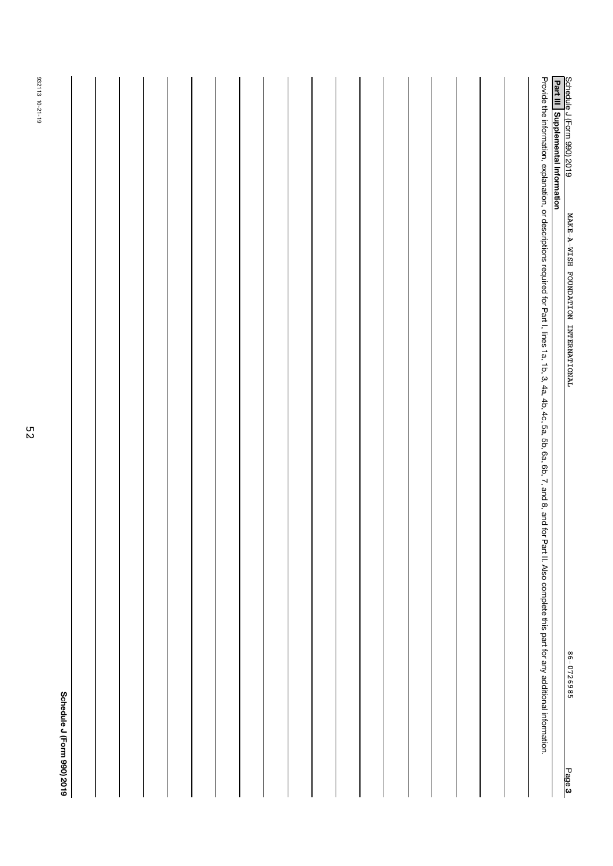|        | Schedule J (Form 990) 2019                                                                                                                                                                                                  |                                                                   |
|--------|-----------------------------------------------------------------------------------------------------------------------------------------------------------------------------------------------------------------------------|-------------------------------------------------------------------|
|        |                                                                                                                                                                                                                             |                                                                   |
|        |                                                                                                                                                                                                                             |                                                                   |
|        |                                                                                                                                                                                                                             |                                                                   |
|        |                                                                                                                                                                                                                             |                                                                   |
|        |                                                                                                                                                                                                                             |                                                                   |
|        |                                                                                                                                                                                                                             |                                                                   |
|        |                                                                                                                                                                                                                             |                                                                   |
|        |                                                                                                                                                                                                                             |                                                                   |
|        |                                                                                                                                                                                                                             |                                                                   |
|        |                                                                                                                                                                                                                             |                                                                   |
|        |                                                                                                                                                                                                                             |                                                                   |
|        |                                                                                                                                                                                                                             |                                                                   |
|        |                                                                                                                                                                                                                             |                                                                   |
|        |                                                                                                                                                                                                                             |                                                                   |
|        |                                                                                                                                                                                                                             |                                                                   |
|        |                                                                                                                                                                                                                             |                                                                   |
|        |                                                                                                                                                                                                                             |                                                                   |
|        |                                                                                                                                                                                                                             |                                                                   |
|        |                                                                                                                                                                                                                             |                                                                   |
|        | Provide the information, explanation, or descriptions required for Part I, lines 1a, 1b, 3, 4a, 4b, 4c, 5a, 5b, 6a, 6b, 7, and 8, and 6, 7, and 8, and 10r Part II. Also complete this part for any additional information. |                                                                   |
|        |                                                                                                                                                                                                                             | Schedule J (Form 990) 2019<br>Part III   Supplemental Information |
| Page 3 | $\textbf{MART-}\textbf{A-WISEH}\quad \textbf{FOUNDATTON} \quad \textbf{INTERNART I ONAL}$<br>86-0726985                                                                                                                     |                                                                   |

932113 10-21-19

932113 10-21-19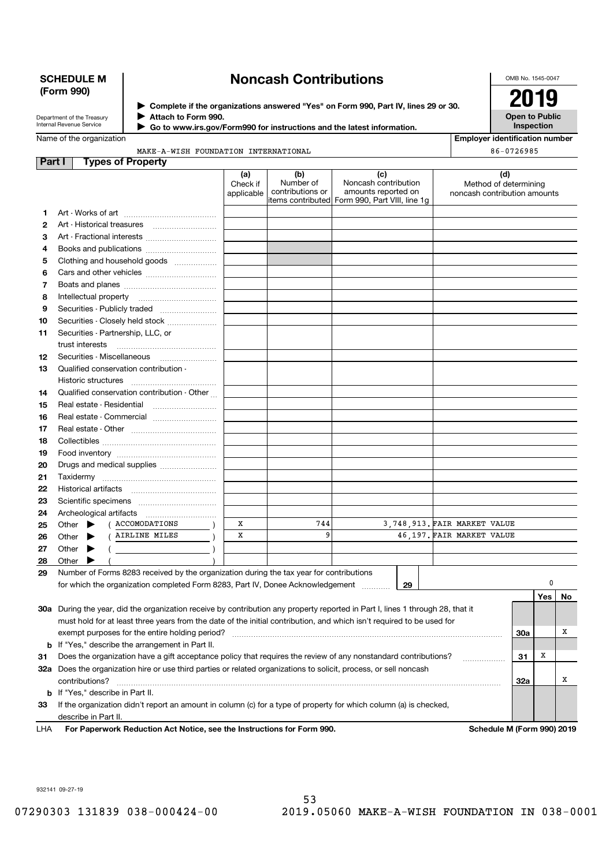## SCHEDULE M (Form 990)

## Noncash Contributions

OMB No. 1545-0047

Department of the Treasury Internal Revenue Service Name of the organization Complete if the organizations answered "Yes" on Form 990, Part IV, lines 29 or 30. 2019

Attach to Form 990.

Go to www.irs.gov/Form990 for instructions and the latest information. J

Open to Public Inspection Employer identification number

86-0726985

**Part I** Types of Property MAKE-A-WISH FOUNDATION INTERNATIONAL

| .   | ני וטקט די דע טטקע ז                                                                                                                                                      |                               |                                      |                                                                                                       |    |                                                              |            |                  |    |
|-----|---------------------------------------------------------------------------------------------------------------------------------------------------------------------------|-------------------------------|--------------------------------------|-------------------------------------------------------------------------------------------------------|----|--------------------------------------------------------------|------------|------------------|----|
|     |                                                                                                                                                                           | (a)<br>Check if<br>applicable | (b)<br>Number of<br>contributions or | (c)<br>Noncash contribution<br>amounts reported on<br>litems contributed Form 990, Part VIII, line 1g |    | (d)<br>Method of determining<br>noncash contribution amounts |            |                  |    |
| 1   |                                                                                                                                                                           |                               |                                      |                                                                                                       |    |                                                              |            |                  |    |
| 2   | Art - Historical treasures                                                                                                                                                |                               |                                      |                                                                                                       |    |                                                              |            |                  |    |
| З   | Art - Fractional interests                                                                                                                                                |                               |                                      |                                                                                                       |    |                                                              |            |                  |    |
| 4   | Books and publications                                                                                                                                                    |                               |                                      |                                                                                                       |    |                                                              |            |                  |    |
| 5   | Clothing and household goods                                                                                                                                              |                               |                                      |                                                                                                       |    |                                                              |            |                  |    |
| 6   |                                                                                                                                                                           |                               |                                      |                                                                                                       |    |                                                              |            |                  |    |
|     |                                                                                                                                                                           |                               |                                      |                                                                                                       |    |                                                              |            |                  |    |
| 7   |                                                                                                                                                                           |                               |                                      |                                                                                                       |    |                                                              |            |                  |    |
| 8   |                                                                                                                                                                           |                               |                                      |                                                                                                       |    |                                                              |            |                  |    |
| 9   | Securities - Publicly traded                                                                                                                                              |                               |                                      |                                                                                                       |    |                                                              |            |                  |    |
| 10  | Securities - Closely held stock                                                                                                                                           |                               |                                      |                                                                                                       |    |                                                              |            |                  |    |
| 11  | Securities - Partnership, LLC, or                                                                                                                                         |                               |                                      |                                                                                                       |    |                                                              |            |                  |    |
|     | trust interests                                                                                                                                                           |                               |                                      |                                                                                                       |    |                                                              |            |                  |    |
| 12  | Securities - Miscellaneous                                                                                                                                                |                               |                                      |                                                                                                       |    |                                                              |            |                  |    |
| 13  | Qualified conservation contribution -                                                                                                                                     |                               |                                      |                                                                                                       |    |                                                              |            |                  |    |
|     | Historic structures                                                                                                                                                       |                               |                                      |                                                                                                       |    |                                                              |            |                  |    |
| 14  | Qualified conservation contribution - Other                                                                                                                               |                               |                                      |                                                                                                       |    |                                                              |            |                  |    |
| 15  | Real estate - Residential                                                                                                                                                 |                               |                                      |                                                                                                       |    |                                                              |            |                  |    |
| 16  | Real estate - Commercial                                                                                                                                                  |                               |                                      |                                                                                                       |    |                                                              |            |                  |    |
| 17  |                                                                                                                                                                           |                               |                                      |                                                                                                       |    |                                                              |            |                  |    |
| 18  |                                                                                                                                                                           |                               |                                      |                                                                                                       |    |                                                              |            |                  |    |
| 19  |                                                                                                                                                                           |                               |                                      |                                                                                                       |    |                                                              |            |                  |    |
| 20  | Drugs and medical supplies                                                                                                                                                |                               |                                      |                                                                                                       |    |                                                              |            |                  |    |
| 21  |                                                                                                                                                                           |                               |                                      |                                                                                                       |    |                                                              |            |                  |    |
| 22  |                                                                                                                                                                           |                               |                                      |                                                                                                       |    |                                                              |            |                  |    |
| 23  |                                                                                                                                                                           |                               |                                      |                                                                                                       |    |                                                              |            |                  |    |
| 24  |                                                                                                                                                                           |                               |                                      |                                                                                                       |    |                                                              |            |                  |    |
| 25  | ACCOMODATIONS<br>Other $\blacktriangleright$                                                                                                                              | Х                             | 744                                  |                                                                                                       |    | 3,748,913. FAIR MARKET VALUE                                 |            |                  |    |
| 26  | AIRLINE MILES<br>Other<br>▸                                                                                                                                               | X                             | 9                                    |                                                                                                       |    | 46.197. FAIR MARKET VALUE                                    |            |                  |    |
| 27  | Other<br>▶                                                                                                                                                                |                               |                                      |                                                                                                       |    |                                                              |            |                  |    |
| 28  | Other<br>▶                                                                                                                                                                |                               |                                      |                                                                                                       |    |                                                              |            |                  |    |
| 29  | Number of Forms 8283 received by the organization during the tax year for contributions                                                                                   |                               |                                      |                                                                                                       |    |                                                              |            |                  |    |
|     | for which the organization completed Form 8283, Part IV, Donee Acknowledgement                                                                                            |                               |                                      | $\overline{\phantom{a}}$                                                                              | 29 |                                                              |            | 0                |    |
|     |                                                                                                                                                                           |                               |                                      |                                                                                                       |    |                                                              |            | Yes <sub>1</sub> | No |
|     | 30a During the year, did the organization receive by contribution any property reported in Part I, lines 1 through 28, that it                                            |                               |                                      |                                                                                                       |    |                                                              |            |                  |    |
|     | must hold for at least three years from the date of the initial contribution, and which isn't required to be used for                                                     |                               |                                      |                                                                                                       |    |                                                              |            |                  |    |
|     | exempt purposes for the entire holding period?                                                                                                                            |                               |                                      |                                                                                                       |    |                                                              | <b>30a</b> |                  | х  |
|     |                                                                                                                                                                           |                               |                                      |                                                                                                       |    |                                                              |            |                  |    |
|     | <b>b</b> If "Yes," describe the arrangement in Part II.<br>Does the organization have a gift acceptance policy that requires the review of any nonstandard contributions? |                               |                                      |                                                                                                       |    |                                                              |            | x                |    |
| 31  |                                                                                                                                                                           |                               |                                      |                                                                                                       |    | .                                                            | 31         |                  |    |
|     | 32a Does the organization hire or use third parties or related organizations to solicit, process, or sell noncash                                                         |                               |                                      |                                                                                                       |    |                                                              |            |                  |    |
|     | contributions?                                                                                                                                                            |                               |                                      |                                                                                                       |    |                                                              | 32a        |                  | х  |
|     | <b>b</b> If "Yes," describe in Part II.                                                                                                                                   |                               |                                      |                                                                                                       |    |                                                              |            |                  |    |
| 33  | If the organization didn't report an amount in column (c) for a type of property for which column (a) is checked,                                                         |                               |                                      |                                                                                                       |    |                                                              |            |                  |    |
|     | describe in Part II.                                                                                                                                                      |                               |                                      |                                                                                                       |    |                                                              |            |                  |    |
| LHA | For Paperwork Reduction Act Notice, see the Instructions for Form 990.                                                                                                    |                               |                                      |                                                                                                       |    | Schedule M (Form 990) 2019                                   |            |                  |    |

932141 09-27-19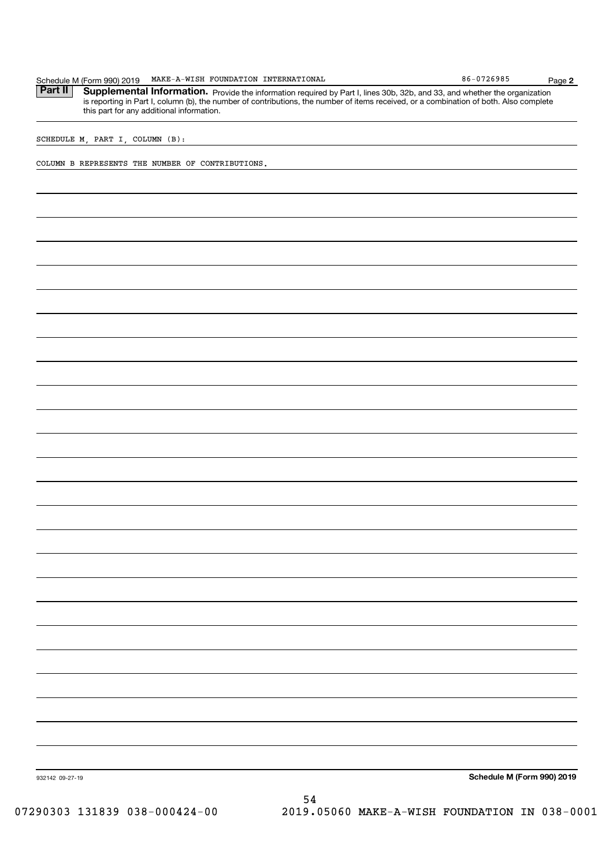|                 | SCHEDULE M, PART I, COLUMN (B):                  |    |                            |  |
|-----------------|--------------------------------------------------|----|----------------------------|--|
|                 | COLUMN B REPRESENTS THE NUMBER OF CONTRIBUTIONS. |    |                            |  |
|                 |                                                  |    |                            |  |
|                 |                                                  |    |                            |  |
|                 |                                                  |    |                            |  |
|                 |                                                  |    |                            |  |
|                 |                                                  |    |                            |  |
|                 |                                                  |    |                            |  |
|                 |                                                  |    |                            |  |
|                 |                                                  |    |                            |  |
|                 |                                                  |    |                            |  |
|                 |                                                  |    |                            |  |
|                 |                                                  |    |                            |  |
|                 |                                                  |    |                            |  |
|                 |                                                  |    |                            |  |
|                 |                                                  |    |                            |  |
|                 |                                                  |    |                            |  |
|                 |                                                  |    |                            |  |
|                 |                                                  |    |                            |  |
|                 |                                                  |    |                            |  |
|                 |                                                  |    |                            |  |
|                 |                                                  |    |                            |  |
|                 |                                                  |    |                            |  |
|                 |                                                  |    |                            |  |
|                 |                                                  |    |                            |  |
|                 |                                                  |    |                            |  |
|                 |                                                  |    |                            |  |
|                 |                                                  |    |                            |  |
|                 |                                                  |    |                            |  |
|                 |                                                  |    |                            |  |
|                 |                                                  |    |                            |  |
|                 |                                                  |    |                            |  |
|                 |                                                  |    |                            |  |
|                 |                                                  |    |                            |  |
|                 |                                                  |    |                            |  |
|                 |                                                  |    |                            |  |
| 932142 09-27-19 |                                                  |    | Schedule M (Form 990) 2019 |  |
|                 |                                                  | 54 |                            |  |

Part II Supplemental Information. Provide the information required by Part I, lines 30b, 32b, and 33, and whether the organization

MAKE-A-WISH FOUNDATION INTERNATIONAL **Example 186-0726985** 

Schedule M (Form 990) 2019 MAKE-A-WISH FOUNDATION INTERNATIONAL 86-0726985 Page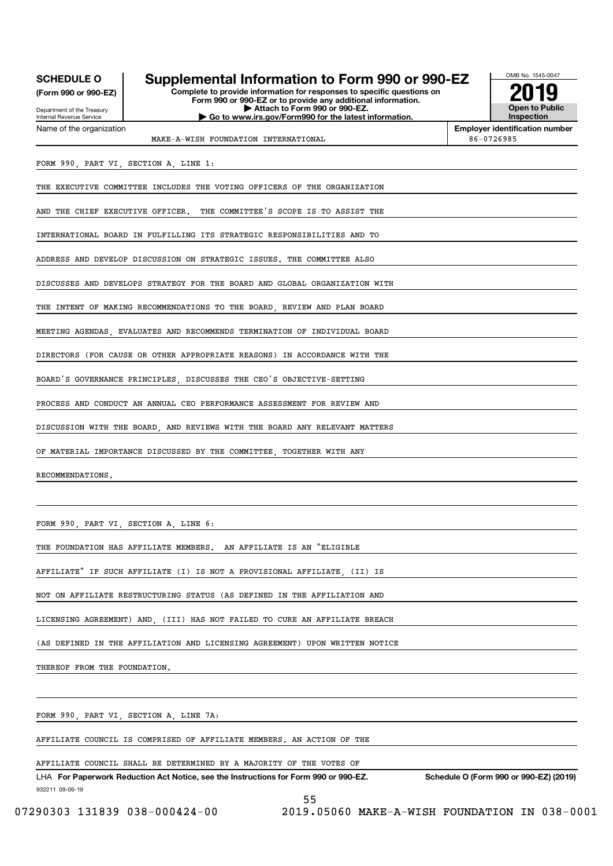| <b>SCHEDULE O</b><br>(Form 990 or 990-EZ)<br>Department of the Treasury<br><b>Internal Revenue Service</b> | Supplemental Information to Form 990 or 990-EZ<br>Complete to provide information for responses to specific questions on<br>Form 990 or 990-EZ or to provide any additional information.<br>Attach to Form 990 or 990-EZ.<br>Go to www.irs.gov/Form990 for the latest information. | OMB No. 1545-0047<br><b>Open to Public</b><br><b>Inspection</b> |  |  |  |  |
|------------------------------------------------------------------------------------------------------------|------------------------------------------------------------------------------------------------------------------------------------------------------------------------------------------------------------------------------------------------------------------------------------|-----------------------------------------------------------------|--|--|--|--|
| Name of the organization                                                                                   | MAKE-A-WISH FOUNDATION INTERNATIONAL                                                                                                                                                                                                                                               | <b>Employer identification number</b><br>86-0726985             |  |  |  |  |
|                                                                                                            | FORM 990, PART VI, SECTION A, LINE 1:                                                                                                                                                                                                                                              |                                                                 |  |  |  |  |
|                                                                                                            | THE EXECUTIVE COMMITTEE INCLUDES THE VOTING OFFICERS OF THE ORGANIZATION                                                                                                                                                                                                           |                                                                 |  |  |  |  |
| AND THE CHIEF EXECUTIVE OFFICER. THE COMMITTEE'S SCOPE IS TO ASSIST THE                                    |                                                                                                                                                                                                                                                                                    |                                                                 |  |  |  |  |
| INTERNATIONAL BOARD IN FULFILLING ITS STRATEGIC RESPONSIBILITIES AND TO                                    |                                                                                                                                                                                                                                                                                    |                                                                 |  |  |  |  |
|                                                                                                            | ADDRESS AND DEVELOP DISCUSSION ON STRATEGIC ISSUES. THE COMMITTEE ALSO                                                                                                                                                                                                             |                                                                 |  |  |  |  |
|                                                                                                            | DISCUSSES AND DEVELOPS STRATEGY FOR THE BOARD AND GLOBAL ORGANIZATION WITH                                                                                                                                                                                                         |                                                                 |  |  |  |  |
|                                                                                                            | THE INTENT OF MAKING RECOMMENDATIONS TO THE BOARD, REVIEW AND PLAN BOARD                                                                                                                                                                                                           |                                                                 |  |  |  |  |
|                                                                                                            | MEETING AGENDAS, EVALUATES AND RECOMMENDS TERMINATION OF INDIVIDUAL BOARD                                                                                                                                                                                                          |                                                                 |  |  |  |  |

DIRECTORS (FOR CAUSE OR OTHER APPROPRIATE REASONS) IN ACCORDANCE WITH THE

BOARD'S GOVERNANCE PRINCIPLES, DISCUSSES THE CEO'S OBJECTIVE-SETTING

PROCESS AND CONDUCT AN ANNUAL CEO PERFORMANCE ASSESSMENT FOR REVIEW AND

DISCUSSION WITH THE BOARD, AND REVIEWS WITH THE BOARD ANY RELEVANT MATTERS

OF MATERIAL IMPORTANCE DISCUSSED BY THE COMMITTEE, TOGETHER WITH ANY

RECOMMENDATIONS.

FORM 990, PART VI, SECTION A, LINE 6:

THE FOUNDATION HAS AFFILIATE MEMBERS. AN AFFILIATE IS AN "ELIGIBLE

AFFILIATE" IF SUCH AFFILIATE (I) IS NOT A PROVISIONAL AFFILIATE, (II) IS

NOT ON AFFILIATE RESTRUCTURING STATUS (AS DEFINED IN THE AFFILIATION AND

LICENSING AGREEMENT) AND, (III) HAS NOT FAILED TO CURE AN AFFILIATE BREACH

(AS DEFINED IN THE AFFILIATION AND LICENSING AGREEMENT) UPON WRITTEN NOTICE

THEREOF FROM THE FOUNDATION.

FORM 990, PART VI, SECTION A, LINE 7A:

AFFILIATE COUNCIL IS COMPRISED OF AFFILIATE MEMBERS. AN ACTION OF THE

#### AFFILIATE COUNCIL SHALL BE DETERMINED BY A MAJORITY OF THE VOTES OF

932211 09-06-19 LHA For Paperwork Reduction Act Notice, see the Instructions for Form 990 or 990-EZ. Schedule O (Form 990 or 990-EZ) (2019) L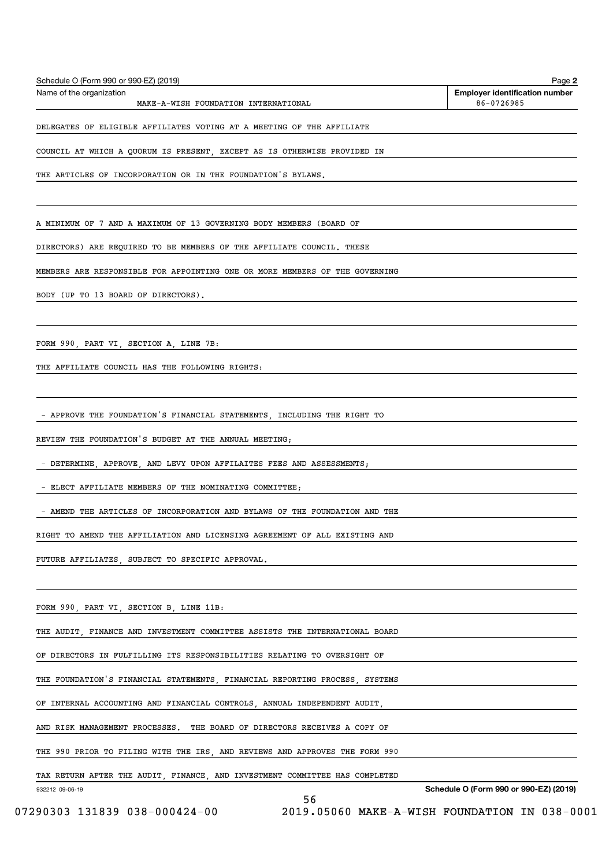| Schedule O (Form 990 or 990-EZ) (2019) | Page 2                                |
|----------------------------------------|---------------------------------------|
| Name of the organization               | <b>Employer identification number</b> |
| MAKE-A-WISH FOUNDATION INTERNATIONAL   | 86-0726985                            |

DELEGATES OF ELIGIBLE AFFILIATES VOTING AT A MEETING OF THE AFFILIATE

COUNCIL AT WHICH A QUORUM IS PRESENT, EXCEPT AS IS OTHERWISE PROVIDED IN

THE ARTICLES OF INCORPORATION OR IN THE FOUNDATION'S BYLAWS.

A MINIMUM OF 7 AND A MAXIMUM OF 13 GOVERNING BODY MEMBERS (BOARD OF

DIRECTORS) ARE REQUIRED TO BE MEMBERS OF THE AFFILIATE COUNCIL. THESE

MEMBERS ARE RESPONSIBLE FOR APPOINTING ONE OR MORE MEMBERS OF THE GOVERNING

BODY (UP TO 13 BOARD OF DIRECTORS).

FORM 990, PART VI, SECTION A, LINE 7B:

THE AFFILIATE COUNCIL HAS THE FOLLOWING RIGHTS:

- APPROVE THE FOUNDATION'S FINANCIAL STATEMENTS, INCLUDING THE RIGHT TO

REVIEW THE FOUNDATION'S BUDGET AT THE ANNUAL MEETING;

- DETERMINE, APPROVE, AND LEVY UPON AFFILAITES FEES AND ASSESSMENTS;

- ELECT AFFILIATE MEMBERS OF THE NOMINATING COMMITTEE;

- AMEND THE ARTICLES OF INCORPORATION AND BYLAWS OF THE FOUNDATION AND THE

RIGHT TO AMEND THE AFFILIATION AND LICENSING AGREEMENT OF ALL EXISTING AND

FUTURE AFFILIATES, SUBJECT TO SPECIFIC APPROVAL.

FORM 990, PART VI, SECTION B, LINE 11B:

THE AUDIT, FINANCE AND INVESTMENT COMMITTEE ASSISTS THE INTERNATIONAL BOARD

OF DIRECTORS IN FULFILLING ITS RESPONSIBILITIES RELATING TO OVERSIGHT OF

THE FOUNDATION'S FINANCIAL STATEMENTS, FINANCIAL REPORTING PROCESS, SYSTEMS

OF INTERNAL ACCOUNTING AND FINANCIAL CONTROLS, ANNUAL INDEPENDENT AUDIT,

AND RISK MANAGEMENT PROCESSES. THE BOARD OF DIRECTORS RECEIVES A COPY OF

THE 990 PRIOR TO FILING WITH THE IRS, AND REVIEWS AND APPROVES THE FORM 990

TAX RETURN AFTER THE AUDIT, FINANCE, AND INVESTMENT COMMITTEE HAS COMPLETED

932212 09-06-19

Schedule O (Form 990 or 990-EZ) (2019)

56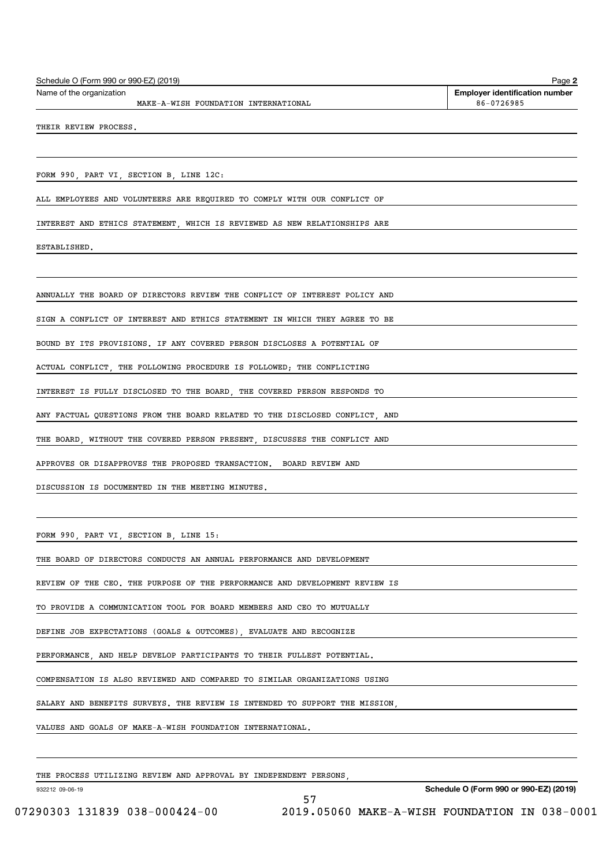| Schedule O (Form 990 or 990-EZ) (2019) | Page 2                                |
|----------------------------------------|---------------------------------------|
| Name of the organization               | <b>Emplover identification number</b> |
| MAKE-A-WISH FOUNDATION INTERNATIONAL   | 86-0726985                            |

THEIR REVIEW PROCESS.

FORM 990, PART VI, SECTION B, LINE 12C:

ALL EMPLOYEES AND VOLUNTEERS ARE REQUIRED TO COMPLY WITH OUR CONFLICT OF

INTEREST AND ETHICS STATEMENT, WHICH IS REVIEWED AS NEW RELATIONSHIPS ARE

ESTABLISHED.

ANNUALLY THE BOARD OF DIRECTORS REVIEW THE CONFLICT OF INTEREST POLICY AND

SIGN A CONFLICT OF INTEREST AND ETHICS STATEMENT IN WHICH THEY AGREE TO BE

BOUND BY ITS PROVISIONS. IF ANY COVERED PERSON DISCLOSES A POTENTIAL OF

ACTUAL CONFLICT, THE FOLLOWING PROCEDURE IS FOLLOWED; THE CONFLICTING

INTEREST IS FULLY DISCLOSED TO THE BOARD, THE COVERED PERSON RESPONDS TO

ANY FACTUAL QUESTIONS FROM THE BOARD RELATED TO THE DISCLOSED CONFLICT, AND

THE BOARD, WITHOUT THE COVERED PERSON PRESENT, DISCUSSES THE CONFLICT AND

APPROVES OR DISAPPROVES THE PROPOSED TRANSACTION. BOARD REVIEW AND

DISCUSSION IS DOCUMENTED IN THE MEETING MINUTES.

FORM 990, PART VI, SECTION B, LINE 15:

THE BOARD OF DIRECTORS CONDUCTS AN ANNUAL PERFORMANCE AND DEVELOPMENT

REVIEW OF THE CEO. THE PURPOSE OF THE PERFORMANCE AND DEVELOPMENT REVIEW IS

TO PROVIDE A COMMUNICATION TOOL FOR BOARD MEMBERS AND CEO TO MUTUALLY

DEFINE JOB EXPECTATIONS (GOALS & OUTCOMES), EVALUATE AND RECOGNIZE

PERFORMANCE, AND HELP DEVELOP PARTICIPANTS TO THEIR FULLEST POTENTIAL.

COMPENSATION IS ALSO REVIEWED AND COMPARED TO SIMILAR ORGANIZATIONS USING

SALARY AND BENEFITS SURVEYS. THE REVIEW IS INTENDED TO SUPPORT THE MISSION,

57

VALUES AND GOALS OF MAKE-A-WISH FOUNDATION INTERNATIONAL.

THE PROCESS UTILIZING REVIEW AND APPROVAL BY INDEPENDENT PERSONS,

932212 09-06-19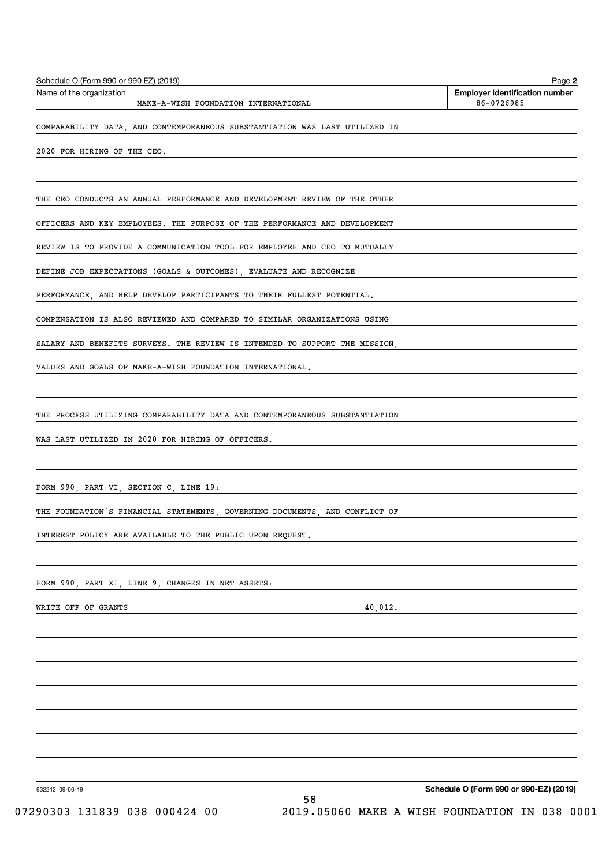| Schedule O (Form 990 or 990-EZ) (2019) | Page 2                                |
|----------------------------------------|---------------------------------------|
| Name of the organization               | <b>Employer identification number</b> |
| MAKE-A-WISH FOUNDATION INTERNATIONAL   | 86-0726985                            |

COMPARABILITY DATA, AND CONTEMPORANEOUS SUBSTANTIATION WAS LAST UTILIZED IN

2020 FOR HIRING OF THE CEO.

THE CEO CONDUCTS AN ANNUAL PERFORMANCE AND DEVELOPMENT REVIEW OF THE OTHER

OFFICERS AND KEY EMPLOYEES. THE PURPOSE OF THE PERFORMANCE AND DEVELOPMENT

REVIEW IS TO PROVIDE A COMMUNICATION TOOL FOR EMPLOYEE AND CEO TO MUTUALLY

DEFINE JOB EXPECTATIONS (GOALS & OUTCOMES), EVALUATE AND RECOGNIZE

PERFORMANCE, AND HELP DEVELOP PARTICIPANTS TO THEIR FULLEST POTENTIAL.

COMPENSATION IS ALSO REVIEWED AND COMPARED TO SIMILAR ORGANIZATIONS USING

SALARY AND BENEFITS SURVEYS. THE REVIEW IS INTENDED TO SUPPORT THE MISSION,

VALUES AND GOALS OF MAKE-A-WISH FOUNDATION INTERNATIONAL.

THE PROCESS UTILIZING COMPARABILITY DATA AND CONTEMPORANEOUS SUBSTANTIATION

WAS LAST UTILIZED IN 2020 FOR HIRING OF OFFICERS.

FORM 990, PART VI, SECTION C, LINE 19:

THE FOUNDATION'S FINANCIAL STATEMENTS, GOVERNING DOCUMENTS, AND CONFLICT OF

INTEREST POLICY ARE AVAILABLE TO THE PUBLIC UPON REQUEST.

FORM 990, PART XI, LINE 9, CHANGES IN NET ASSETS:

WRITE OFF OF GRANTS 40,012.

932212 09-06-19

Schedule O (Form 990 or 990-EZ) (2019)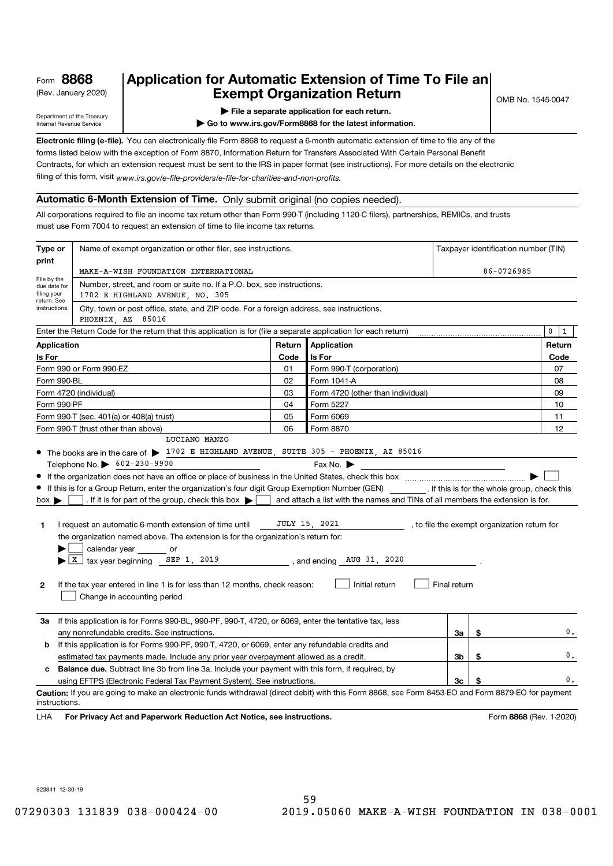# (Rev. January 2020)  $\begin{array}{|c|c|c|c|c|}\n \hline\n & \textbf{Exempt Organization Return} & \textbf{C} & \textbf{S} & \textbf{S} & \textbf{S} & \textbf{S} & \textbf{S} & \textbf{S} & \textbf{S} & \textbf{S} & \textbf{S} & \textbf{S} & \textbf{S} & \textbf{S} & \textbf{S} & \textbf{S} & \textbf{S} & \textbf{S} & \textbf{S} & \textbf{S} & \textbf{S} & \textbf{S} & \textbf{S} & \textbf{S} & \textbf{S}$ Application for Automatic Extension of Time To File an

Department of the Treasury Internal Revenue Service

#### | File a separate application for each return.

| Go to www.irs.gov/Form8868 for the latest information.

Electronic filing (e-file). You can electronically file Form 8868 to request a 6-month automatic extension of time to file any of the forms listed below with the exception of Form 8870, Information Return for Transfers Associated With Certain Personal Benefit Contracts, for which an extension request must be sent to the IRS in paper format (see instructions). For more details on the electronic

filing of this form, visit www.irs.gov/e-file-providers/e-file-for-charities-and-non-profits.

## Automatic 6-Month Extension of Time. Only submit original (no copies needed).

All corporations required to file an income tax return other than Form 990-T (including 1120-C filers), partnerships, REMICs, and trusts must use Form 7004 to request an extension of time to file income tax returns.

| Type or                                                   | Name of exempt organization or other filer, see instructions.                                                                                                                                       |            |                                                                                |              | Taxpayer identification number (TIN)         |                         |  |
|-----------------------------------------------------------|-----------------------------------------------------------------------------------------------------------------------------------------------------------------------------------------------------|------------|--------------------------------------------------------------------------------|--------------|----------------------------------------------|-------------------------|--|
| print                                                     | MAKE-A-WISH FOUNDATION INTERNATIONAL                                                                                                                                                                | 86-0726985 |                                                                                |              |                                              |                         |  |
| File by the<br>due date for<br>filing your<br>return. See | Number, street, and room or suite no. If a P.O. box, see instructions.<br>1702 E HIGHLAND AVENUE, NO. 305                                                                                           |            |                                                                                |              |                                              |                         |  |
| instructions.                                             | City, town or post office, state, and ZIP code. For a foreign address, see instructions.<br>PHOENIX, AZ 85016                                                                                       |            |                                                                                |              |                                              |                         |  |
|                                                           | Enter the Return Code for the return that this application is for (file a separate application for each return)                                                                                     |            |                                                                                |              |                                              | 0<br>$\mathbf{1}$       |  |
| <b>Application</b>                                        |                                                                                                                                                                                                     | Return     | Application                                                                    |              |                                              | Return                  |  |
| Is For                                                    |                                                                                                                                                                                                     | Code       | Is For                                                                         | Code         |                                              |                         |  |
|                                                           | Form 990 or Form 990-EZ                                                                                                                                                                             | 01         | Form 990-T (corporation)                                                       |              |                                              | 07                      |  |
| Form 990-BL                                               |                                                                                                                                                                                                     | 02         | Form 1041-A                                                                    |              |                                              | 08                      |  |
|                                                           | Form 4720 (individual)                                                                                                                                                                              | 03         | Form 4720 (other than individual)                                              |              |                                              | 09                      |  |
| Form 990-PF                                               |                                                                                                                                                                                                     | 04         | Form 5227                                                                      |              |                                              | 10                      |  |
|                                                           | Form 990-T (sec. 401(a) or 408(a) trust)                                                                                                                                                            | 05         | Form 6069                                                                      |              |                                              | 11                      |  |
|                                                           | Form 990-T (trust other than above)                                                                                                                                                                 | 06         | Form 8870                                                                      |              |                                              | 12                      |  |
|                                                           | LUCIANO MANZO                                                                                                                                                                                       |            |                                                                                |              |                                              |                         |  |
|                                                           | • The books are in the care of $\triangleright$ 1702 E HIGHLAND AVENUE, SUITE 305 - PHOENIX, AZ 85016                                                                                               |            |                                                                                |              |                                              |                         |  |
|                                                           | Telephone No. > 602-230-9900                                                                                                                                                                        |            | Fax No. $\blacktriangleright$                                                  |              |                                              |                         |  |
|                                                           |                                                                                                                                                                                                     |            |                                                                                |              |                                              |                         |  |
|                                                           | If this is for a Group Return, enter the organization's four digit Group Exemption Number (GEN) [f this is for the whole group, check this                                                          |            |                                                                                |              |                                              |                         |  |
| $box \blacktriangleright$                                 | . If it is for part of the group, check this box $\blacktriangleright$                                                                                                                              |            | and attach a list with the names and TINs of all members the extension is for. |              |                                              |                         |  |
|                                                           |                                                                                                                                                                                                     |            |                                                                                |              |                                              |                         |  |
| 1                                                         | I request an automatic 6-month extension of time until                                                                                                                                              |            | JULY 15, 2021                                                                  |              | , to file the exempt organization return for |                         |  |
|                                                           | the organization named above. The extension is for the organization's return for:                                                                                                                   |            |                                                                                |              |                                              |                         |  |
|                                                           | calendar year _______ or<br>$\blacktriangleright$   X   tax year beginning SEP 1, 2019                                                                                                              |            | , and ending AUG 31, 2020                                                      |              |                                              |                         |  |
|                                                           |                                                                                                                                                                                                     |            |                                                                                |              |                                              |                         |  |
| $\mathbf{2}$                                              | If the tax year entered in line 1 is for less than 12 months, check reason:                                                                                                                         |            | Initial return                                                                 | Final return |                                              |                         |  |
|                                                           |                                                                                                                                                                                                     |            |                                                                                |              |                                              |                         |  |
|                                                           | Change in accounting period                                                                                                                                                                         |            |                                                                                |              |                                              |                         |  |
| За                                                        | If this application is for Forms 990-BL, 990-PF, 990-T, 4720, or 6069, enter the tentative tax, less                                                                                                |            |                                                                                |              |                                              |                         |  |
|                                                           | any nonrefundable credits. See instructions.                                                                                                                                                        |            |                                                                                | За           | \$                                           | 0.                      |  |
| b                                                         |                                                                                                                                                                                                     |            |                                                                                |              |                                              |                         |  |
|                                                           | If this application is for Forms 990-PF, 990-T, 4720, or 6069, enter any refundable credits and<br>3b<br>estimated tax payments made. Include any prior year overpayment allowed as a credit.<br>\$ |            |                                                                                |              |                                              |                         |  |
| c                                                         | <b>Balance due.</b> Subtract line 3b from line 3a. Include your payment with this form, if required, by                                                                                             |            |                                                                                |              |                                              |                         |  |
|                                                           | 3c<br>using EFTPS (Electronic Federal Tax Payment System). See instructions.                                                                                                                        |            |                                                                                |              |                                              | 0.                      |  |
|                                                           | Caution: If you are going to make an electronic funds withdrawal (direct debit) with this Form 8868, see Form 8453-EO and Form 8879-EO for payment                                                  |            |                                                                                |              |                                              |                         |  |
| instructions.                                             |                                                                                                                                                                                                     |            |                                                                                |              |                                              |                         |  |
| LHA                                                       | For Privacy Act and Paperwork Reduction Act Notice, see instructions.                                                                                                                               |            |                                                                                |              |                                              | Form 8868 (Rev. 1-2020) |  |
|                                                           |                                                                                                                                                                                                     |            |                                                                                |              |                                              |                         |  |

923841 12-30-19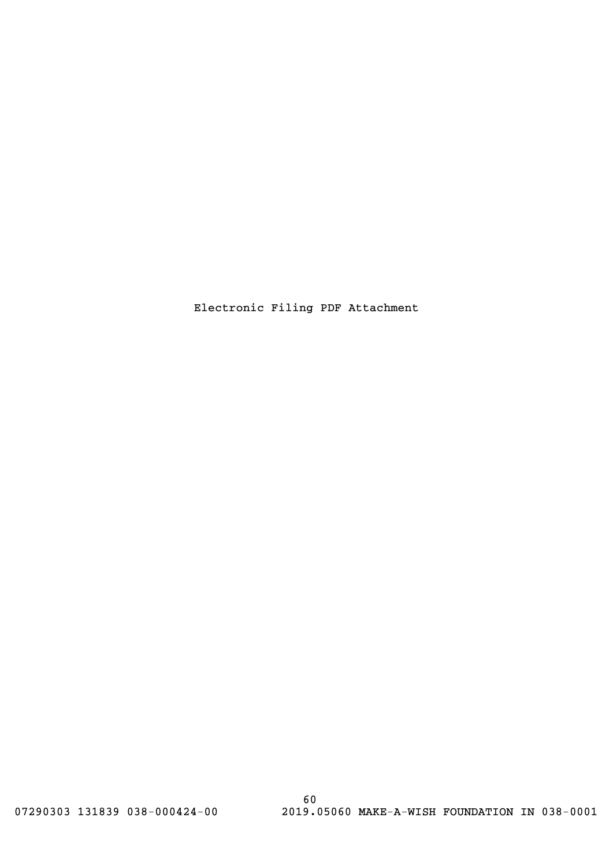Electronic Filing PDF Attachment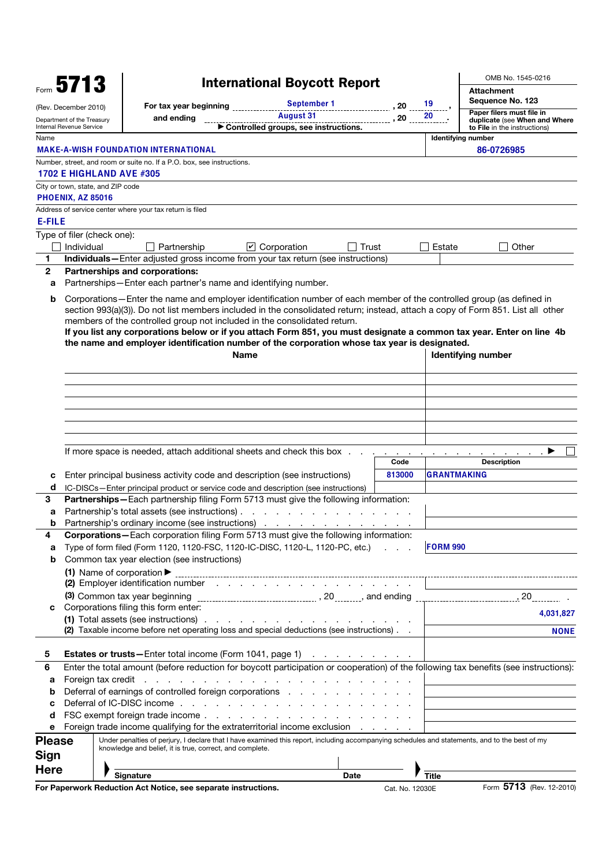|                                                        | Form $5713$              |                                   |                                                                                                                                                | <b>International Boycott Report</b>                     |                 |                 | OMB No. 1545-0216                                             |
|--------------------------------------------------------|--------------------------|-----------------------------------|------------------------------------------------------------------------------------------------------------------------------------------------|---------------------------------------------------------|-----------------|-----------------|---------------------------------------------------------------|
|                                                        |                          |                                   | September 1                                                                                                                                    |                                                         |                 |                 | <b>Attachment</b><br>Sequence No. 123                         |
|                                                        | (Rev. December 2010)     |                                   | For tax year beginning ______                                                                                                                  | <b>August 31</b>                                        | , 20            | 19<br>20        | Paper filers must file in                                     |
| Department of the Treasury<br>Internal Revenue Service |                          |                                   | and ending                                                                                                                                     | Controlled groups, see instructions.                    | , 20            |                 | duplicate (see When and Where<br>to File in the instructions) |
| Name                                                   |                          |                                   |                                                                                                                                                |                                                         |                 |                 | <b>Identifying number</b>                                     |
|                                                        |                          |                                   | <b>MAKE-A-WISH FOUNDATION INTERNATIONAL</b>                                                                                                    |                                                         |                 |                 | 86-0726985                                                    |
|                                                        |                          |                                   | Number, street, and room or suite no. If a P.O. box, see instructions.                                                                         |                                                         |                 |                 |                                                               |
|                                                        |                          | <b>1702 E HIGHLAND AVE #305</b>   |                                                                                                                                                |                                                         |                 |                 |                                                               |
|                                                        |                          | City or town, state, and ZIP code |                                                                                                                                                |                                                         |                 |                 |                                                               |
|                                                        | <b>PHOENIX, AZ 85016</b> |                                   | Address of service center where your tax return is filed                                                                                       |                                                         |                 |                 |                                                               |
| <b>E-FILE</b>                                          |                          |                                   |                                                                                                                                                |                                                         |                 |                 |                                                               |
|                                                        |                          | Type of filer (check one):        |                                                                                                                                                |                                                         |                 |                 |                                                               |
|                                                        | Individual               |                                   | Partnership                                                                                                                                    | $\triangleright$ Corporation<br>Trust                   |                 | Estate          | Other                                                         |
| 1                                                      |                          |                                   | Individuals-Enter adjusted gross income from your tax return (see instructions)                                                                |                                                         |                 |                 |                                                               |
| $\mathbf{2}$                                           |                          |                                   | Partnerships and corporations:                                                                                                                 |                                                         |                 |                 |                                                               |
| a                                                      |                          |                                   | Partnerships-Enter each partner's name and identifying number.                                                                                 |                                                         |                 |                 |                                                               |
| b                                                      |                          |                                   | Corporations-Enter the name and employer identification number of each member of the controlled group (as defined in                           |                                                         |                 |                 |                                                               |
|                                                        |                          |                                   | section 993(a)(3)). Do not list members included in the consolidated return; instead, attach a copy of Form 851. List all other                |                                                         |                 |                 |                                                               |
|                                                        |                          |                                   | members of the controlled group not included in the consolidated return.                                                                       |                                                         |                 |                 |                                                               |
|                                                        |                          |                                   | If you list any corporations below or if you attach Form 851, you must designate a common tax year. Enter on line 4b                           |                                                         |                 |                 |                                                               |
|                                                        |                          |                                   | the name and employer identification number of the corporation whose tax year is designated.                                                   |                                                         |                 |                 |                                                               |
|                                                        |                          |                                   | Name                                                                                                                                           |                                                         |                 |                 | Identifying number                                            |
|                                                        |                          |                                   |                                                                                                                                                |                                                         |                 |                 |                                                               |
|                                                        |                          |                                   |                                                                                                                                                |                                                         |                 |                 |                                                               |
|                                                        |                          |                                   |                                                                                                                                                |                                                         |                 |                 |                                                               |
|                                                        |                          |                                   |                                                                                                                                                |                                                         |                 |                 |                                                               |
|                                                        |                          |                                   |                                                                                                                                                |                                                         |                 |                 |                                                               |
|                                                        |                          |                                   |                                                                                                                                                |                                                         |                 |                 |                                                               |
|                                                        |                          |                                   | If more space is needed, attach additional sheets and check this box.                                                                          |                                                         |                 |                 |                                                               |
|                                                        |                          |                                   |                                                                                                                                                |                                                         | Code            |                 | <b>Description</b>                                            |
| с                                                      |                          |                                   | Enter principal business activity code and description (see instructions)                                                                      |                                                         | 813000          |                 | <b>GRANTMAKING</b>                                            |
| d                                                      |                          |                                   | IC-DISCs-Enter principal product or service code and description (see instructions)                                                            |                                                         |                 |                 |                                                               |
| 3.                                                     |                          |                                   | <b>Partnerships</b> —Each partnership filing Form 5713 must give the following information:                                                    |                                                         |                 |                 |                                                               |
| а                                                      |                          |                                   | Partnership's total assets (see instructions).<br>$\mathbf{r}$                                                                                 | the contract of the con-                                |                 |                 |                                                               |
| b                                                      |                          |                                   | Partnership's ordinary income (see instructions)                                                                                               |                                                         |                 |                 |                                                               |
| 4                                                      |                          |                                   | Corporations-Each corporation filing Form 5713 must give the following information:                                                            |                                                         |                 | <b>FORM 990</b> |                                                               |
| а<br>b                                                 |                          |                                   | Type of form filed (Form 1120, 1120-FSC, 1120-IC-DISC, 1120-L, 1120-PC, etc.)<br>Common tax year election (see instructions)                   |                                                         |                 |                 |                                                               |
|                                                        |                          |                                   | (1) Name of corporation $\blacktriangleright$                                                                                                  |                                                         |                 |                 |                                                               |
|                                                        |                          |                                   | (2) Employer identification number (2) Employer identification number (2)                                                                      |                                                         |                 |                 |                                                               |
|                                                        |                          |                                   |                                                                                                                                                |                                                         |                 |                 |                                                               |
| С                                                      |                          |                                   | Corporations filing this form enter:                                                                                                           |                                                         |                 |                 |                                                               |
|                                                        |                          |                                   | (1) Total assets (see instructions).                                                                                                           | and the contract of the contract of the contract of the |                 |                 | 4,031,827                                                     |
|                                                        |                          |                                   | (2) Taxable income before net operating loss and special deductions (see instructions)                                                         |                                                         |                 |                 | <b>NONE</b>                                                   |
|                                                        |                          |                                   |                                                                                                                                                |                                                         |                 |                 |                                                               |
| 5                                                      |                          |                                   | <b>Estates or trusts</b> —Enter total income (Form 1041, page 1)                                                                               |                                                         |                 |                 |                                                               |
| 6                                                      |                          |                                   | Enter the total amount (before reduction for boycott participation or cooperation) of the following tax benefits (see instructions):           |                                                         |                 |                 |                                                               |
| a                                                      |                          | Foreign tax credit                | and a complete that a complete a complete the complete that<br>Deferral of earnings of controlled foreign corporations                         |                                                         |                 |                 |                                                               |
| $\mathbf b$<br>c                                       |                          |                                   |                                                                                                                                                |                                                         |                 |                 |                                                               |
| d                                                      |                          |                                   |                                                                                                                                                |                                                         |                 |                 |                                                               |
| е                                                      |                          |                                   | Foreign trade income qualifying for the extraterritorial income exclusion                                                                      |                                                         |                 |                 |                                                               |
| <b>Please</b>                                          |                          |                                   | Under penalties of perjury, I declare that I have examined this report, including accompanying schedules and statements, and to the best of my |                                                         |                 |                 |                                                               |
| Sign                                                   |                          |                                   | knowledge and belief, it is true, correct, and complete.                                                                                       |                                                         |                 |                 |                                                               |
|                                                        |                          |                                   |                                                                                                                                                |                                                         |                 |                 |                                                               |
| Here                                                   |                          |                                   | <b>Signature</b>                                                                                                                               | <b>Date</b>                                             |                 | <b>Title</b>    |                                                               |
|                                                        |                          |                                   | For Paperwork Reduction Act Notice, see separate instructions.                                                                                 |                                                         | Cat. No. 12030E |                 | Form 5713 (Rev. 12-2010)                                      |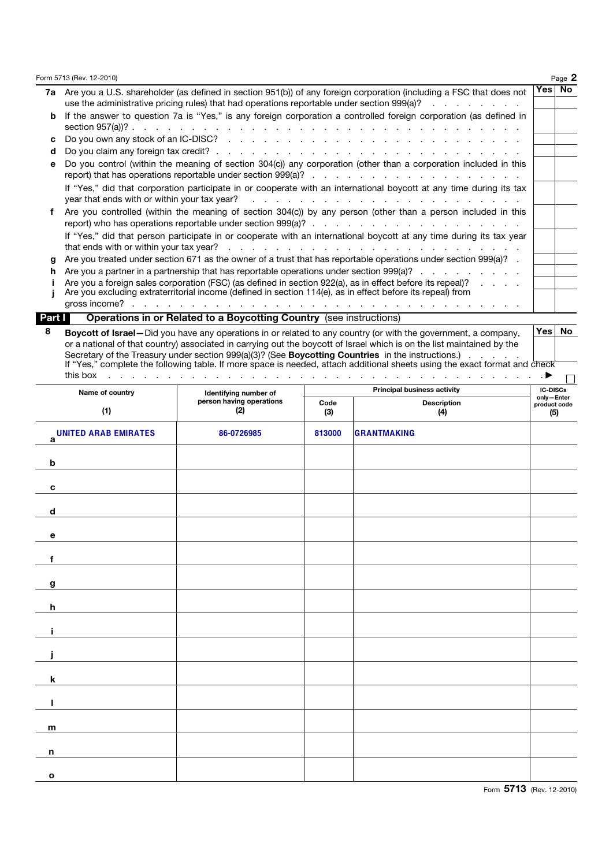|   | Form 5713 (Rev. 12-2010)                                                                                                                                                                                                                                                  |          | Page 2 |
|---|---------------------------------------------------------------------------------------------------------------------------------------------------------------------------------------------------------------------------------------------------------------------------|----------|--------|
|   | 7a Are you a U.S. shareholder (as defined in section 951(b)) of any foreign corporation (including a FSC that does not<br>use the administrative pricing rules) that had operations reportable under section 999(a)?                                                      | Yes   No |        |
|   | If the answer to question 7a is "Yes," is any foreign corporation a controlled foreign corporation (as defined in                                                                                                                                                         |          |        |
| c |                                                                                                                                                                                                                                                                           |          |        |
| d |                                                                                                                                                                                                                                                                           |          |        |
| е | Do you control (within the meaning of section 304(c)) any corporation (other than a corporation included in this                                                                                                                                                          |          |        |
|   | If "Yes," did that corporation participate in or cooperate with an international boycott at any time during its tax                                                                                                                                                       |          |        |
|   | Are you controlled (within the meaning of section 304(c)) by any person (other than a person included in this                                                                                                                                                             |          |        |
|   | If "Yes," did that person participate in or cooperate with an international boycott at any time during its tax year                                                                                                                                                       |          |        |
| a | Are you treated under section 671 as the owner of a trust that has reportable operations under section 999(a)?                                                                                                                                                            |          |        |
|   | Are you a partner in a partnership that has reportable operations under section 999(a)?                                                                                                                                                                                   |          |        |
|   | Are you a foreign sales corporation (FSC) (as defined in section 922(a), as in effect before its repeal)?<br>$\mathbf{r}$ and $\mathbf{r}$ and $\mathbf{r}$<br>Are you excluding extraterritorial income (defined in section 114(e), as in effect before its repeal) from |          |        |
|   | gross income?<br>the contract of the contract of the contract of the contract of the                                                                                                                                                                                      |          |        |

### Part **Operations in or Related to a Boycotting Country** (see instructions)

8 Boycott of Israel—Did you have any operations in or related to any country (or with the government, a company, Yes No or a national of that country) associated in carrying out the boycott of Israel which is on the list maintained by the Secretary of the Treasury under section 999(a)(3)? (See **Boycotting Countries** in the instructions.) . . . . . If "Yes," complete the following table. If more space is needed, attach additional sheets using the exact format and check this box . . . . . . . . . . . . . . . . . . . . . . . . . . . . . . . . . . . . . a

| Name of country                  | Identifying number of           |             | ىسا<br><b>IC-DISCs</b> |                                   |
|----------------------------------|---------------------------------|-------------|------------------------|-----------------------------------|
| (1)                              | person having operations<br>(2) | Code<br>(3) | Description<br>(4)     | only-Enter<br>product code<br>(5) |
| <b>UNITED ARAB EMIRATES</b><br>a | 86-0726985                      | 813000      | <b>GRANTMAKING</b>     |                                   |
| $\mathbf b$                      |                                 |             |                        |                                   |
| $\mathbf c$                      |                                 |             |                        |                                   |
| $\mathbf d$                      |                                 |             |                        |                                   |
| $\mathbf e$                      |                                 |             |                        |                                   |
| f                                |                                 |             |                        |                                   |
| g                                |                                 |             |                        |                                   |
| $\mathbf h$                      |                                 |             |                        |                                   |
| Î.                               |                                 |             |                        |                                   |
|                                  |                                 |             |                        |                                   |
| $\mathbf k$                      |                                 |             |                        |                                   |
| п                                |                                 |             |                        |                                   |
| m                                |                                 |             |                        |                                   |
| n                                |                                 |             |                        |                                   |
| $\mathbf{o}$                     |                                 |             |                        |                                   |

 $\Box$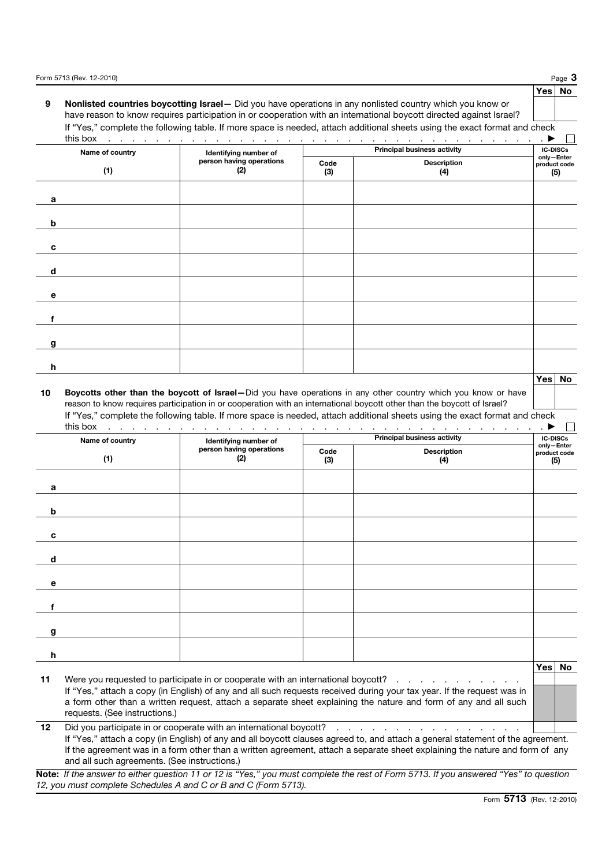|          |                               |                                 |             |                                                                                                                                                                                                                                                                                                                               | Page $3$                      |     |
|----------|-------------------------------|---------------------------------|-------------|-------------------------------------------------------------------------------------------------------------------------------------------------------------------------------------------------------------------------------------------------------------------------------------------------------------------------------|-------------------------------|-----|
| 9        |                               |                                 |             | Nonlisted countries boycotting Israel- Did you have operations in any nonlisted country which you know or<br>have reason to know requires participation in or cooperation with an international boycott directed against Israel?                                                                                              | Yes   No                      |     |
|          |                               |                                 |             | If "Yes," complete the following table. If more space is needed, attach additional sheets using the exact format and check                                                                                                                                                                                                    |                               |     |
|          | Name of country               | Identifying number of           |             | <b>Principal business activity</b>                                                                                                                                                                                                                                                                                            | <b>IC-DISCs</b>               |     |
|          |                               | person having operations        | Code        | <b>Description</b>                                                                                                                                                                                                                                                                                                            | only-Enter<br>product code    |     |
|          | (1)                           | (2)                             | (3)         | (4)                                                                                                                                                                                                                                                                                                                           |                               | (5) |
| a        |                               |                                 |             |                                                                                                                                                                                                                                                                                                                               |                               |     |
| b        |                               |                                 |             |                                                                                                                                                                                                                                                                                                                               |                               |     |
| c        |                               |                                 |             |                                                                                                                                                                                                                                                                                                                               |                               |     |
| d        |                               |                                 |             |                                                                                                                                                                                                                                                                                                                               |                               |     |
| е        |                               |                                 |             |                                                                                                                                                                                                                                                                                                                               |                               |     |
|          |                               |                                 |             |                                                                                                                                                                                                                                                                                                                               |                               |     |
| g        |                               |                                 |             |                                                                                                                                                                                                                                                                                                                               |                               |     |
| h        |                               |                                 |             |                                                                                                                                                                                                                                                                                                                               |                               |     |
|          |                               |                                 |             |                                                                                                                                                                                                                                                                                                                               | <b>Yes</b>                    | No  |
|          |                               |                                 |             | If "Yes," complete the following table. If more space is needed, attach additional sheets using the exact format and check                                                                                                                                                                                                    |                               |     |
|          | this box<br>Name of country   | Identifying number of           |             | and a constitution of the constitution of the constitution of the constitution of the constitution of the constitution of the constitution of the constitution of the constitution of the constitution of the constitution of<br><b>Principal business activity</b>                                                           | <b>IC-DISCs</b><br>only-Enter |     |
|          | (1)                           | person having operations<br>(2) | Code<br>(3) | <b>Description</b><br>(4)                                                                                                                                                                                                                                                                                                     | product code                  | (5) |
| a        |                               |                                 |             |                                                                                                                                                                                                                                                                                                                               |                               |     |
| b        |                               |                                 |             |                                                                                                                                                                                                                                                                                                                               |                               |     |
|          |                               |                                 |             |                                                                                                                                                                                                                                                                                                                               |                               |     |
|          |                               |                                 |             |                                                                                                                                                                                                                                                                                                                               |                               |     |
| d        |                               |                                 |             |                                                                                                                                                                                                                                                                                                                               |                               |     |
| е        |                               |                                 |             |                                                                                                                                                                                                                                                                                                                               |                               |     |
| f        |                               |                                 |             |                                                                                                                                                                                                                                                                                                                               |                               |     |
| g        |                               |                                 |             |                                                                                                                                                                                                                                                                                                                               |                               |     |
| h        |                               |                                 |             |                                                                                                                                                                                                                                                                                                                               | Yes                           |     |
|          | requests. (See instructions.) |                                 |             | Were you requested to participate in or cooperate with an international boycott?<br>If "Yes," attach a copy (in English) of any and all such requests received during your tax year. If the request was in<br>a form other than a written request, attach a separate sheet explaining the nature and form of any and all such |                               |     |
| 11<br>12 |                               |                                 |             | Did you participate in or cooperate with an international boycott?                                                                                                                                                                                                                                                            |                               | No  |